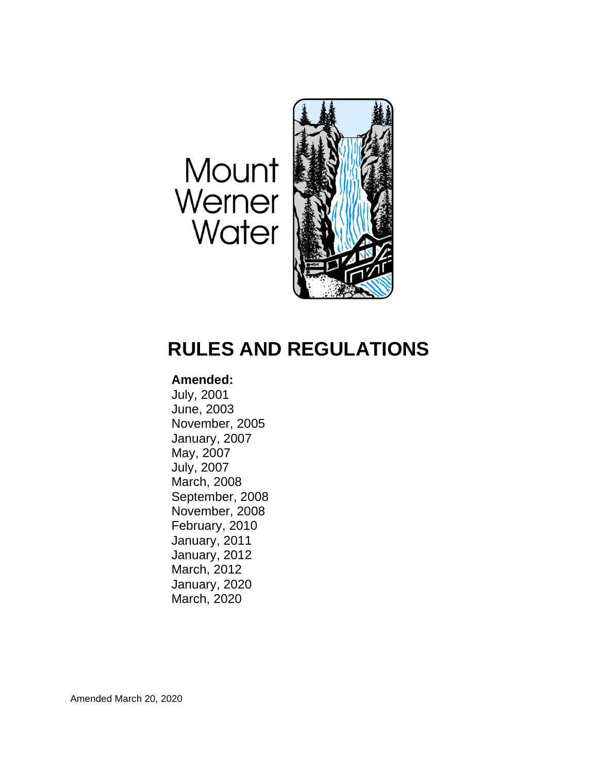# Mount Werner Water



# **RULES AND REGULATIONS**

# **Amended:**

July, 2001 June, 2003 November, 2005 January, 2007 May, 2007 July, 2007 March, 2008 September, 2008 November, 2008 February, 2010 January, 2011 January, 2012 March, 2012 January, 2020 March, 2020

Amended March 20, 2020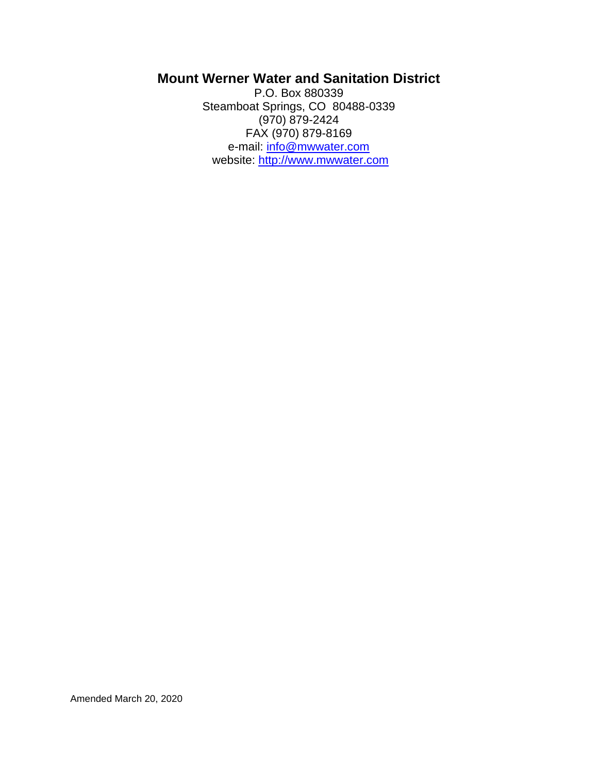# **Mount Werner Water and Sanitation District**

P.O. Box 880339 Steamboat Springs, CO 80488-0339 (970) 879-2424 FAX (970) 879-8169 e-mail: [info@mwwater.com](mailto:info@mwwater.com) website: [http://www.mwwater.com](http://www.mwwater.com/)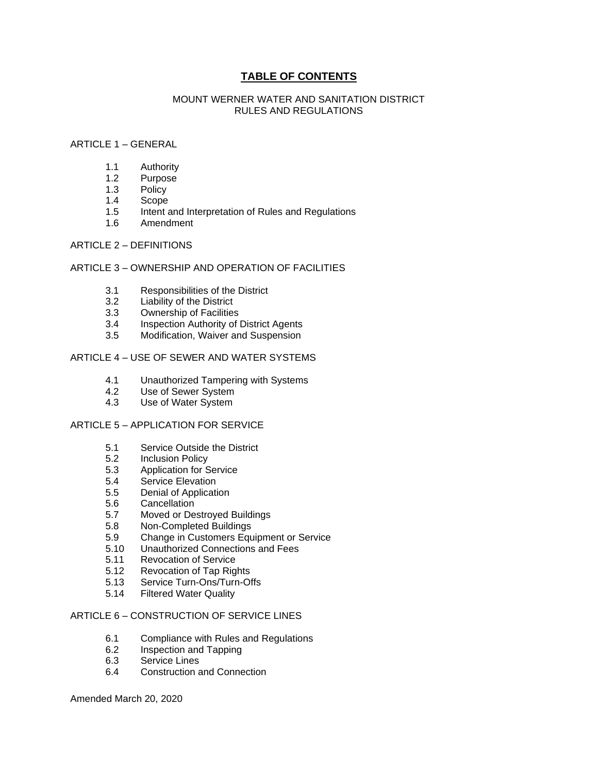# **TABLE OF CONTENTS**

#### MOUNT WERNER WATER AND SANITATION DISTRICT RULES AND REGULATIONS

#### ARTICLE 1 – GENERAL

- 1.1 Authority
- 1.2 Purpose
- 1.3 Policy
- 1.4 Scope
- 1.5 Intent and Interpretation of Rules and Regulations
- 1.6 Amendment

#### ARTICLE 2 – DEFINITIONS

#### ARTICLE 3 – OWNERSHIP AND OPERATION OF FACILITIES

- 3.1 Responsibilities of the District
- 3.2 Liability of the District
- 3.3 Ownership of Facilities
- 3.4 Inspection Authority of District Agents
- 3.5 Modification, Waiver and Suspension

#### ARTICLE 4 – USE OF SEWER AND WATER SYSTEMS

- 4.1 Unauthorized Tampering with Systems
- 4.2 Use of Sewer System
- 4.3 Use of Water System

#### ARTICLE 5 – APPLICATION FOR SERVICE

- 5.1 Service Outside the District
- 5.2 Inclusion Policy
- 5.3 Application for Service
- 5.4 Service Elevation
- 5.5 Denial of Application
- 5.6 Cancellation
- 5.7 Moved or Destroyed Buildings
- 5.8 Non-Completed Buildings
- 5.9 Change in Customers Equipment or Service
- 5.10 Unauthorized Connections and Fees
- 5.11 Revocation of Service
- 5.12 Revocation of Tap Rights
- 5.13 Service Turn-Ons/Turn-Offs
- 5.14 Filtered Water Quality

#### ARTICLE 6 – CONSTRUCTION OF SERVICE LINES

- 6.1 Compliance with Rules and Regulations
- 6.2 Inspection and Tapping
- 6.3 Service Lines
- 6.4 Construction and Connection

Amended March 20, 2020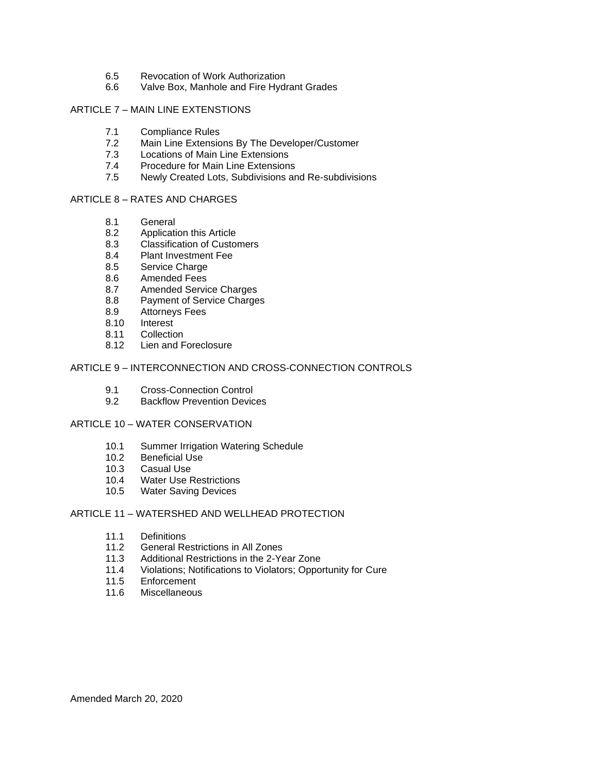- 6.5 Revocation of Work Authorization
- 6.6 Valve Box, Manhole and Fire Hydrant Grades

#### ARTICLE 7 - MAIN LINE EXTENSTIONS

- 7.1 Compliance Rules
- 7.2 Main Line Extensions By The Developer/Customer
- 7.3 Locations of Main Line Extensions
- 7.4 Procedure for Main Line Extensions
- 7.5 Newly Created Lots, Subdivisions and Re-subdivisions

#### ARTICLE 8 – RATES AND CHARGES

- 8.1 General
- 8.2 Application this Article
- 8.3 Classification of Customers
- 8.4 Plant Investment Fee
- 8.5 Service Charge
- 8.6 Amended Fees
- 8.7 Amended Service Charges
- 8.8 Payment of Service Charges
- 8.9 Attorneys Fees
- 8.10 Interest
- 8.11 Collection
- 8.12 Lien and Foreclosure

#### ARTICLE 9 – INTERCONNECTION AND CROSS-CONNECTION CONTROLS

- 9.1 Cross-Connection Control
- 9.2 Backflow Prevention Devices

#### ARTICLE 10 – WATER CONSERVATION

- 10.1 Summer Irrigation Watering Schedule
- 10.2 Beneficial Use
- 10.3 Casual Use
- 10.4 Water Use Restrictions
- 10.5 Water Saving Devices

#### ARTICLE 11 – WATERSHED AND WELLHEAD PROTECTION

- 11.1 Definitions<br>11.2 General Re
- General Restrictions in All Zones
- 11.3 Additional Restrictions in the 2-Year Zone
- 11.4 Violations; Notifications to Violators; Opportunity for Cure
- 11.5 Enforcement
- 11.6 Miscellaneous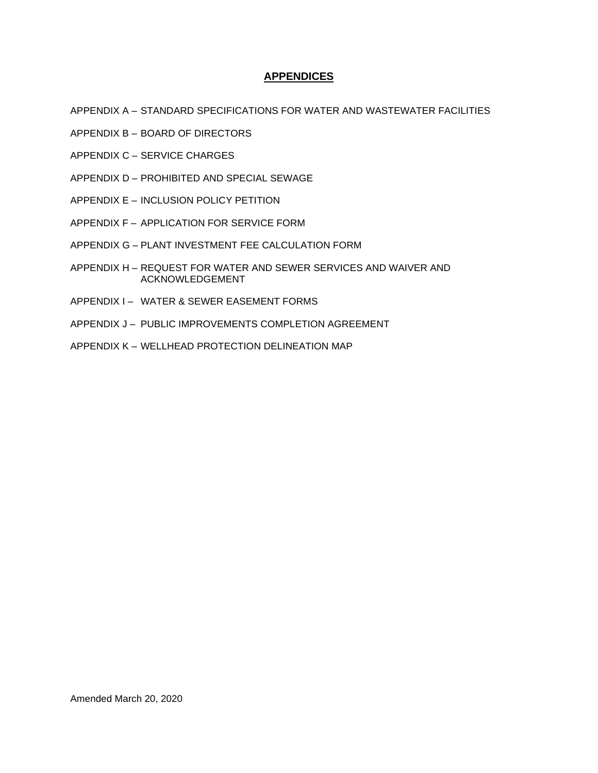#### **APPENDICES**

- APPENDIX A STANDARD SPECIFICATIONS FOR WATER AND WASTEWATER FACILITIES
- APPENDIX B BOARD OF DIRECTORS
- APPENDIX C SERVICE CHARGES
- APPENDIX D PROHIBITED AND SPECIAL SEWAGE
- APPENDIX E INCLUSION POLICY PETITION
- APPENDIX F APPLICATION FOR SERVICE FORM
- APPENDIX G PLANT INVESTMENT FEE CALCULATION FORM
- APPENDIX H REQUEST FOR WATER AND SEWER SERVICES AND WAIVER AND ACKNOWLEDGEMENT
- APPENDIX I WATER & SEWER EASEMENT FORMS
- APPENDIX J PUBLIC IMPROVEMENTS COMPLETION AGREEMENT
- APPENDIX K WELLHEAD PROTECTION DELINEATION MAP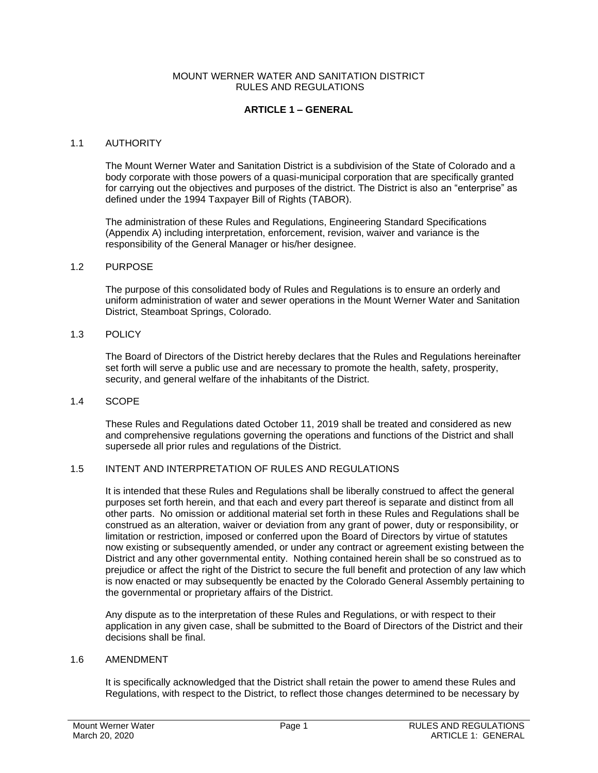#### **ARTICLE 1 – GENERAL**

#### 1.1 AUTHORITY

The Mount Werner Water and Sanitation District is a subdivision of the State of Colorado and a body corporate with those powers of a quasi-municipal corporation that are specifically granted for carrying out the objectives and purposes of the district. The District is also an "enterprise" as defined under the 1994 Taxpayer Bill of Rights (TABOR).

The administration of these Rules and Regulations, Engineering Standard Specifications (Appendix A) including interpretation, enforcement, revision, waiver and variance is the responsibility of the General Manager or his/her designee.

#### 1.2 PURPOSE

The purpose of this consolidated body of Rules and Regulations is to ensure an orderly and uniform administration of water and sewer operations in the Mount Werner Water and Sanitation District, Steamboat Springs, Colorado.

#### 1.3 POLICY

The Board of Directors of the District hereby declares that the Rules and Regulations hereinafter set forth will serve a public use and are necessary to promote the health, safety, prosperity, security, and general welfare of the inhabitants of the District.

#### 1.4 SCOPE

These Rules and Regulations dated October 11, 2019 shall be treated and considered as new and comprehensive regulations governing the operations and functions of the District and shall supersede all prior rules and regulations of the District.

#### 1.5 INTENT AND INTERPRETATION OF RULES AND REGULATIONS

It is intended that these Rules and Regulations shall be liberally construed to affect the general purposes set forth herein, and that each and every part thereof is separate and distinct from all other parts. No omission or additional material set forth in these Rules and Regulations shall be construed as an alteration, waiver or deviation from any grant of power, duty or responsibility, or limitation or restriction, imposed or conferred upon the Board of Directors by virtue of statutes now existing or subsequently amended, or under any contract or agreement existing between the District and any other governmental entity. Nothing contained herein shall be so construed as to prejudice or affect the right of the District to secure the full benefit and protection of any law which is now enacted or may subsequently be enacted by the Colorado General Assembly pertaining to the governmental or proprietary affairs of the District.

Any dispute as to the interpretation of these Rules and Regulations, or with respect to their application in any given case, shall be submitted to the Board of Directors of the District and their decisions shall be final.

#### 1.6 AMENDMENT

It is specifically acknowledged that the District shall retain the power to amend these Rules and Regulations, with respect to the District, to reflect those changes determined to be necessary by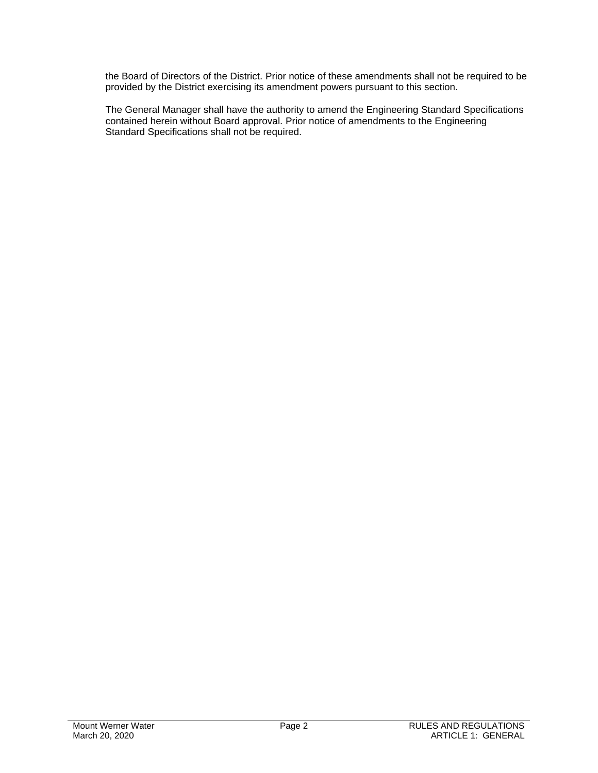the Board of Directors of the District. Prior notice of these amendments shall not be required to be provided by the District exercising its amendment powers pursuant to this section.

The General Manager shall have the authority to amend the Engineering Standard Specifications contained herein without Board approval. Prior notice of amendments to the Engineering Standard Specifications shall not be required.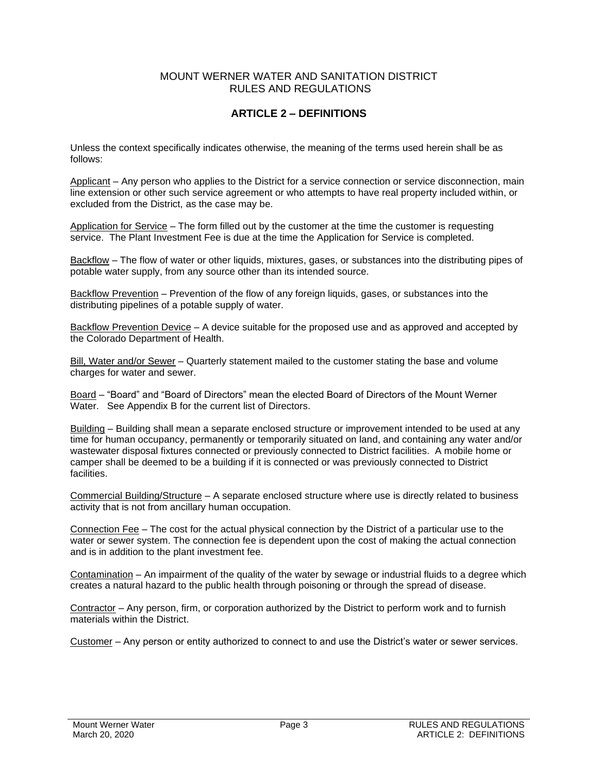# **ARTICLE 2 – DEFINITIONS**

Unless the context specifically indicates otherwise, the meaning of the terms used herein shall be as follows:

Applicant – Any person who applies to the District for a service connection or service disconnection, main line extension or other such service agreement or who attempts to have real property included within, or excluded from the District, as the case may be.

Application for Service – The form filled out by the customer at the time the customer is requesting service. The Plant Investment Fee is due at the time the Application for Service is completed.

Backflow – The flow of water or other liquids, mixtures, gases, or substances into the distributing pipes of potable water supply, from any source other than its intended source.

Backflow Prevention – Prevention of the flow of any foreign liquids, gases, or substances into the distributing pipelines of a potable supply of water.

Backflow Prevention Device – A device suitable for the proposed use and as approved and accepted by the Colorado Department of Health.

Bill, Water and/or Sewer - Quarterly statement mailed to the customer stating the base and volume charges for water and sewer.

Board – "Board" and "Board of Directors" mean the elected Board of Directors of the Mount Werner Water. See Appendix B for the current list of Directors.

Building – Building shall mean a separate enclosed structure or improvement intended to be used at any time for human occupancy, permanently or temporarily situated on land, and containing any water and/or wastewater disposal fixtures connected or previously connected to District facilities. A mobile home or camper shall be deemed to be a building if it is connected or was previously connected to District facilities.

Commercial Building/Structure – A separate enclosed structure where use is directly related to business activity that is not from ancillary human occupation.

Connection Fee – The cost for the actual physical connection by the District of a particular use to the water or sewer system. The connection fee is dependent upon the cost of making the actual connection and is in addition to the plant investment fee.

Contamination – An impairment of the quality of the water by sewage or industrial fluids to a degree which creates a natural hazard to the public health through poisoning or through the spread of disease.

Contractor – Any person, firm, or corporation authorized by the District to perform work and to furnish materials within the District.

Customer – Any person or entity authorized to connect to and use the District's water or sewer services.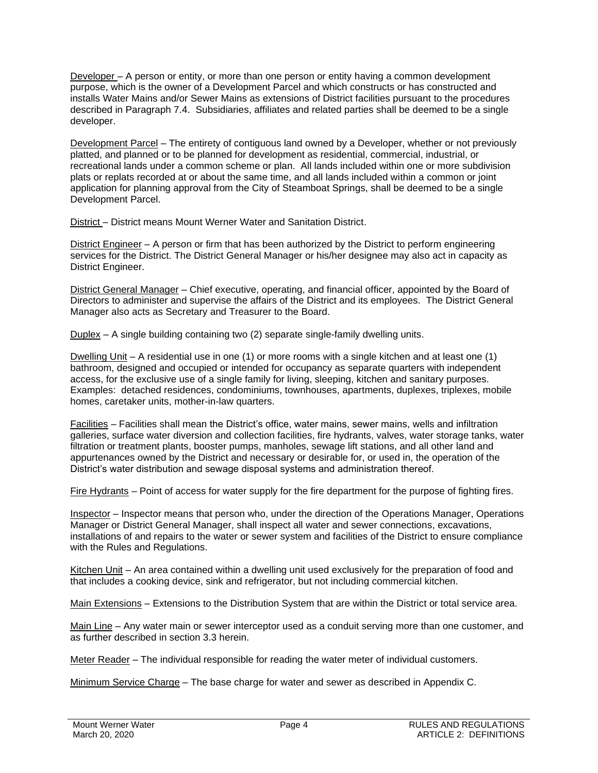Developer – A person or entity, or more than one person or entity having a common development purpose, which is the owner of a Development Parcel and which constructs or has constructed and installs Water Mains and/or Sewer Mains as extensions of District facilities pursuant to the procedures described in Paragraph 7.4. Subsidiaries, affiliates and related parties shall be deemed to be a single developer.

Development Parcel – The entirety of contiguous land owned by a Developer, whether or not previously platted, and planned or to be planned for development as residential, commercial, industrial, or recreational lands under a common scheme or plan. All lands included within one or more subdivision plats or replats recorded at or about the same time, and all lands included within a common or joint application for planning approval from the City of Steamboat Springs, shall be deemed to be a single Development Parcel.

District – District means Mount Werner Water and Sanitation District.

District Engineer – A person or firm that has been authorized by the District to perform engineering services for the District. The District General Manager or his/her designee may also act in capacity as District Engineer.

District General Manager – Chief executive, operating, and financial officer, appointed by the Board of Directors to administer and supervise the affairs of the District and its employees. The District General Manager also acts as Secretary and Treasurer to the Board.

Duplex – A single building containing two (2) separate single-family dwelling units.

Dwelling Unit – A residential use in one (1) or more rooms with a single kitchen and at least one (1) bathroom, designed and occupied or intended for occupancy as separate quarters with independent access, for the exclusive use of a single family for living, sleeping, kitchen and sanitary purposes. Examples: detached residences, condominiums, townhouses, apartments, duplexes, triplexes, mobile homes, caretaker units, mother-in-law quarters.

Facilities – Facilities shall mean the District's office, water mains, sewer mains, wells and infiltration galleries, surface water diversion and collection facilities, fire hydrants, valves, water storage tanks, water filtration or treatment plants, booster pumps, manholes, sewage lift stations, and all other land and appurtenances owned by the District and necessary or desirable for, or used in, the operation of the District's water distribution and sewage disposal systems and administration thereof.

Fire Hydrants – Point of access for water supply for the fire department for the purpose of fighting fires.

Inspector – Inspector means that person who, under the direction of the Operations Manager, Operations Manager or District General Manager, shall inspect all water and sewer connections, excavations, installations of and repairs to the water or sewer system and facilities of the District to ensure compliance with the Rules and Regulations.

Kitchen Unit – An area contained within a dwelling unit used exclusively for the preparation of food and that includes a cooking device, sink and refrigerator, but not including commercial kitchen.

Main Extensions – Extensions to the Distribution System that are within the District or total service area.

Main Line – Any water main or sewer interceptor used as a conduit serving more than one customer, and as further described in section 3.3 herein.

Meter Reader – The individual responsible for reading the water meter of individual customers.

Minimum Service Charge – The base charge for water and sewer as described in Appendix C.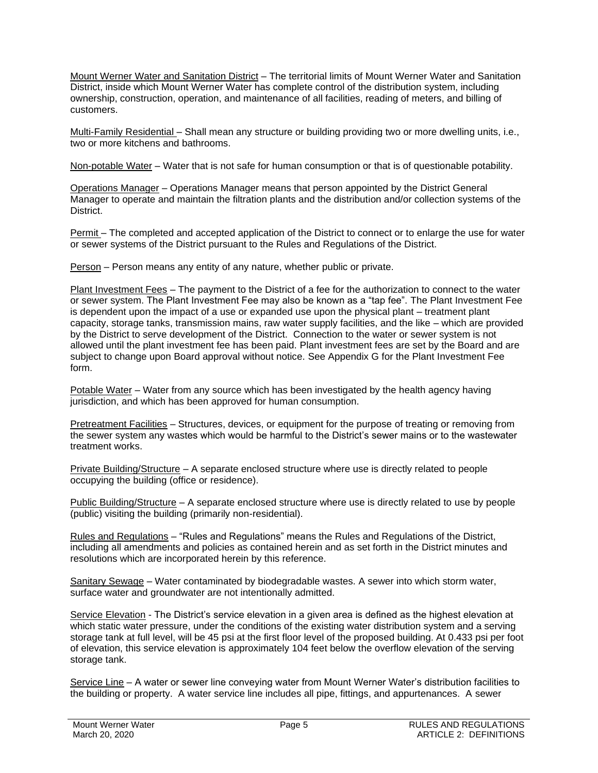Mount Werner Water and Sanitation District – The territorial limits of Mount Werner Water and Sanitation District, inside which Mount Werner Water has complete control of the distribution system, including ownership, construction, operation, and maintenance of all facilities, reading of meters, and billing of customers.

Multi-Family Residential – Shall mean any structure or building providing two or more dwelling units, i.e., two or more kitchens and bathrooms.

Non-potable Water – Water that is not safe for human consumption or that is of questionable potability.

Operations Manager – Operations Manager means that person appointed by the District General Manager to operate and maintain the filtration plants and the distribution and/or collection systems of the District.

Permit – The completed and accepted application of the District to connect or to enlarge the use for water or sewer systems of the District pursuant to the Rules and Regulations of the District.

Person – Person means any entity of any nature, whether public or private.

Plant Investment Fees - The payment to the District of a fee for the authorization to connect to the water or sewer system. The Plant Investment Fee may also be known as a "tap fee". The Plant Investment Fee is dependent upon the impact of a use or expanded use upon the physical plant – treatment plant capacity, storage tanks, transmission mains, raw water supply facilities, and the like – which are provided by the District to serve development of the District. Connection to the water or sewer system is not allowed until the plant investment fee has been paid. Plant investment fees are set by the Board and are subject to change upon Board approval without notice. See Appendix G for the Plant Investment Fee form.

Potable Water – Water from any source which has been investigated by the health agency having jurisdiction, and which has been approved for human consumption.

Pretreatment Facilities – Structures, devices, or equipment for the purpose of treating or removing from the sewer system any wastes which would be harmful to the District's sewer mains or to the wastewater treatment works.

Private Building/Structure – A separate enclosed structure where use is directly related to people occupying the building (office or residence).

Public Building/Structure – A separate enclosed structure where use is directly related to use by people (public) visiting the building (primarily non-residential).

Rules and Regulations – "Rules and Regulations" means the Rules and Regulations of the District, including all amendments and policies as contained herein and as set forth in the District minutes and resolutions which are incorporated herein by this reference.

Sanitary Sewage – Water contaminated by biodegradable wastes. A sewer into which storm water, surface water and groundwater are not intentionally admitted.

Service Elevation - The District's service elevation in a given area is defined as the highest elevation at which static water pressure, under the conditions of the existing water distribution system and a serving storage tank at full level, will be 45 psi at the first floor level of the proposed building. At 0.433 psi per foot of elevation, this service elevation is approximately 104 feet below the overflow elevation of the serving storage tank.

Service Line – A water or sewer line conveying water from Mount Werner Water's distribution facilities to the building or property. A water service line includes all pipe, fittings, and appurtenances. A sewer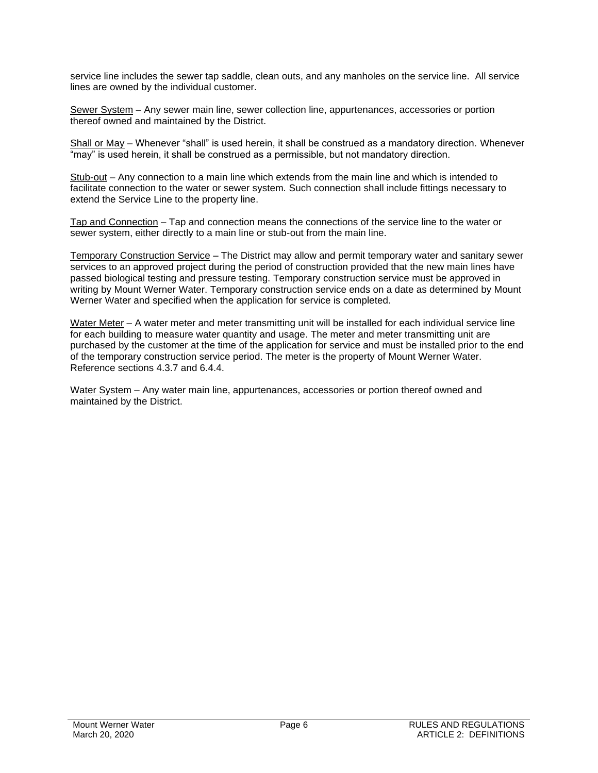service line includes the sewer tap saddle, clean outs, and any manholes on the service line. All service lines are owned by the individual customer.

Sewer System – Any sewer main line, sewer collection line, appurtenances, accessories or portion thereof owned and maintained by the District.

Shall or May – Whenever "shall" is used herein, it shall be construed as a mandatory direction. Whenever "may" is used herein, it shall be construed as a permissible, but not mandatory direction.

Stub-out – Any connection to a main line which extends from the main line and which is intended to facilitate connection to the water or sewer system. Such connection shall include fittings necessary to extend the Service Line to the property line.

Tap and Connection – Tap and connection means the connections of the service line to the water or sewer system, either directly to a main line or stub-out from the main line.

Temporary Construction Service – The District may allow and permit temporary water and sanitary sewer services to an approved project during the period of construction provided that the new main lines have passed biological testing and pressure testing. Temporary construction service must be approved in writing by Mount Werner Water. Temporary construction service ends on a date as determined by Mount Werner Water and specified when the application for service is completed.

Water Meter – A water meter and meter transmitting unit will be installed for each individual service line for each building to measure water quantity and usage. The meter and meter transmitting unit are purchased by the customer at the time of the application for service and must be installed prior to the end of the temporary construction service period. The meter is the property of Mount Werner Water. Reference sections 4.3.7 and 6.4.4.

Water System – Any water main line, appurtenances, accessories or portion thereof owned and maintained by the District.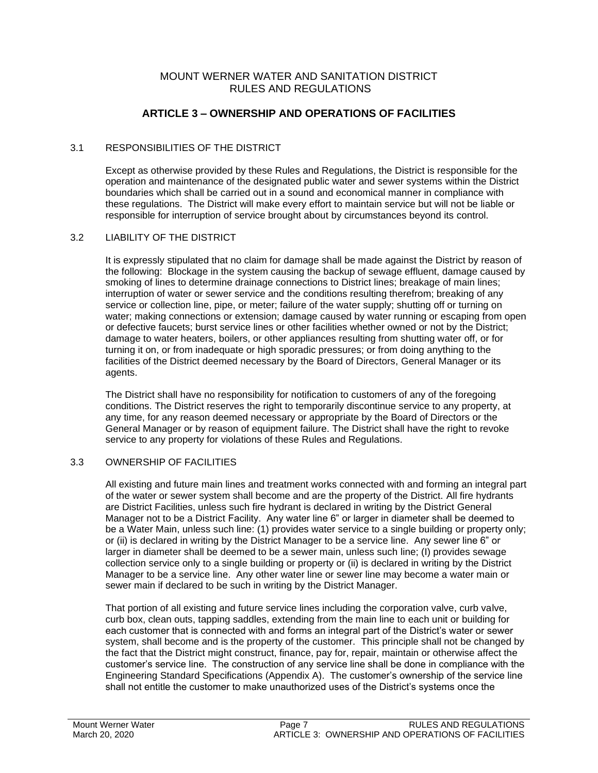# **ARTICLE 3 – OWNERSHIP AND OPERATIONS OF FACILITIES**

# 3.1 RESPONSIBILITIES OF THE DISTRICT

Except as otherwise provided by these Rules and Regulations, the District is responsible for the operation and maintenance of the designated public water and sewer systems within the District boundaries which shall be carried out in a sound and economical manner in compliance with these regulations. The District will make every effort to maintain service but will not be liable or responsible for interruption of service brought about by circumstances beyond its control.

#### 3.2 LIABILITY OF THE DISTRICT

It is expressly stipulated that no claim for damage shall be made against the District by reason of the following: Blockage in the system causing the backup of sewage effluent, damage caused by smoking of lines to determine drainage connections to District lines; breakage of main lines; interruption of water or sewer service and the conditions resulting therefrom; breaking of any service or collection line, pipe, or meter; failure of the water supply; shutting off or turning on water; making connections or extension; damage caused by water running or escaping from open or defective faucets; burst service lines or other facilities whether owned or not by the District; damage to water heaters, boilers, or other appliances resulting from shutting water off, or for turning it on, or from inadequate or high sporadic pressures; or from doing anything to the facilities of the District deemed necessary by the Board of Directors, General Manager or its agents.

The District shall have no responsibility for notification to customers of any of the foregoing conditions. The District reserves the right to temporarily discontinue service to any property, at any time, for any reason deemed necessary or appropriate by the Board of Directors or the General Manager or by reason of equipment failure. The District shall have the right to revoke service to any property for violations of these Rules and Regulations.

# 3.3 OWNERSHIP OF FACILITIES

All existing and future main lines and treatment works connected with and forming an integral part of the water or sewer system shall become and are the property of the District. All fire hydrants are District Facilities, unless such fire hydrant is declared in writing by the District General Manager not to be a District Facility. Any water line 6" or larger in diameter shall be deemed to be a Water Main, unless such line: (1) provides water service to a single building or property only; or (ii) is declared in writing by the District Manager to be a service line. Any sewer line 6" or larger in diameter shall be deemed to be a sewer main, unless such line; (I) provides sewage collection service only to a single building or property or (ii) is declared in writing by the District Manager to be a service line. Any other water line or sewer line may become a water main or sewer main if declared to be such in writing by the District Manager.

That portion of all existing and future service lines including the corporation valve, curb valve, curb box, clean outs, tapping saddles, extending from the main line to each unit or building for each customer that is connected with and forms an integral part of the District's water or sewer system, shall become and is the property of the customer. This principle shall not be changed by the fact that the District might construct, finance, pay for, repair, maintain or otherwise affect the customer's service line. The construction of any service line shall be done in compliance with the Engineering Standard Specifications (Appendix A). The customer's ownership of the service line shall not entitle the customer to make unauthorized uses of the District's systems once the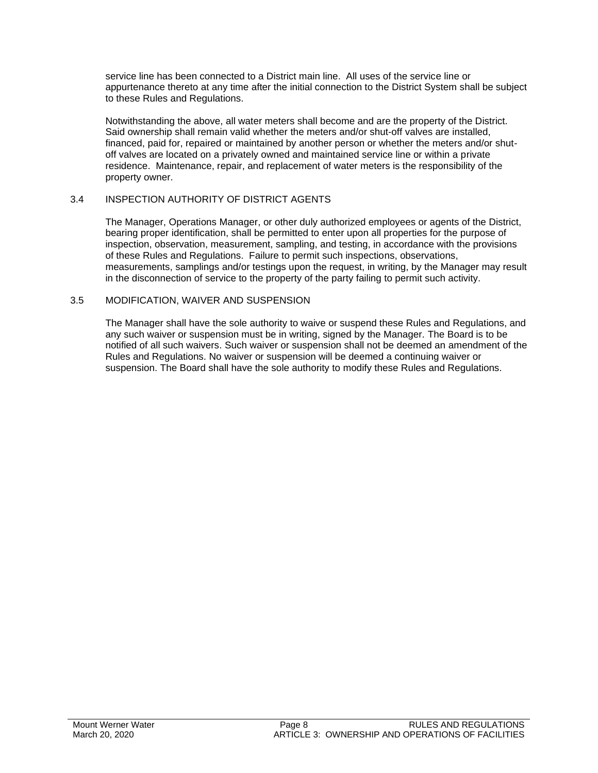service line has been connected to a District main line. All uses of the service line or appurtenance thereto at any time after the initial connection to the District System shall be subject to these Rules and Regulations.

Notwithstanding the above, all water meters shall become and are the property of the District. Said ownership shall remain valid whether the meters and/or shut-off valves are installed, financed, paid for, repaired or maintained by another person or whether the meters and/or shutoff valves are located on a privately owned and maintained service line or within a private residence. Maintenance, repair, and replacement of water meters is the responsibility of the property owner.

#### 3.4 INSPECTION AUTHORITY OF DISTRICT AGENTS

The Manager, Operations Manager, or other duly authorized employees or agents of the District, bearing proper identification, shall be permitted to enter upon all properties for the purpose of inspection, observation, measurement, sampling, and testing, in accordance with the provisions of these Rules and Regulations. Failure to permit such inspections, observations, measurements, samplings and/or testings upon the request, in writing, by the Manager may result in the disconnection of service to the property of the party failing to permit such activity.

#### 3.5 MODIFICATION, WAIVER AND SUSPENSION

The Manager shall have the sole authority to waive or suspend these Rules and Regulations, and any such waiver or suspension must be in writing, signed by the Manager. The Board is to be notified of all such waivers. Such waiver or suspension shall not be deemed an amendment of the Rules and Regulations. No waiver or suspension will be deemed a continuing waiver or suspension. The Board shall have the sole authority to modify these Rules and Regulations.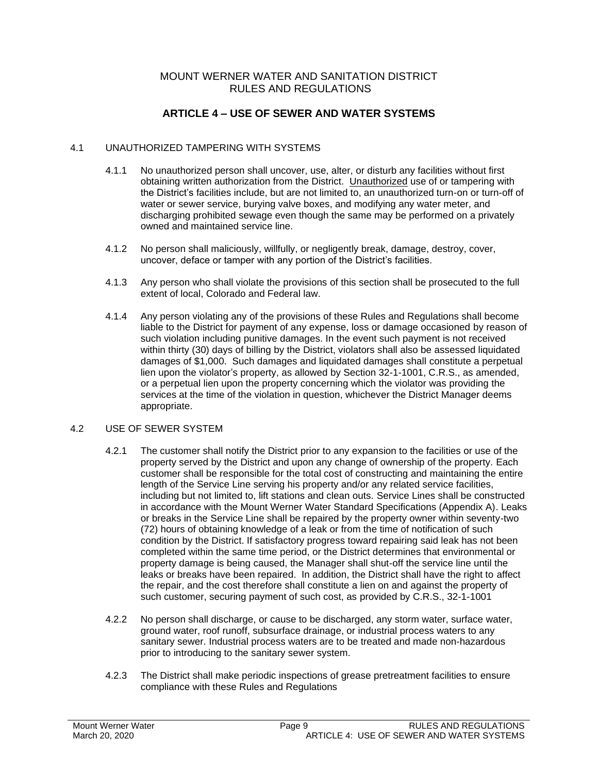# **ARTICLE 4 – USE OF SEWER AND WATER SYSTEMS**

#### 4.1 UNAUTHORIZED TAMPERING WITH SYSTEMS

- 4.1.1 No unauthorized person shall uncover, use, alter, or disturb any facilities without first obtaining written authorization from the District. Unauthorized use of or tampering with the District's facilities include, but are not limited to, an unauthorized turn-on or turn-off of water or sewer service, burying valve boxes, and modifying any water meter, and discharging prohibited sewage even though the same may be performed on a privately owned and maintained service line.
- 4.1.2 No person shall maliciously, willfully, or negligently break, damage, destroy, cover, uncover, deface or tamper with any portion of the District's facilities.
- 4.1.3 Any person who shall violate the provisions of this section shall be prosecuted to the full extent of local, Colorado and Federal law.
- 4.1.4 Any person violating any of the provisions of these Rules and Regulations shall become liable to the District for payment of any expense, loss or damage occasioned by reason of such violation including punitive damages. In the event such payment is not received within thirty (30) days of billing by the District, violators shall also be assessed liquidated damages of \$1,000. Such damages and liquidated damages shall constitute a perpetual lien upon the violator's property, as allowed by Section 32-1-1001, C.R.S., as amended, or a perpetual lien upon the property concerning which the violator was providing the services at the time of the violation in question, whichever the District Manager deems appropriate.

#### 4.2 USE OF SEWER SYSTEM

- 4.2.1 The customer shall notify the District prior to any expansion to the facilities or use of the property served by the District and upon any change of ownership of the property. Each customer shall be responsible for the total cost of constructing and maintaining the entire length of the Service Line serving his property and/or any related service facilities, including but not limited to, lift stations and clean outs. Service Lines shall be constructed in accordance with the Mount Werner Water Standard Specifications (Appendix A). Leaks or breaks in the Service Line shall be repaired by the property owner within seventy-two (72) hours of obtaining knowledge of a leak or from the time of notification of such condition by the District. If satisfactory progress toward repairing said leak has not been completed within the same time period, or the District determines that environmental or property damage is being caused, the Manager shall shut-off the service line until the leaks or breaks have been repaired. In addition, the District shall have the right to affect the repair, and the cost therefore shall constitute a lien on and against the property of such customer, securing payment of such cost, as provided by C.R.S., 32-1-1001
- 4.2.2 No person shall discharge, or cause to be discharged, any storm water, surface water, ground water, roof runoff, subsurface drainage, or industrial process waters to any sanitary sewer. Industrial process waters are to be treated and made non-hazardous prior to introducing to the sanitary sewer system.
- 4.2.3 The District shall make periodic inspections of grease pretreatment facilities to ensure compliance with these Rules and Regulations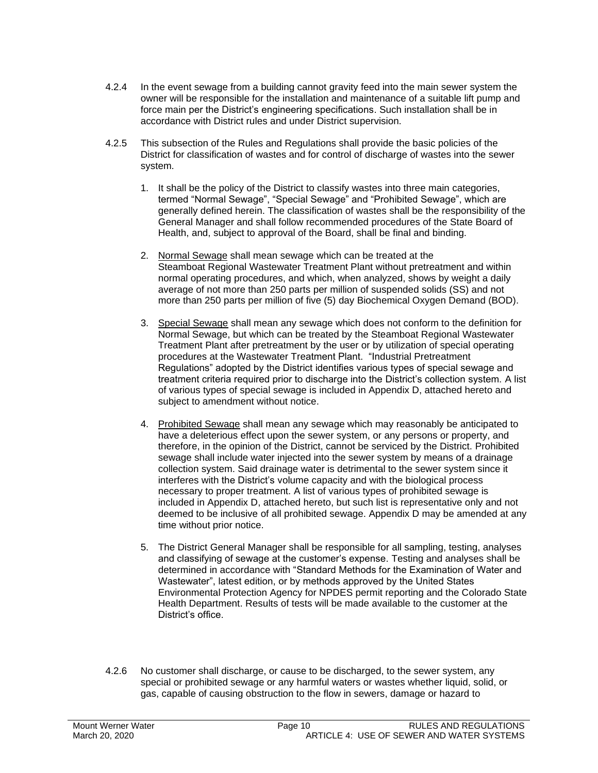- 4.2.4 In the event sewage from a building cannot gravity feed into the main sewer system the owner will be responsible for the installation and maintenance of a suitable lift pump and force main per the District's engineering specifications. Such installation shall be in accordance with District rules and under District supervision.
- 4.2.5 This subsection of the Rules and Regulations shall provide the basic policies of the District for classification of wastes and for control of discharge of wastes into the sewer system.
	- 1. It shall be the policy of the District to classify wastes into three main categories, termed "Normal Sewage", "Special Sewage" and "Prohibited Sewage", which are generally defined herein. The classification of wastes shall be the responsibility of the General Manager and shall follow recommended procedures of the State Board of Health, and, subject to approval of the Board, shall be final and binding.
	- 2. Normal Sewage shall mean sewage which can be treated at the Steamboat Regional Wastewater Treatment Plant without pretreatment and within normal operating procedures, and which, when analyzed, shows by weight a daily average of not more than 250 parts per million of suspended solids (SS) and not more than 250 parts per million of five (5) day Biochemical Oxygen Demand (BOD).
	- 3. Special Sewage shall mean any sewage which does not conform to the definition for Normal Sewage, but which can be treated by the Steamboat Regional Wastewater Treatment Plant after pretreatment by the user or by utilization of special operating procedures at the Wastewater Treatment Plant. "Industrial Pretreatment Regulations" adopted by the District identifies various types of special sewage and treatment criteria required prior to discharge into the District's collection system. A list of various types of special sewage is included in Appendix D, attached hereto and subject to amendment without notice.
	- 4. Prohibited Sewage shall mean any sewage which may reasonably be anticipated to have a deleterious effect upon the sewer system, or any persons or property, and therefore, in the opinion of the District, cannot be serviced by the District. Prohibited sewage shall include water injected into the sewer system by means of a drainage collection system. Said drainage water is detrimental to the sewer system since it interferes with the District's volume capacity and with the biological process necessary to proper treatment. A list of various types of prohibited sewage is included in Appendix D, attached hereto, but such list is representative only and not deemed to be inclusive of all prohibited sewage. Appendix D may be amended at any time without prior notice.
	- 5. The District General Manager shall be responsible for all sampling, testing, analyses and classifying of sewage at the customer's expense. Testing and analyses shall be determined in accordance with "Standard Methods for the Examination of Water and Wastewater", latest edition, or by methods approved by the United States Environmental Protection Agency for NPDES permit reporting and the Colorado State Health Department. Results of tests will be made available to the customer at the District's office.
- 4.2.6 No customer shall discharge, or cause to be discharged, to the sewer system, any special or prohibited sewage or any harmful waters or wastes whether liquid, solid, or gas, capable of causing obstruction to the flow in sewers, damage or hazard to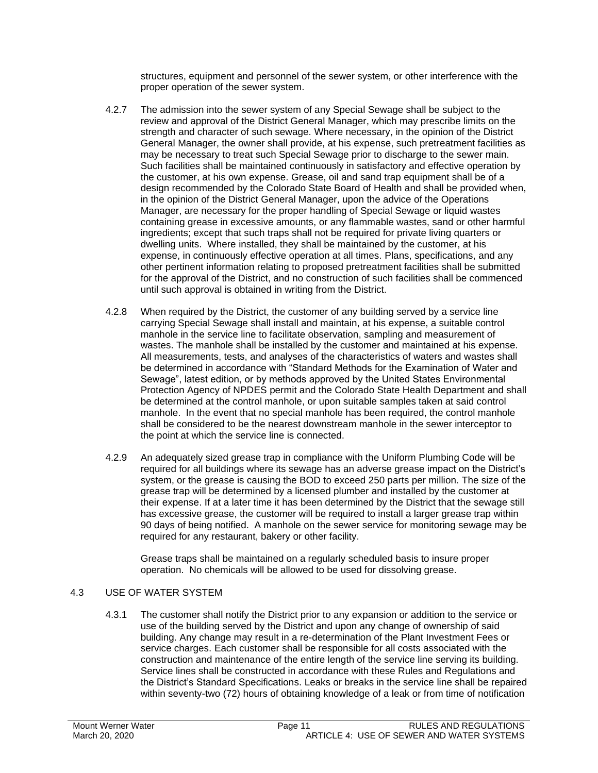structures, equipment and personnel of the sewer system, or other interference with the proper operation of the sewer system.

- 4.2.7 The admission into the sewer system of any Special Sewage shall be subject to the review and approval of the District General Manager, which may prescribe limits on the strength and character of such sewage. Where necessary, in the opinion of the District General Manager, the owner shall provide, at his expense, such pretreatment facilities as may be necessary to treat such Special Sewage prior to discharge to the sewer main. Such facilities shall be maintained continuously in satisfactory and effective operation by the customer, at his own expense. Grease, oil and sand trap equipment shall be of a design recommended by the Colorado State Board of Health and shall be provided when, in the opinion of the District General Manager, upon the advice of the Operations Manager, are necessary for the proper handling of Special Sewage or liquid wastes containing grease in excessive amounts, or any flammable wastes, sand or other harmful ingredients; except that such traps shall not be required for private living quarters or dwelling units. Where installed, they shall be maintained by the customer, at his expense, in continuously effective operation at all times. Plans, specifications, and any other pertinent information relating to proposed pretreatment facilities shall be submitted for the approval of the District, and no construction of such facilities shall be commenced until such approval is obtained in writing from the District.
- 4.2.8 When required by the District, the customer of any building served by a service line carrying Special Sewage shall install and maintain, at his expense, a suitable control manhole in the service line to facilitate observation, sampling and measurement of wastes. The manhole shall be installed by the customer and maintained at his expense. All measurements, tests, and analyses of the characteristics of waters and wastes shall be determined in accordance with "Standard Methods for the Examination of Water and Sewage", latest edition, or by methods approved by the United States Environmental Protection Agency of NPDES permit and the Colorado State Health Department and shall be determined at the control manhole, or upon suitable samples taken at said control manhole. In the event that no special manhole has been required, the control manhole shall be considered to be the nearest downstream manhole in the sewer interceptor to the point at which the service line is connected.
- 4.2.9 An adequately sized grease trap in compliance with the Uniform Plumbing Code will be required for all buildings where its sewage has an adverse grease impact on the District's system, or the grease is causing the BOD to exceed 250 parts per million. The size of the grease trap will be determined by a licensed plumber and installed by the customer at their expense. If at a later time it has been determined by the District that the sewage still has excessive grease, the customer will be required to install a larger grease trap within 90 days of being notified. A manhole on the sewer service for monitoring sewage may be required for any restaurant, bakery or other facility.

Grease traps shall be maintained on a regularly scheduled basis to insure proper operation. No chemicals will be allowed to be used for dissolving grease.

# 4.3 USE OF WATER SYSTEM

4.3.1 The customer shall notify the District prior to any expansion or addition to the service or use of the building served by the District and upon any change of ownership of said building. Any change may result in a re-determination of the Plant Investment Fees or service charges. Each customer shall be responsible for all costs associated with the construction and maintenance of the entire length of the service line serving its building. Service lines shall be constructed in accordance with these Rules and Regulations and the District's Standard Specifications. Leaks or breaks in the service line shall be repaired within seventy-two (72) hours of obtaining knowledge of a leak or from time of notification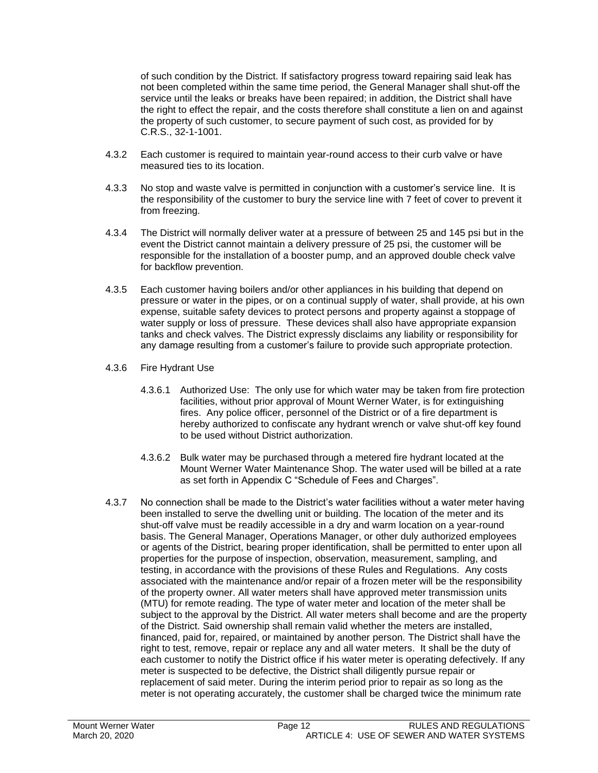of such condition by the District. If satisfactory progress toward repairing said leak has not been completed within the same time period, the General Manager shall shut-off the service until the leaks or breaks have been repaired; in addition, the District shall have the right to effect the repair, and the costs therefore shall constitute a lien on and against the property of such customer, to secure payment of such cost, as provided for by C.R.S., 32-1-1001.

- 4.3.2 Each customer is required to maintain year-round access to their curb valve or have measured ties to its location.
- 4.3.3 No stop and waste valve is permitted in conjunction with a customer's service line. It is the responsibility of the customer to bury the service line with 7 feet of cover to prevent it from freezing.
- 4.3.4 The District will normally deliver water at a pressure of between 25 and 145 psi but in the event the District cannot maintain a delivery pressure of 25 psi, the customer will be responsible for the installation of a booster pump, and an approved double check valve for backflow prevention.
- 4.3.5 Each customer having boilers and/or other appliances in his building that depend on pressure or water in the pipes, or on a continual supply of water, shall provide, at his own expense, suitable safety devices to protect persons and property against a stoppage of water supply or loss of pressure. These devices shall also have appropriate expansion tanks and check valves. The District expressly disclaims any liability or responsibility for any damage resulting from a customer's failure to provide such appropriate protection.
- 4.3.6 Fire Hydrant Use
	- 4.3.6.1 Authorized Use: The only use for which water may be taken from fire protection facilities, without prior approval of Mount Werner Water, is for extinguishing fires. Any police officer, personnel of the District or of a fire department is hereby authorized to confiscate any hydrant wrench or valve shut-off key found to be used without District authorization.
	- 4.3.6.2 Bulk water may be purchased through a metered fire hydrant located at the Mount Werner Water Maintenance Shop. The water used will be billed at a rate as set forth in Appendix C "Schedule of Fees and Charges".
- 4.3.7 No connection shall be made to the District's water facilities without a water meter having been installed to serve the dwelling unit or building. The location of the meter and its shut-off valve must be readily accessible in a dry and warm location on a year-round basis. The General Manager, Operations Manager, or other duly authorized employees or agents of the District, bearing proper identification, shall be permitted to enter upon all properties for the purpose of inspection, observation, measurement, sampling, and testing, in accordance with the provisions of these Rules and Regulations. Any costs associated with the maintenance and/or repair of a frozen meter will be the responsibility of the property owner. All water meters shall have approved meter transmission units (MTU) for remote reading. The type of water meter and location of the meter shall be subject to the approval by the District. All water meters shall become and are the property of the District. Said ownership shall remain valid whether the meters are installed, financed, paid for, repaired, or maintained by another person. The District shall have the right to test, remove, repair or replace any and all water meters. It shall be the duty of each customer to notify the District office if his water meter is operating defectively. If any meter is suspected to be defective, the District shall diligently pursue repair or replacement of said meter. During the interim period prior to repair as so long as the meter is not operating accurately, the customer shall be charged twice the minimum rate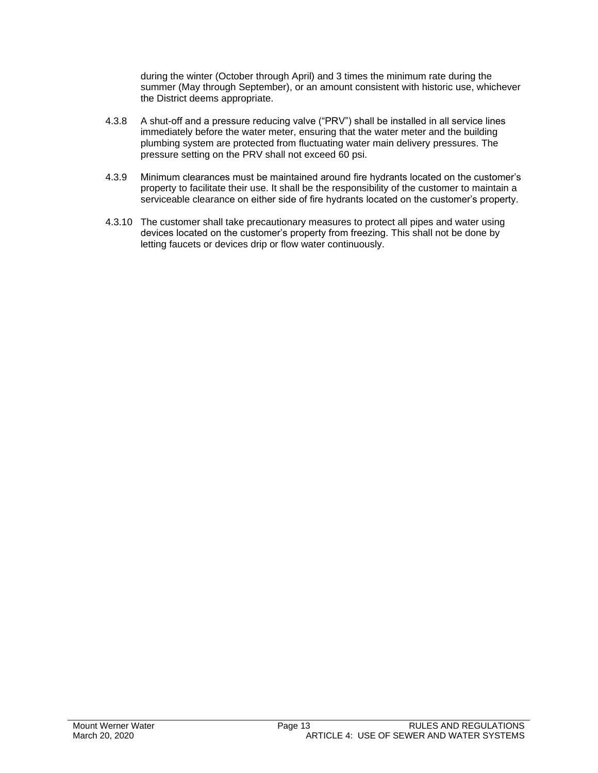during the winter (October through April) and 3 times the minimum rate during the summer (May through September), or an amount consistent with historic use, whichever the District deems appropriate.

- 4.3.8 A shut-off and a pressure reducing valve ("PRV") shall be installed in all service lines immediately before the water meter, ensuring that the water meter and the building plumbing system are protected from fluctuating water main delivery pressures. The pressure setting on the PRV shall not exceed 60 psi.
- 4.3.9 Minimum clearances must be maintained around fire hydrants located on the customer's property to facilitate their use. It shall be the responsibility of the customer to maintain a serviceable clearance on either side of fire hydrants located on the customer's property.
- 4.3.10 The customer shall take precautionary measures to protect all pipes and water using devices located on the customer's property from freezing. This shall not be done by letting faucets or devices drip or flow water continuously.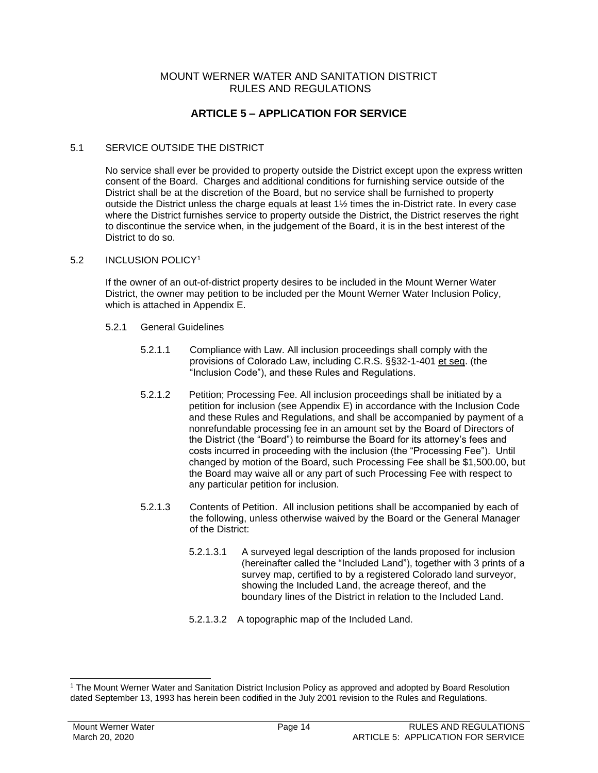# **ARTICLE 5 – APPLICATION FOR SERVICE**

#### 5.1 SERVICE OUTSIDE THE DISTRICT

No service shall ever be provided to property outside the District except upon the express written consent of the Board. Charges and additional conditions for furnishing service outside of the District shall be at the discretion of the Board, but no service shall be furnished to property outside the District unless the charge equals at least 1½ times the in-District rate. In every case where the District furnishes service to property outside the District, the District reserves the right to discontinue the service when, in the judgement of the Board, it is in the best interest of the District to do so.

#### 5.2 INCLUSION POLICY<sup>1</sup>

If the owner of an out-of-district property desires to be included in the Mount Werner Water District, the owner may petition to be included per the Mount Werner Water Inclusion Policy, which is attached in Appendix E.

- 5.2.1 General Guidelines
	- 5.2.1.1 Compliance with Law. All inclusion proceedings shall comply with the provisions of Colorado Law, including C.R.S. §§32-1-401 et seq. (the "Inclusion Code"), and these Rules and Regulations.
	- 5.2.1.2 Petition; Processing Fee. All inclusion proceedings shall be initiated by a petition for inclusion (see Appendix E) in accordance with the Inclusion Code and these Rules and Regulations, and shall be accompanied by payment of a nonrefundable processing fee in an amount set by the Board of Directors of the District (the "Board") to reimburse the Board for its attorney's fees and costs incurred in proceeding with the inclusion (the "Processing Fee"). Until changed by motion of the Board, such Processing Fee shall be \$1,500.00, but the Board may waive all or any part of such Processing Fee with respect to any particular petition for inclusion.
	- 5.2.1.3 Contents of Petition. All inclusion petitions shall be accompanied by each of the following, unless otherwise waived by the Board or the General Manager of the District:
		- 5.2.1.3.1 A surveyed legal description of the lands proposed for inclusion (hereinafter called the "Included Land"), together with 3 prints of a survey map, certified to by a registered Colorado land surveyor, showing the Included Land, the acreage thereof, and the boundary lines of the District in relation to the Included Land.
		- 5.2.1.3.2 A topographic map of the Included Land.

<sup>1</sup> The Mount Werner Water and Sanitation District Inclusion Policy as approved and adopted by Board Resolution dated September 13, 1993 has herein been codified in the July 2001 revision to the Rules and Regulations.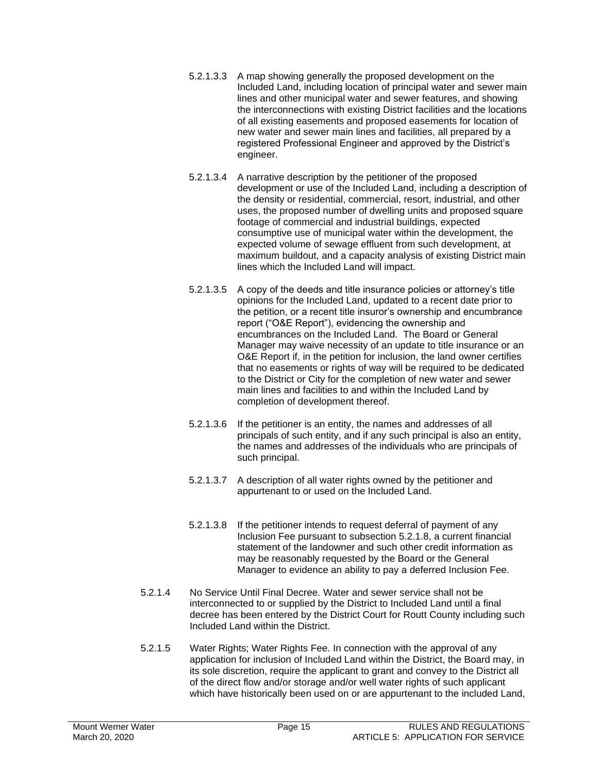- 5.2.1.3.3 A map showing generally the proposed development on the Included Land, including location of principal water and sewer main lines and other municipal water and sewer features, and showing the interconnections with existing District facilities and the locations of all existing easements and proposed easements for location of new water and sewer main lines and facilities, all prepared by a registered Professional Engineer and approved by the District's engineer.
- 5.2.1.3.4 A narrative description by the petitioner of the proposed development or use of the Included Land, including a description of the density or residential, commercial, resort, industrial, and other uses, the proposed number of dwelling units and proposed square footage of commercial and industrial buildings, expected consumptive use of municipal water within the development, the expected volume of sewage effluent from such development, at maximum buildout, and a capacity analysis of existing District main lines which the Included Land will impact.
- 5.2.1.3.5 A copy of the deeds and title insurance policies or attorney's title opinions for the Included Land, updated to a recent date prior to the petition, or a recent title insuror's ownership and encumbrance report ("O&E Report"), evidencing the ownership and encumbrances on the Included Land. The Board or General Manager may waive necessity of an update to title insurance or an O&E Report if, in the petition for inclusion, the land owner certifies that no easements or rights of way will be required to be dedicated to the District or City for the completion of new water and sewer main lines and facilities to and within the Included Land by completion of development thereof.
- 5.2.1.3.6 If the petitioner is an entity, the names and addresses of all principals of such entity, and if any such principal is also an entity, the names and addresses of the individuals who are principals of such principal.
- 5.2.1.3.7 A description of all water rights owned by the petitioner and appurtenant to or used on the Included Land.
- 5.2.1.3.8 If the petitioner intends to request deferral of payment of any Inclusion Fee pursuant to subsection 5.2.1.8, a current financial statement of the landowner and such other credit information as may be reasonably requested by the Board or the General Manager to evidence an ability to pay a deferred Inclusion Fee.
- 5.2.1.4 No Service Until Final Decree. Water and sewer service shall not be interconnected to or supplied by the District to Included Land until a final decree has been entered by the District Court for Routt County including such Included Land within the District.
- 5.2.1.5 Water Rights; Water Rights Fee. In connection with the approval of any application for inclusion of Included Land within the District, the Board may, in its sole discretion, require the applicant to grant and convey to the District all of the direct flow and/or storage and/or well water rights of such applicant which have historically been used on or are appurtenant to the included Land,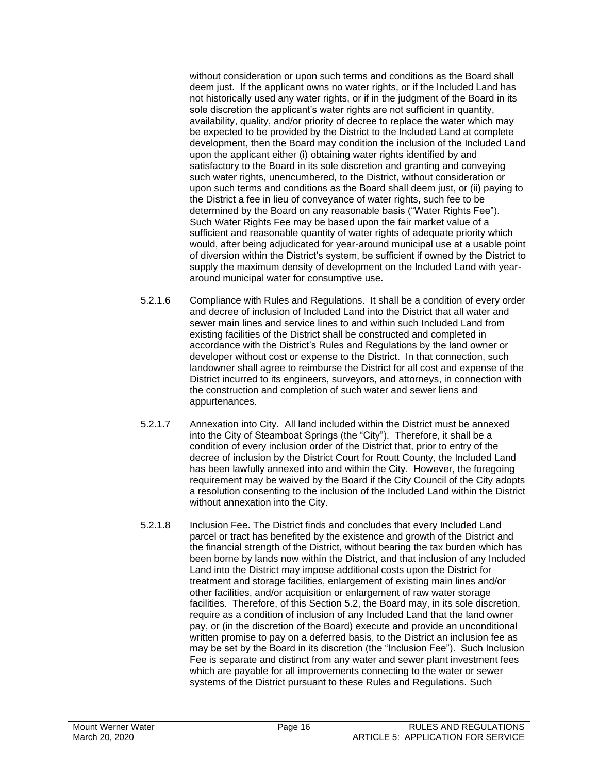without consideration or upon such terms and conditions as the Board shall deem just. If the applicant owns no water rights, or if the Included Land has not historically used any water rights, or if in the judgment of the Board in its sole discretion the applicant's water rights are not sufficient in quantity, availability, quality, and/or priority of decree to replace the water which may be expected to be provided by the District to the Included Land at complete development, then the Board may condition the inclusion of the Included Land upon the applicant either (i) obtaining water rights identified by and satisfactory to the Board in its sole discretion and granting and conveying such water rights, unencumbered, to the District, without consideration or upon such terms and conditions as the Board shall deem just, or (ii) paying to the District a fee in lieu of conveyance of water rights, such fee to be determined by the Board on any reasonable basis ("Water Rights Fee"). Such Water Rights Fee may be based upon the fair market value of a sufficient and reasonable quantity of water rights of adequate priority which would, after being adjudicated for year-around municipal use at a usable point of diversion within the District's system, be sufficient if owned by the District to supply the maximum density of development on the Included Land with yeararound municipal water for consumptive use.

- 5.2.1.6 Compliance with Rules and Regulations. It shall be a condition of every order and decree of inclusion of Included Land into the District that all water and sewer main lines and service lines to and within such Included Land from existing facilities of the District shall be constructed and completed in accordance with the District's Rules and Regulations by the land owner or developer without cost or expense to the District. In that connection, such landowner shall agree to reimburse the District for all cost and expense of the District incurred to its engineers, surveyors, and attorneys, in connection with the construction and completion of such water and sewer liens and appurtenances.
- 5.2.1.7 Annexation into City. All land included within the District must be annexed into the City of Steamboat Springs (the "City"). Therefore, it shall be a condition of every inclusion order of the District that, prior to entry of the decree of inclusion by the District Court for Routt County, the Included Land has been lawfully annexed into and within the City. However, the foregoing requirement may be waived by the Board if the City Council of the City adopts a resolution consenting to the inclusion of the Included Land within the District without annexation into the City.
- 5.2.1.8 Inclusion Fee. The District finds and concludes that every Included Land parcel or tract has benefited by the existence and growth of the District and the financial strength of the District, without bearing the tax burden which has been borne by lands now within the District, and that inclusion of any Included Land into the District may impose additional costs upon the District for treatment and storage facilities, enlargement of existing main lines and/or other facilities, and/or acquisition or enlargement of raw water storage facilities. Therefore, of this Section 5.2, the Board may, in its sole discretion, require as a condition of inclusion of any Included Land that the land owner pay, or (in the discretion of the Board) execute and provide an unconditional written promise to pay on a deferred basis, to the District an inclusion fee as may be set by the Board in its discretion (the "Inclusion Fee"). Such Inclusion Fee is separate and distinct from any water and sewer plant investment fees which are payable for all improvements connecting to the water or sewer systems of the District pursuant to these Rules and Regulations. Such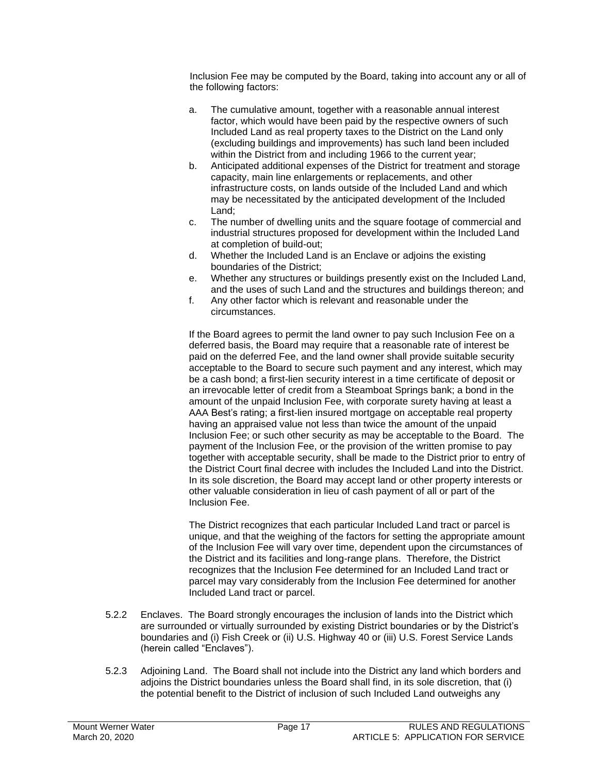Inclusion Fee may be computed by the Board, taking into account any or all of the following factors:

- a. The cumulative amount, together with a reasonable annual interest factor, which would have been paid by the respective owners of such Included Land as real property taxes to the District on the Land only (excluding buildings and improvements) has such land been included within the District from and including 1966 to the current year;
- b. Anticipated additional expenses of the District for treatment and storage capacity, main line enlargements or replacements, and other infrastructure costs, on lands outside of the Included Land and which may be necessitated by the anticipated development of the Included Land;
- c. The number of dwelling units and the square footage of commercial and industrial structures proposed for development within the Included Land at completion of build-out;
- d. Whether the Included Land is an Enclave or adjoins the existing boundaries of the District;
- e. Whether any structures or buildings presently exist on the Included Land, and the uses of such Land and the structures and buildings thereon; and
- f. Any other factor which is relevant and reasonable under the circumstances.

If the Board agrees to permit the land owner to pay such Inclusion Fee on a deferred basis, the Board may require that a reasonable rate of interest be paid on the deferred Fee, and the land owner shall provide suitable security acceptable to the Board to secure such payment and any interest, which may be a cash bond; a first-lien security interest in a time certificate of deposit or an irrevocable letter of credit from a Steamboat Springs bank; a bond in the amount of the unpaid Inclusion Fee, with corporate surety having at least a AAA Best's rating; a first-lien insured mortgage on acceptable real property having an appraised value not less than twice the amount of the unpaid Inclusion Fee; or such other security as may be acceptable to the Board. The payment of the Inclusion Fee, or the provision of the written promise to pay together with acceptable security, shall be made to the District prior to entry of the District Court final decree with includes the Included Land into the District. In its sole discretion, the Board may accept land or other property interests or other valuable consideration in lieu of cash payment of all or part of the Inclusion Fee.

The District recognizes that each particular Included Land tract or parcel is unique, and that the weighing of the factors for setting the appropriate amount of the Inclusion Fee will vary over time, dependent upon the circumstances of the District and its facilities and long-range plans. Therefore, the District recognizes that the Inclusion Fee determined for an Included Land tract or parcel may vary considerably from the Inclusion Fee determined for another Included Land tract or parcel.

- 5.2.2 Enclaves. The Board strongly encourages the inclusion of lands into the District which are surrounded or virtually surrounded by existing District boundaries or by the District's boundaries and (i) Fish Creek or (ii) U.S. Highway 40 or (iii) U.S. Forest Service Lands (herein called "Enclaves").
- 5.2.3 Adjoining Land. The Board shall not include into the District any land which borders and adjoins the District boundaries unless the Board shall find, in its sole discretion, that (i) the potential benefit to the District of inclusion of such Included Land outweighs any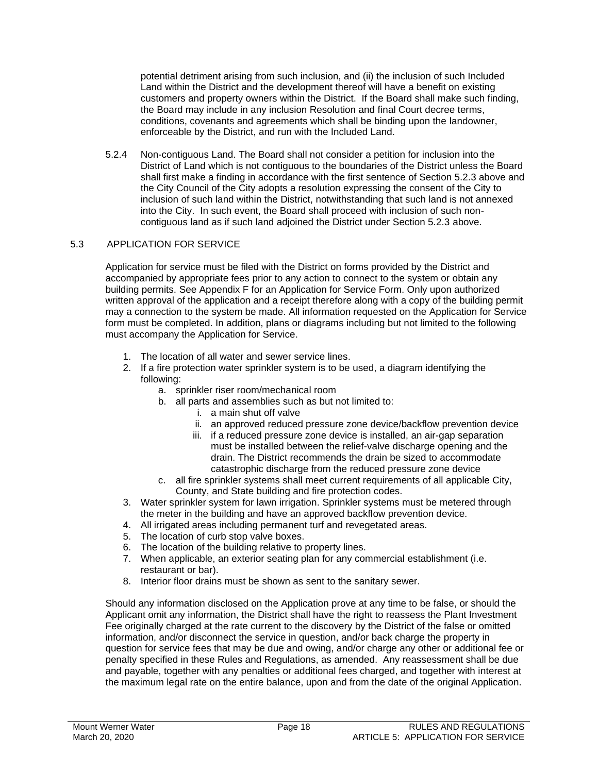potential detriment arising from such inclusion, and (ii) the inclusion of such Included Land within the District and the development thereof will have a benefit on existing customers and property owners within the District. If the Board shall make such finding, the Board may include in any inclusion Resolution and final Court decree terms, conditions, covenants and agreements which shall be binding upon the landowner, enforceable by the District, and run with the Included Land.

5.2.4 Non-contiguous Land. The Board shall not consider a petition for inclusion into the District of Land which is not contiguous to the boundaries of the District unless the Board shall first make a finding in accordance with the first sentence of Section 5.2.3 above and the City Council of the City adopts a resolution expressing the consent of the City to inclusion of such land within the District, notwithstanding that such land is not annexed into the City. In such event, the Board shall proceed with inclusion of such noncontiguous land as if such land adjoined the District under Section 5.2.3 above.

# 5.3 APPLICATION FOR SERVICE

Application for service must be filed with the District on forms provided by the District and accompanied by appropriate fees prior to any action to connect to the system or obtain any building permits. See Appendix F for an Application for Service Form. Only upon authorized written approval of the application and a receipt therefore along with a copy of the building permit may a connection to the system be made. All information requested on the Application for Service form must be completed. In addition, plans or diagrams including but not limited to the following must accompany the Application for Service.

- 1. The location of all water and sewer service lines.
- 2. If a fire protection water sprinkler system is to be used, a diagram identifying the following:
	- a. sprinkler riser room/mechanical room
	- b. all parts and assemblies such as but not limited to:
		- i. a main shut off valve
		- ii. an approved reduced pressure zone device/backflow prevention device
		- iii. if a reduced pressure zone device is installed, an air-gap separation must be installed between the relief-valve discharge opening and the drain. The District recommends the drain be sized to accommodate catastrophic discharge from the reduced pressure zone device
	- c. all fire sprinkler systems shall meet current requirements of all applicable City, County, and State building and fire protection codes.
- 3. Water sprinkler system for lawn irrigation. Sprinkler systems must be metered through the meter in the building and have an approved backflow prevention device.
- 4. All irrigated areas including permanent turf and revegetated areas.
- 5. The location of curb stop valve boxes.
- 6. The location of the building relative to property lines.
- 7. When applicable, an exterior seating plan for any commercial establishment (i.e. restaurant or bar).
- 8. Interior floor drains must be shown as sent to the sanitary sewer.

Should any information disclosed on the Application prove at any time to be false, or should the Applicant omit any information, the District shall have the right to reassess the Plant Investment Fee originally charged at the rate current to the discovery by the District of the false or omitted information, and/or disconnect the service in question, and/or back charge the property in question for service fees that may be due and owing, and/or charge any other or additional fee or penalty specified in these Rules and Regulations, as amended. Any reassessment shall be due and payable, together with any penalties or additional fees charged, and together with interest at the maximum legal rate on the entire balance, upon and from the date of the original Application.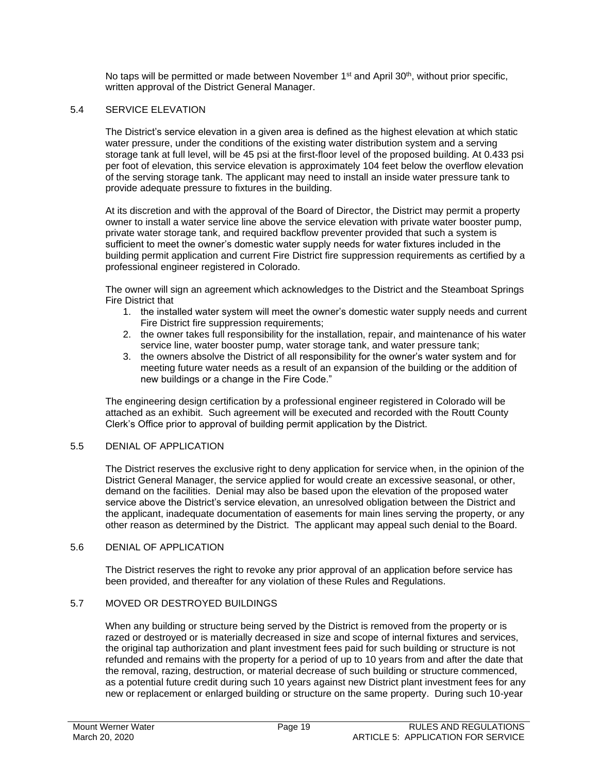No taps will be permitted or made between November  $1<sup>st</sup>$  and April 30<sup>th</sup>, without prior specific, written approval of the District General Manager.

#### 5.4 SERVICE ELEVATION

The District's service elevation in a given area is defined as the highest elevation at which static water pressure, under the conditions of the existing water distribution system and a serving storage tank at full level, will be 45 psi at the first-floor level of the proposed building. At 0.433 psi per foot of elevation, this service elevation is approximately 104 feet below the overflow elevation of the serving storage tank. The applicant may need to install an inside water pressure tank to provide adequate pressure to fixtures in the building.

At its discretion and with the approval of the Board of Director, the District may permit a property owner to install a water service line above the service elevation with private water booster pump, private water storage tank, and required backflow preventer provided that such a system is sufficient to meet the owner's domestic water supply needs for water fixtures included in the building permit application and current Fire District fire suppression requirements as certified by a professional engineer registered in Colorado.

The owner will sign an agreement which acknowledges to the District and the Steamboat Springs Fire District that

- 1. the installed water system will meet the owner's domestic water supply needs and current Fire District fire suppression requirements;
- 2. the owner takes full responsibility for the installation, repair, and maintenance of his water service line, water booster pump, water storage tank, and water pressure tank;
- 3. the owners absolve the District of all responsibility for the owner's water system and for meeting future water needs as a result of an expansion of the building or the addition of new buildings or a change in the Fire Code."

The engineering design certification by a professional engineer registered in Colorado will be attached as an exhibit. Such agreement will be executed and recorded with the Routt County Clerk's Office prior to approval of building permit application by the District.

#### 5.5 DENIAL OF APPLICATION

The District reserves the exclusive right to deny application for service when, in the opinion of the District General Manager, the service applied for would create an excessive seasonal, or other, demand on the facilities. Denial may also be based upon the elevation of the proposed water service above the District's service elevation, an unresolved obligation between the District and the applicant, inadequate documentation of easements for main lines serving the property, or any other reason as determined by the District. The applicant may appeal such denial to the Board.

#### 5.6 DENIAL OF APPLICATION

The District reserves the right to revoke any prior approval of an application before service has been provided, and thereafter for any violation of these Rules and Regulations.

#### 5.7 MOVED OR DESTROYED BUILDINGS

When any building or structure being served by the District is removed from the property or is razed or destroyed or is materially decreased in size and scope of internal fixtures and services, the original tap authorization and plant investment fees paid for such building or structure is not refunded and remains with the property for a period of up to 10 years from and after the date that the removal, razing, destruction, or material decrease of such building or structure commenced, as a potential future credit during such 10 years against new District plant investment fees for any new or replacement or enlarged building or structure on the same property. During such 10-year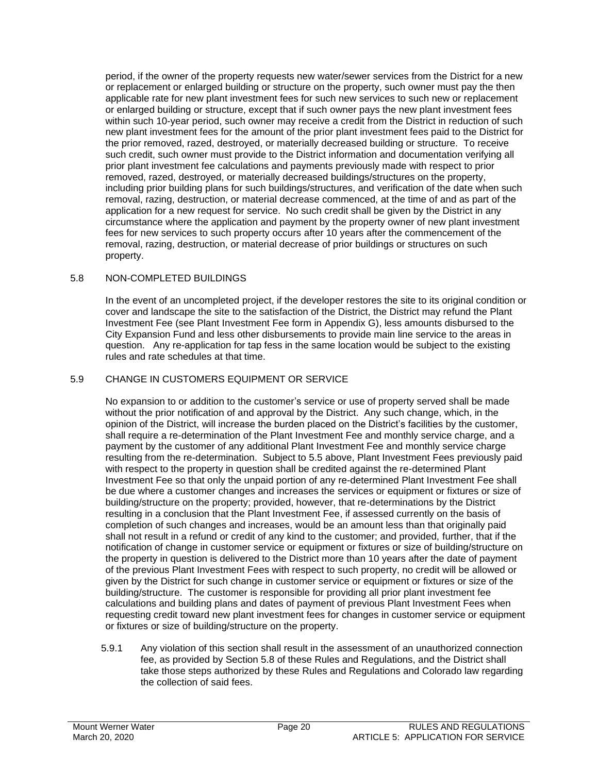period, if the owner of the property requests new water/sewer services from the District for a new or replacement or enlarged building or structure on the property, such owner must pay the then applicable rate for new plant investment fees for such new services to such new or replacement or enlarged building or structure, except that if such owner pays the new plant investment fees within such 10-year period, such owner may receive a credit from the District in reduction of such new plant investment fees for the amount of the prior plant investment fees paid to the District for the prior removed, razed, destroyed, or materially decreased building or structure. To receive such credit, such owner must provide to the District information and documentation verifying all prior plant investment fee calculations and payments previously made with respect to prior removed, razed, destroyed, or materially decreased buildings/structures on the property, including prior building plans for such buildings/structures, and verification of the date when such removal, razing, destruction, or material decrease commenced, at the time of and as part of the application for a new request for service. No such credit shall be given by the District in any circumstance where the application and payment by the property owner of new plant investment fees for new services to such property occurs after 10 years after the commencement of the removal, razing, destruction, or material decrease of prior buildings or structures on such property.

#### 5.8 NON-COMPLETED BUILDINGS

In the event of an uncompleted project, if the developer restores the site to its original condition or cover and landscape the site to the satisfaction of the District, the District may refund the Plant Investment Fee (see Plant Investment Fee form in Appendix G), less amounts disbursed to the City Expansion Fund and less other disbursements to provide main line service to the areas in question. Any re-application for tap fess in the same location would be subject to the existing rules and rate schedules at that time.

#### 5.9 CHANGE IN CUSTOMERS EQUIPMENT OR SERVICE

No expansion to or addition to the customer's service or use of property served shall be made without the prior notification of and approval by the District. Any such change, which, in the opinion of the District, will increase the burden placed on the District's facilities by the customer, shall require a re-determination of the Plant Investment Fee and monthly service charge, and a payment by the customer of any additional Plant Investment Fee and monthly service charge resulting from the re-determination. Subject to 5.5 above, Plant Investment Fees previously paid with respect to the property in question shall be credited against the re-determined Plant Investment Fee so that only the unpaid portion of any re-determined Plant Investment Fee shall be due where a customer changes and increases the services or equipment or fixtures or size of building/structure on the property; provided, however, that re-determinations by the District resulting in a conclusion that the Plant Investment Fee, if assessed currently on the basis of completion of such changes and increases, would be an amount less than that originally paid shall not result in a refund or credit of any kind to the customer; and provided, further, that if the notification of change in customer service or equipment or fixtures or size of building/structure on the property in question is delivered to the District more than 10 years after the date of payment of the previous Plant Investment Fees with respect to such property, no credit will be allowed or given by the District for such change in customer service or equipment or fixtures or size of the building/structure. The customer is responsible for providing all prior plant investment fee calculations and building plans and dates of payment of previous Plant Investment Fees when requesting credit toward new plant investment fees for changes in customer service or equipment or fixtures or size of building/structure on the property.

5.9.1 Any violation of this section shall result in the assessment of an unauthorized connection fee, as provided by Section 5.8 of these Rules and Regulations, and the District shall take those steps authorized by these Rules and Regulations and Colorado law regarding the collection of said fees.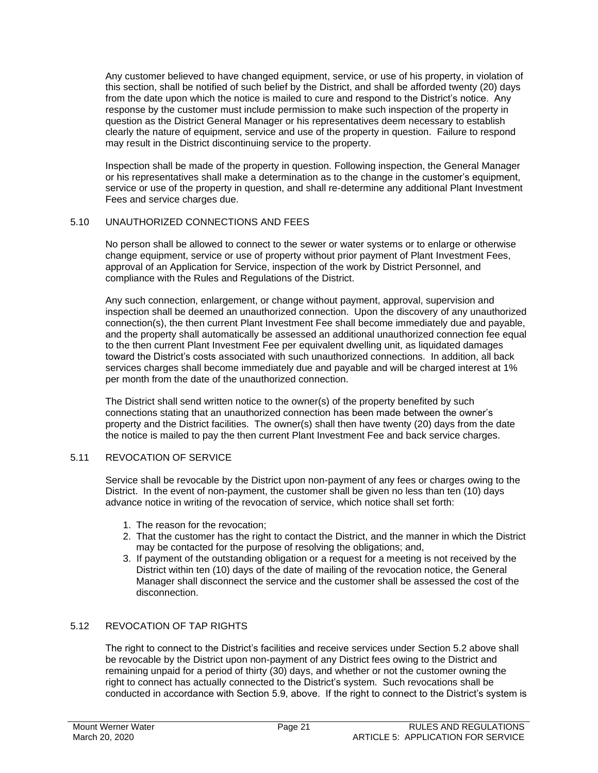Any customer believed to have changed equipment, service, or use of his property, in violation of this section, shall be notified of such belief by the District, and shall be afforded twenty (20) days from the date upon which the notice is mailed to cure and respond to the District's notice. Any response by the customer must include permission to make such inspection of the property in question as the District General Manager or his representatives deem necessary to establish clearly the nature of equipment, service and use of the property in question. Failure to respond may result in the District discontinuing service to the property.

Inspection shall be made of the property in question. Following inspection, the General Manager or his representatives shall make a determination as to the change in the customer's equipment, service or use of the property in question, and shall re-determine any additional Plant Investment Fees and service charges due.

#### 5.10 UNAUTHORIZED CONNECTIONS AND FEES

No person shall be allowed to connect to the sewer or water systems or to enlarge or otherwise change equipment, service or use of property without prior payment of Plant Investment Fees, approval of an Application for Service, inspection of the work by District Personnel, and compliance with the Rules and Regulations of the District.

Any such connection, enlargement, or change without payment, approval, supervision and inspection shall be deemed an unauthorized connection. Upon the discovery of any unauthorized connection(s), the then current Plant Investment Fee shall become immediately due and payable, and the property shall automatically be assessed an additional unauthorized connection fee equal to the then current Plant Investment Fee per equivalent dwelling unit, as liquidated damages toward the District's costs associated with such unauthorized connections. In addition, all back services charges shall become immediately due and payable and will be charged interest at 1% per month from the date of the unauthorized connection.

The District shall send written notice to the owner(s) of the property benefited by such connections stating that an unauthorized connection has been made between the owner's property and the District facilities. The owner(s) shall then have twenty (20) days from the date the notice is mailed to pay the then current Plant Investment Fee and back service charges.

#### 5.11 REVOCATION OF SERVICE

Service shall be revocable by the District upon non-payment of any fees or charges owing to the District. In the event of non-payment, the customer shall be given no less than ten (10) days advance notice in writing of the revocation of service, which notice shall set forth:

- 1. The reason for the revocation;
- 2. That the customer has the right to contact the District, and the manner in which the District may be contacted for the purpose of resolving the obligations; and,
- 3. If payment of the outstanding obligation or a request for a meeting is not received by the District within ten (10) days of the date of mailing of the revocation notice, the General Manager shall disconnect the service and the customer shall be assessed the cost of the disconnection.

# 5.12 REVOCATION OF TAP RIGHTS

The right to connect to the District's facilities and receive services under Section 5.2 above shall be revocable by the District upon non-payment of any District fees owing to the District and remaining unpaid for a period of thirty (30) days, and whether or not the customer owning the right to connect has actually connected to the District's system. Such revocations shall be conducted in accordance with Section 5.9, above. If the right to connect to the District's system is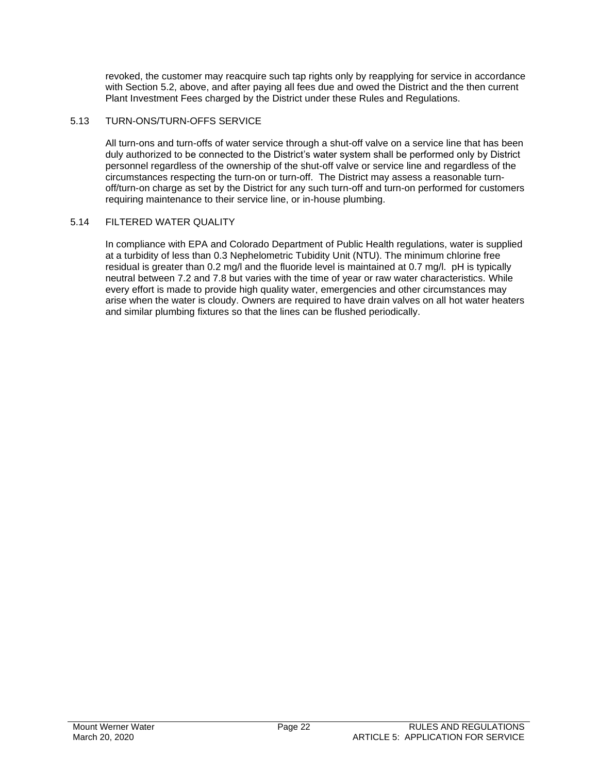revoked, the customer may reacquire such tap rights only by reapplying for service in accordance with Section 5.2, above, and after paying all fees due and owed the District and the then current Plant Investment Fees charged by the District under these Rules and Regulations.

#### 5.13 TURN-ONS/TURN-OFFS SERVICE

All turn-ons and turn-offs of water service through a shut-off valve on a service line that has been duly authorized to be connected to the District's water system shall be performed only by District personnel regardless of the ownership of the shut-off valve or service line and regardless of the circumstances respecting the turn-on or turn-off. The District may assess a reasonable turnoff/turn-on charge as set by the District for any such turn-off and turn-on performed for customers requiring maintenance to their service line, or in-house plumbing.

#### 5.14 FILTERED WATER QUALITY

In compliance with EPA and Colorado Department of Public Health regulations, water is supplied at a turbidity of less than 0.3 Nephelometric Tubidity Unit (NTU). The minimum chlorine free residual is greater than 0.2 mg/l and the fluoride level is maintained at 0.7 mg/l. pH is typically neutral between 7.2 and 7.8 but varies with the time of year or raw water characteristics. While every effort is made to provide high quality water, emergencies and other circumstances may arise when the water is cloudy. Owners are required to have drain valves on all hot water heaters and similar plumbing fixtures so that the lines can be flushed periodically.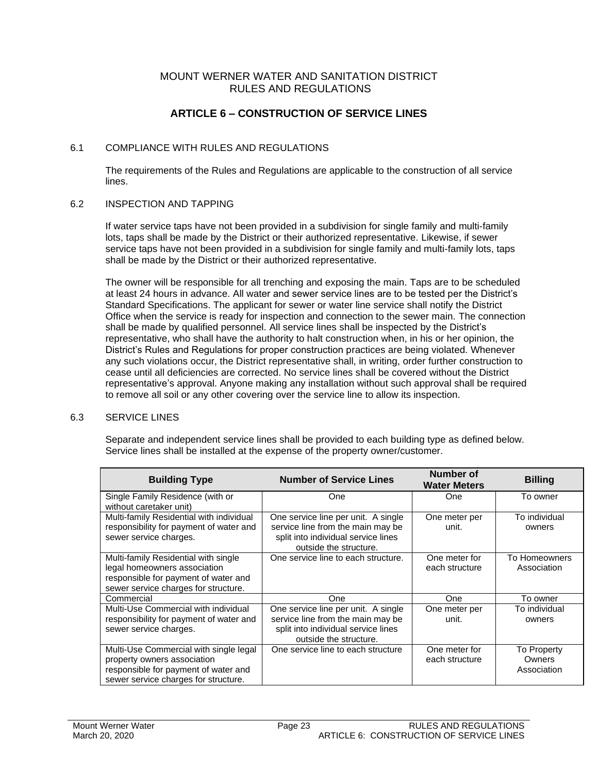# **ARTICLE 6 – CONSTRUCTION OF SERVICE LINES**

#### 6.1 COMPLIANCE WITH RULES AND REGULATIONS

The requirements of the Rules and Regulations are applicable to the construction of all service lines.

#### 6.2 INSPECTION AND TAPPING

If water service taps have not been provided in a subdivision for single family and multi-family lots, taps shall be made by the District or their authorized representative. Likewise, if sewer service taps have not been provided in a subdivision for single family and multi-family lots, taps shall be made by the District or their authorized representative.

The owner will be responsible for all trenching and exposing the main. Taps are to be scheduled at least 24 hours in advance. All water and sewer service lines are to be tested per the District's Standard Specifications. The applicant for sewer or water line service shall notify the District Office when the service is ready for inspection and connection to the sewer main. The connection shall be made by qualified personnel. All service lines shall be inspected by the District's representative, who shall have the authority to halt construction when, in his or her opinion, the District's Rules and Regulations for proper construction practices are being violated. Whenever any such violations occur, the District representative shall, in writing, order further construction to cease until all deficiencies are corrected. No service lines shall be covered without the District representative's approval. Anyone making any installation without such approval shall be required to remove all soil or any other covering over the service line to allow its inspection.

#### 6.3 SERVICE LINES

Separate and independent service lines shall be provided to each building type as defined below. Service lines shall be installed at the expense of the property owner/customer.

| <b>Building Type</b>                                                                                                                                  | <b>Number of Service Lines</b>                                                                                                            | Number of<br><b>Water Meters</b> | <b>Billing</b>                       |
|-------------------------------------------------------------------------------------------------------------------------------------------------------|-------------------------------------------------------------------------------------------------------------------------------------------|----------------------------------|--------------------------------------|
| Single Family Residence (with or<br>without caretaker unit)                                                                                           | One                                                                                                                                       | <b>One</b>                       | To owner                             |
| Multi-family Residential with individual<br>responsibility for payment of water and<br>sewer service charges.                                         | One service line per unit. A single<br>service line from the main may be<br>split into individual service lines<br>outside the structure. | One meter per<br>unit.           | To individual<br>owners              |
| Multi-family Residential with single<br>legal homeowners association<br>responsible for payment of water and<br>sewer service charges for structure.  | One service line to each structure.                                                                                                       | One meter for<br>each structure  | To Homeowners<br>Association         |
| Commercial                                                                                                                                            | <b>One</b>                                                                                                                                | One                              | To owner                             |
| Multi-Use Commercial with individual<br>responsibility for payment of water and<br>sewer service charges.                                             | One service line per unit. A single<br>service line from the main may be<br>split into individual service lines<br>outside the structure. | One meter per<br>unit.           | To individual<br>owners              |
| Multi-Use Commercial with single legal<br>property owners association<br>responsible for payment of water and<br>sewer service charges for structure. | One service line to each structure                                                                                                        | One meter for<br>each structure  | To Property<br>Owners<br>Association |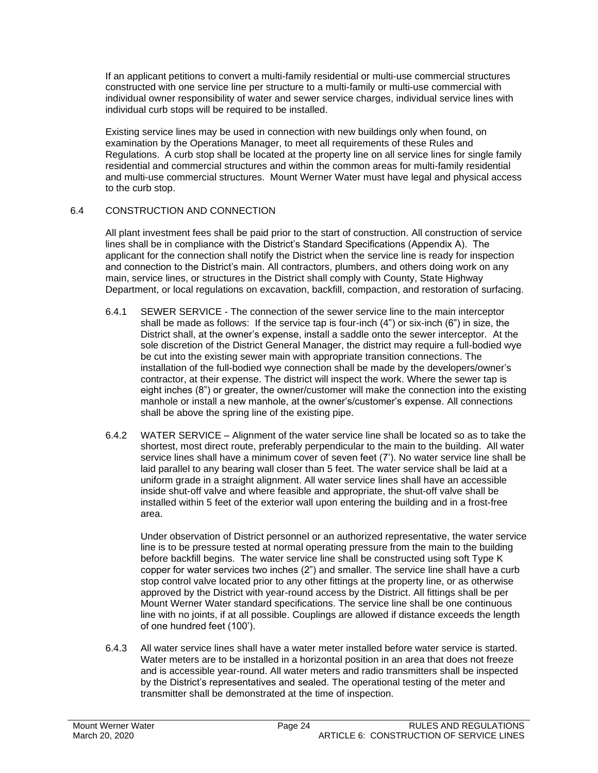If an applicant petitions to convert a multi-family residential or multi-use commercial structures constructed with one service line per structure to a multi-family or multi-use commercial with individual owner responsibility of water and sewer service charges, individual service lines with individual curb stops will be required to be installed.

Existing service lines may be used in connection with new buildings only when found, on examination by the Operations Manager, to meet all requirements of these Rules and Regulations. A curb stop shall be located at the property line on all service lines for single family residential and commercial structures and within the common areas for multi-family residential and multi-use commercial structures. Mount Werner Water must have legal and physical access to the curb stop.

#### 6.4 CONSTRUCTION AND CONNECTION

All plant investment fees shall be paid prior to the start of construction. All construction of service lines shall be in compliance with the District's Standard Specifications (Appendix A). The applicant for the connection shall notify the District when the service line is ready for inspection and connection to the District's main. All contractors, plumbers, and others doing work on any main, service lines, or structures in the District shall comply with County, State Highway Department, or local regulations on excavation, backfill, compaction, and restoration of surfacing.

- 6.4.1 SEWER SERVICE The connection of the sewer service line to the main interceptor shall be made as follows: If the service tap is four-inch (4") or six-inch (6") in size, the District shall, at the owner's expense, install a saddle onto the sewer interceptor. At the sole discretion of the District General Manager, the district may require a full-bodied wye be cut into the existing sewer main with appropriate transition connections. The installation of the full-bodied wye connection shall be made by the developers/owner's contractor, at their expense. The district will inspect the work. Where the sewer tap is eight inches (8") or greater, the owner/customer will make the connection into the existing manhole or install a new manhole, at the owner's/customer's expense. All connections shall be above the spring line of the existing pipe.
- 6.4.2 WATER SERVICE Alignment of the water service line shall be located so as to take the shortest, most direct route, preferably perpendicular to the main to the building. All water service lines shall have a minimum cover of seven feet (7'). No water service line shall be laid parallel to any bearing wall closer than 5 feet. The water service shall be laid at a uniform grade in a straight alignment. All water service lines shall have an accessible inside shut-off valve and where feasible and appropriate, the shut-off valve shall be installed within 5 feet of the exterior wall upon entering the building and in a frost-free area.

Under observation of District personnel or an authorized representative, the water service line is to be pressure tested at normal operating pressure from the main to the building before backfill begins. The water service line shall be constructed using soft Type K copper for water services two inches (2") and smaller. The service line shall have a curb stop control valve located prior to any other fittings at the property line, or as otherwise approved by the District with year-round access by the District. All fittings shall be per Mount Werner Water standard specifications. The service line shall be one continuous line with no joints, if at all possible. Couplings are allowed if distance exceeds the length of one hundred feet (100').

6.4.3 All water service lines shall have a water meter installed before water service is started. Water meters are to be installed in a horizontal position in an area that does not freeze and is accessible year-round. All water meters and radio transmitters shall be inspected by the District's representatives and sealed. The operational testing of the meter and transmitter shall be demonstrated at the time of inspection.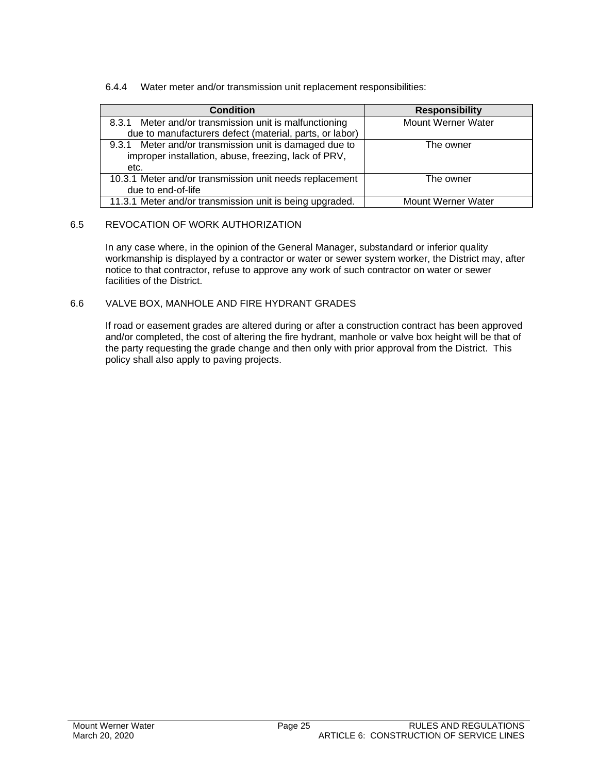#### 6.4.4 Water meter and/or transmission unit replacement responsibilities:

| Condition                                                                                                              | <b>Responsibility</b> |  |
|------------------------------------------------------------------------------------------------------------------------|-----------------------|--|
| 8.3.1 Meter and/or transmission unit is malfunctioning<br>due to manufacturers defect (material, parts, or labor)      | Mount Werner Water    |  |
| 9.3.1 Meter and/or transmission unit is damaged due to<br>improper installation, abuse, freezing, lack of PRV,<br>etc. | The owner             |  |
| 10.3.1 Meter and/or transmission unit needs replacement<br>due to end-of-life                                          | The owner             |  |
| 11.3.1 Meter and/or transmission unit is being upgraded.                                                               | Mount Werner Water    |  |

#### 6.5 REVOCATION OF WORK AUTHORIZATION

In any case where, in the opinion of the General Manager, substandard or inferior quality workmanship is displayed by a contractor or water or sewer system worker, the District may, after notice to that contractor, refuse to approve any work of such contractor on water or sewer facilities of the District.

#### 6.6 VALVE BOX, MANHOLE AND FIRE HYDRANT GRADES

If road or easement grades are altered during or after a construction contract has been approved and/or completed, the cost of altering the fire hydrant, manhole or valve box height will be that of the party requesting the grade change and then only with prior approval from the District. This policy shall also apply to paving projects.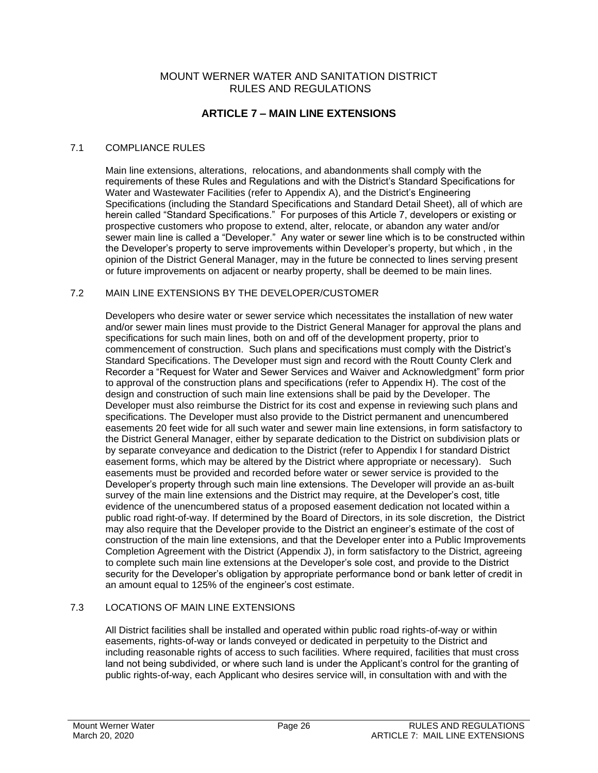# **ARTICLE 7 – MAIN LINE EXTENSIONS**

#### 7.1 COMPLIANCE RULES

Main line extensions, alterations, relocations, and abandonments shall comply with the requirements of these Rules and Regulations and with the District's Standard Specifications for Water and Wastewater Facilities (refer to Appendix A), and the District's Engineering Specifications (including the Standard Specifications and Standard Detail Sheet), all of which are herein called "Standard Specifications." For purposes of this Article 7, developers or existing or prospective customers who propose to extend, alter, relocate, or abandon any water and/or sewer main line is called a "Developer." Any water or sewer line which is to be constructed within the Developer's property to serve improvements within Developer's property, but which , in the opinion of the District General Manager, may in the future be connected to lines serving present or future improvements on adjacent or nearby property, shall be deemed to be main lines.

#### 7.2 MAIN LINE EXTENSIONS BY THE DEVELOPER/CUSTOMER

Developers who desire water or sewer service which necessitates the installation of new water and/or sewer main lines must provide to the District General Manager for approval the plans and specifications for such main lines, both on and off of the development property, prior to commencement of construction. Such plans and specifications must comply with the District's Standard Specifications. The Developer must sign and record with the Routt County Clerk and Recorder a "Request for Water and Sewer Services and Waiver and Acknowledgment" form prior to approval of the construction plans and specifications (refer to Appendix H). The cost of the design and construction of such main line extensions shall be paid by the Developer. The Developer must also reimburse the District for its cost and expense in reviewing such plans and specifications. The Developer must also provide to the District permanent and unencumbered easements 20 feet wide for all such water and sewer main line extensions, in form satisfactory to the District General Manager, either by separate dedication to the District on subdivision plats or by separate conveyance and dedication to the District (refer to Appendix I for standard District easement forms, which may be altered by the District where appropriate or necessary). Such easements must be provided and recorded before water or sewer service is provided to the Developer's property through such main line extensions. The Developer will provide an as-built survey of the main line extensions and the District may require, at the Developer's cost, title evidence of the unencumbered status of a proposed easement dedication not located within a public road right-of-way. If determined by the Board of Directors, in its sole discretion, the District may also require that the Developer provide to the District an engineer's estimate of the cost of construction of the main line extensions, and that the Developer enter into a Public Improvements Completion Agreement with the District (Appendix J), in form satisfactory to the District, agreeing to complete such main line extensions at the Developer's sole cost, and provide to the District security for the Developer's obligation by appropriate performance bond or bank letter of credit in an amount equal to 125% of the engineer's cost estimate.

#### 7.3 LOCATIONS OF MAIN LINE EXTENSIONS

All District facilities shall be installed and operated within public road rights-of-way or within easements, rights-of-way or lands conveyed or dedicated in perpetuity to the District and including reasonable rights of access to such facilities. Where required, facilities that must cross land not being subdivided, or where such land is under the Applicant's control for the granting of public rights-of-way, each Applicant who desires service will, in consultation with and with the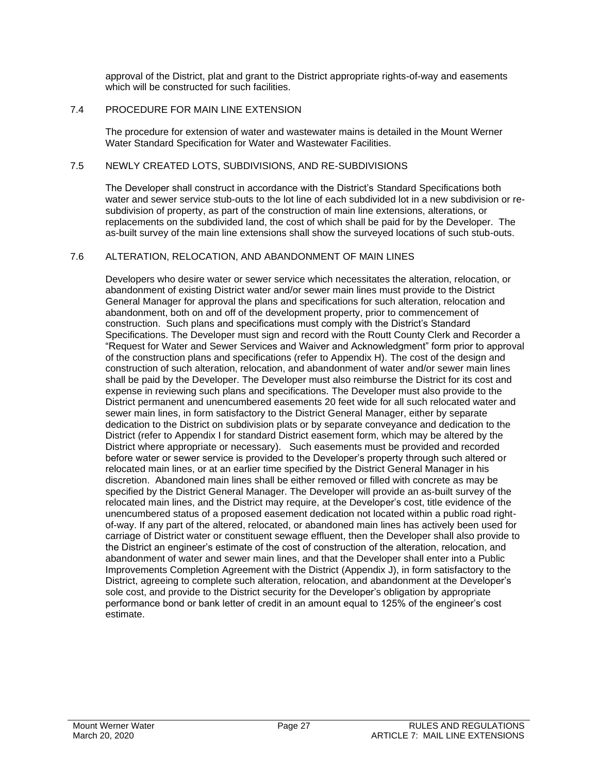approval of the District, plat and grant to the District appropriate rights-of-way and easements which will be constructed for such facilities.

#### 7.4 PROCEDURE FOR MAIN LINE EXTENSION

The procedure for extension of water and wastewater mains is detailed in the Mount Werner Water Standard Specification for Water and Wastewater Facilities.

#### 7.5 NEWLY CREATED LOTS, SUBDIVISIONS, AND RE-SUBDIVISIONS

The Developer shall construct in accordance with the District's Standard Specifications both water and sewer service stub-outs to the lot line of each subdivided lot in a new subdivision or resubdivision of property, as part of the construction of main line extensions, alterations, or replacements on the subdivided land, the cost of which shall be paid for by the Developer. The as-built survey of the main line extensions shall show the surveyed locations of such stub-outs.

#### 7.6 ALTERATION, RELOCATION, AND ABANDONMENT OF MAIN LINES

Developers who desire water or sewer service which necessitates the alteration, relocation, or abandonment of existing District water and/or sewer main lines must provide to the District General Manager for approval the plans and specifications for such alteration, relocation and abandonment, both on and off of the development property, prior to commencement of construction. Such plans and specifications must comply with the District's Standard Specifications. The Developer must sign and record with the Routt County Clerk and Recorder a "Request for Water and Sewer Services and Waiver and Acknowledgment" form prior to approval of the construction plans and specifications (refer to Appendix H). The cost of the design and construction of such alteration, relocation, and abandonment of water and/or sewer main lines shall be paid by the Developer. The Developer must also reimburse the District for its cost and expense in reviewing such plans and specifications. The Developer must also provide to the District permanent and unencumbered easements 20 feet wide for all such relocated water and sewer main lines, in form satisfactory to the District General Manager, either by separate dedication to the District on subdivision plats or by separate conveyance and dedication to the District (refer to Appendix I for standard District easement form, which may be altered by the District where appropriate or necessary). Such easements must be provided and recorded before water or sewer service is provided to the Developer's property through such altered or relocated main lines, or at an earlier time specified by the District General Manager in his discretion. Abandoned main lines shall be either removed or filled with concrete as may be specified by the District General Manager. The Developer will provide an as-built survey of the relocated main lines, and the District may require, at the Developer's cost, title evidence of the unencumbered status of a proposed easement dedication not located within a public road rightof-way. If any part of the altered, relocated, or abandoned main lines has actively been used for carriage of District water or constituent sewage effluent, then the Developer shall also provide to the District an engineer's estimate of the cost of construction of the alteration, relocation, and abandonment of water and sewer main lines, and that the Developer shall enter into a Public Improvements Completion Agreement with the District (Appendix J), in form satisfactory to the District, agreeing to complete such alteration, relocation, and abandonment at the Developer's sole cost, and provide to the District security for the Developer's obligation by appropriate performance bond or bank letter of credit in an amount equal to 125% of the engineer's cost estimate.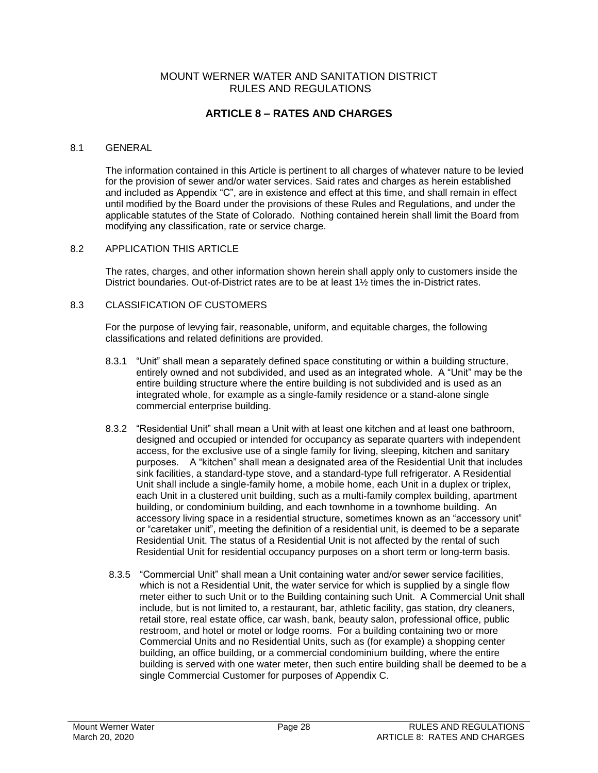# **ARTICLE 8 – RATES AND CHARGES**

#### 8.1 GENERAL

The information contained in this Article is pertinent to all charges of whatever nature to be levied for the provision of sewer and/or water services. Said rates and charges as herein established and included as Appendix "C", are in existence and effect at this time, and shall remain in effect until modified by the Board under the provisions of these Rules and Regulations, and under the applicable statutes of the State of Colorado. Nothing contained herein shall limit the Board from modifying any classification, rate or service charge.

#### 8.2 APPLICATION THIS ARTICLE

The rates, charges, and other information shown herein shall apply only to customers inside the District boundaries. Out-of-District rates are to be at least 1½ times the in-District rates.

#### 8.3 CLASSIFICATION OF CUSTOMERS

For the purpose of levying fair, reasonable, uniform, and equitable charges, the following classifications and related definitions are provided.

- 8.3.1 "Unit" shall mean a separately defined space constituting or within a building structure, entirely owned and not subdivided, and used as an integrated whole. A "Unit" may be the entire building structure where the entire building is not subdivided and is used as an integrated whole, for example as a single-family residence or a stand-alone single commercial enterprise building.
- 8.3.2 "Residential Unit" shall mean a Unit with at least one kitchen and at least one bathroom, designed and occupied or intended for occupancy as separate quarters with independent access, for the exclusive use of a single family for living, sleeping, kitchen and sanitary purposes. A "kitchen" shall mean a designated area of the Residential Unit that includes sink facilities, a standard-type stove, and a standard-type full refrigerator. A Residential Unit shall include a single-family home, a mobile home, each Unit in a duplex or triplex, each Unit in a clustered unit building, such as a multi-family complex building, apartment building, or condominium building, and each townhome in a townhome building. An accessory living space in a residential structure, sometimes known as an "accessory unit" or "caretaker unit", meeting the definition of a residential unit, is deemed to be a separate Residential Unit. The status of a Residential Unit is not affected by the rental of such Residential Unit for residential occupancy purposes on a short term or long-term basis.
- 8.3.5 "Commercial Unit" shall mean a Unit containing water and/or sewer service facilities, which is not a Residential Unit, the water service for which is supplied by a single flow meter either to such Unit or to the Building containing such Unit. A Commercial Unit shall include, but is not limited to, a restaurant, bar, athletic facility, gas station, dry cleaners, retail store, real estate office, car wash, bank, beauty salon, professional office, public restroom, and hotel or motel or lodge rooms. For a building containing two or more Commercial Units and no Residential Units, such as (for example) a shopping center building, an office building, or a commercial condominium building, where the entire building is served with one water meter, then such entire building shall be deemed to be a single Commercial Customer for purposes of Appendix C.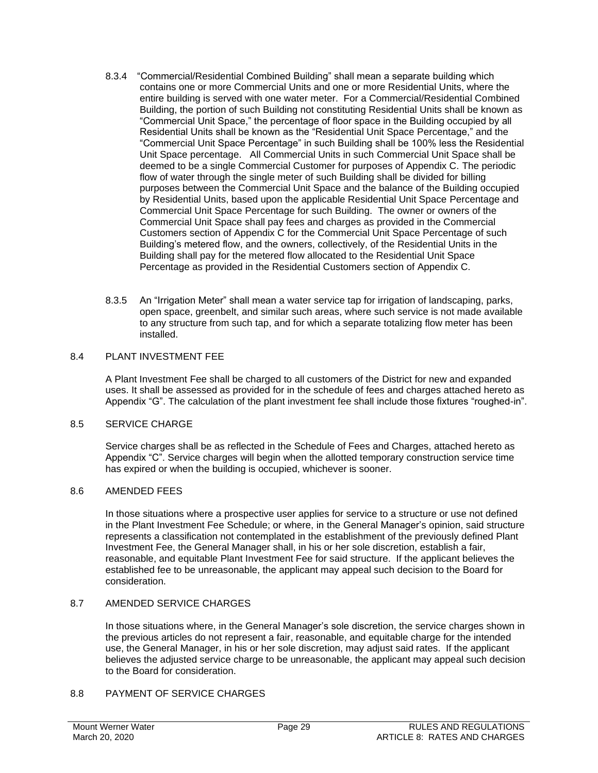- 8.3.4 "Commercial/Residential Combined Building" shall mean a separate building which contains one or more Commercial Units and one or more Residential Units, where the entire building is served with one water meter. For a Commercial/Residential Combined Building, the portion of such Building not constituting Residential Units shall be known as "Commercial Unit Space," the percentage of floor space in the Building occupied by all Residential Units shall be known as the "Residential Unit Space Percentage," and the "Commercial Unit Space Percentage" in such Building shall be 100% less the Residential Unit Space percentage. All Commercial Units in such Commercial Unit Space shall be deemed to be a single Commercial Customer for purposes of Appendix C. The periodic flow of water through the single meter of such Building shall be divided for billing purposes between the Commercial Unit Space and the balance of the Building occupied by Residential Units, based upon the applicable Residential Unit Space Percentage and Commercial Unit Space Percentage for such Building. The owner or owners of the Commercial Unit Space shall pay fees and charges as provided in the Commercial Customers section of Appendix C for the Commercial Unit Space Percentage of such Building's metered flow, and the owners, collectively, of the Residential Units in the Building shall pay for the metered flow allocated to the Residential Unit Space Percentage as provided in the Residential Customers section of Appendix C.
- 8.3.5 An "Irrigation Meter" shall mean a water service tap for irrigation of landscaping, parks, open space, greenbelt, and similar such areas, where such service is not made available to any structure from such tap, and for which a separate totalizing flow meter has been installed.

#### 8.4 PLANT INVESTMENT FEE

A Plant Investment Fee shall be charged to all customers of the District for new and expanded uses. It shall be assessed as provided for in the schedule of fees and charges attached hereto as Appendix "G". The calculation of the plant investment fee shall include those fixtures "roughed-in".

#### 8.5 SERVICE CHARGE

Service charges shall be as reflected in the Schedule of Fees and Charges, attached hereto as Appendix "C". Service charges will begin when the allotted temporary construction service time has expired or when the building is occupied, whichever is sooner.

#### 8.6 AMENDED FEES

In those situations where a prospective user applies for service to a structure or use not defined in the Plant Investment Fee Schedule; or where, in the General Manager's opinion, said structure represents a classification not contemplated in the establishment of the previously defined Plant Investment Fee, the General Manager shall, in his or her sole discretion, establish a fair, reasonable, and equitable Plant Investment Fee for said structure. If the applicant believes the established fee to be unreasonable, the applicant may appeal such decision to the Board for consideration.

#### 8.7 AMENDED SERVICE CHARGES

In those situations where, in the General Manager's sole discretion, the service charges shown in the previous articles do not represent a fair, reasonable, and equitable charge for the intended use, the General Manager, in his or her sole discretion, may adjust said rates. If the applicant believes the adjusted service charge to be unreasonable, the applicant may appeal such decision to the Board for consideration.

#### 8.8 PAYMENT OF SERVICE CHARGES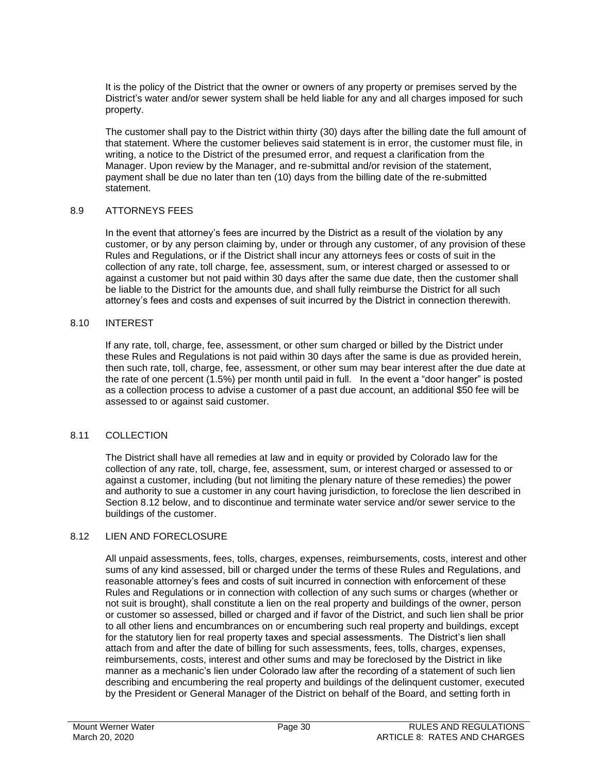It is the policy of the District that the owner or owners of any property or premises served by the District's water and/or sewer system shall be held liable for any and all charges imposed for such property.

The customer shall pay to the District within thirty (30) days after the billing date the full amount of that statement. Where the customer believes said statement is in error, the customer must file, in writing, a notice to the District of the presumed error, and request a clarification from the Manager. Upon review by the Manager, and re-submittal and/or revision of the statement, payment shall be due no later than ten (10) days from the billing date of the re-submitted statement.

#### 8.9 ATTORNEYS FEES

In the event that attorney's fees are incurred by the District as a result of the violation by any customer, or by any person claiming by, under or through any customer, of any provision of these Rules and Regulations, or if the District shall incur any attorneys fees or costs of suit in the collection of any rate, toll charge, fee, assessment, sum, or interest charged or assessed to or against a customer but not paid within 30 days after the same due date, then the customer shall be liable to the District for the amounts due, and shall fully reimburse the District for all such attorney's fees and costs and expenses of suit incurred by the District in connection therewith.

#### 8.10 INTEREST

If any rate, toll, charge, fee, assessment, or other sum charged or billed by the District under these Rules and Regulations is not paid within 30 days after the same is due as provided herein, then such rate, toll, charge, fee, assessment, or other sum may bear interest after the due date at the rate of one percent (1.5%) per month until paid in full. In the event a "door hanger" is posted as a collection process to advise a customer of a past due account, an additional \$50 fee will be assessed to or against said customer.

#### 8.11 COLLECTION

The District shall have all remedies at law and in equity or provided by Colorado law for the collection of any rate, toll, charge, fee, assessment, sum, or interest charged or assessed to or against a customer, including (but not limiting the plenary nature of these remedies) the power and authority to sue a customer in any court having jurisdiction, to foreclose the lien described in Section 8.12 below, and to discontinue and terminate water service and/or sewer service to the buildings of the customer.

#### 8.12 LIEN AND FORECLOSURE

All unpaid assessments, fees, tolls, charges, expenses, reimbursements, costs, interest and other sums of any kind assessed, bill or charged under the terms of these Rules and Regulations, and reasonable attorney's fees and costs of suit incurred in connection with enforcement of these Rules and Regulations or in connection with collection of any such sums or charges (whether or not suit is brought), shall constitute a lien on the real property and buildings of the owner, person or customer so assessed, billed or charged and if favor of the District, and such lien shall be prior to all other liens and encumbrances on or encumbering such real property and buildings, except for the statutory lien for real property taxes and special assessments. The District's lien shall attach from and after the date of billing for such assessments, fees, tolls, charges, expenses, reimbursements, costs, interest and other sums and may be foreclosed by the District in like manner as a mechanic's lien under Colorado law after the recording of a statement of such lien describing and encumbering the real property and buildings of the delinquent customer, executed by the President or General Manager of the District on behalf of the Board, and setting forth in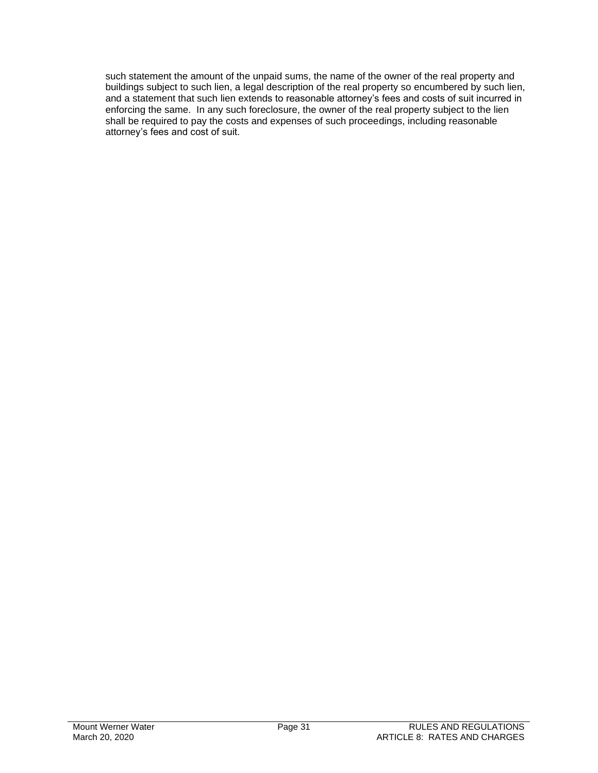such statement the amount of the unpaid sums, the name of the owner of the real property and buildings subject to such lien, a legal description of the real property so encumbered by such lien, and a statement that such lien extends to reasonable attorney's fees and costs of suit incurred in enforcing the same. In any such foreclosure, the owner of the real property subject to the lien shall be required to pay the costs and expenses of such proceedings, including reasonable attorney's fees and cost of suit.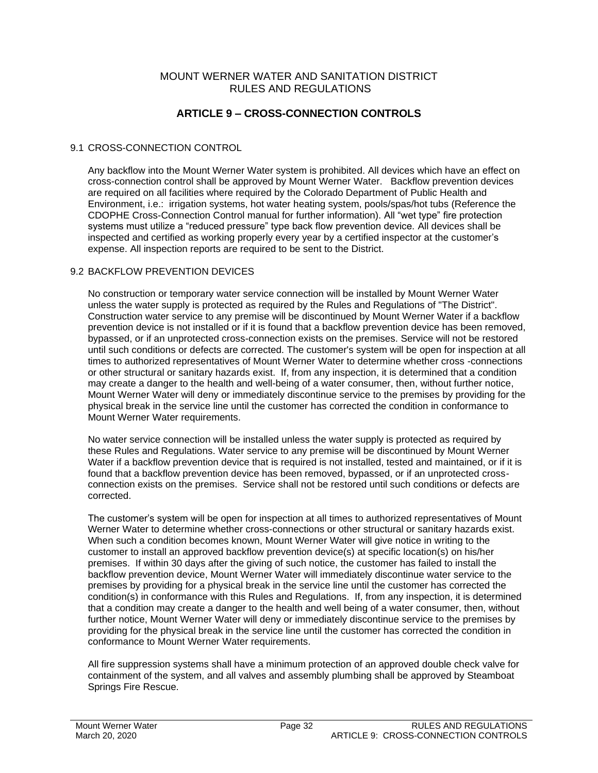#### MOUNT WERNER WATER AND SANITATION DISTRICT RULES AND REGULATIONS

### **ARTICLE 9 – CROSS-CONNECTION CONTROLS**

#### 9.1 CROSS-CONNECTION CONTROL

Any backflow into the Mount Werner Water system is prohibited. All devices which have an effect on cross-connection control shall be approved by Mount Werner Water. Backflow prevention devices are required on all facilities where required by the Colorado Department of Public Health and Environment, i.e.: irrigation systems, hot water heating system, pools/spas/hot tubs (Reference the CDOPHE Cross-Connection Control manual for further information). All "wet type" fire protection systems must utilize a "reduced pressure" type back flow prevention device. All devices shall be inspected and certified as working properly every year by a certified inspector at the customer's expense. All inspection reports are required to be sent to the District.

#### 9.2 BACKFLOW PREVENTION DEVICES

No construction or temporary water service connection will be installed by Mount Werner Water unless the water supply is protected as required by the Rules and Regulations of "The District". Construction water service to any premise will be discontinued by Mount Werner Water if a backflow prevention device is not installed or if it is found that a backflow prevention device has been removed, bypassed, or if an unprotected cross-connection exists on the premises. Service will not be restored until such conditions or defects are corrected. The customer's system will be open for inspection at all times to authorized representatives of Mount Werner Water to determine whether cross -connections or other structural or sanitary hazards exist. If, from any inspection, it is determined that a condition may create a danger to the health and well-being of a water consumer, then, without further notice, Mount Werner Water will deny or immediately discontinue service to the premises by providing for the physical break in the service line until the customer has corrected the condition in conformance to Mount Werner Water requirements.

No water service connection will be installed unless the water supply is protected as required by these Rules and Regulations. Water service to any premise will be discontinued by Mount Werner Water if a backflow prevention device that is required is not installed, tested and maintained, or if it is found that a backflow prevention device has been removed, bypassed, or if an unprotected crossconnection exists on the premises. Service shall not be restored until such conditions or defects are corrected.

The customer's system will be open for inspection at all times to authorized representatives of Mount Werner Water to determine whether cross-connections or other structural or sanitary hazards exist. When such a condition becomes known, Mount Werner Water will give notice in writing to the customer to install an approved backflow prevention device(s) at specific location(s) on his/her premises. If within 30 days after the giving of such notice, the customer has failed to install the backflow prevention device, Mount Werner Water will immediately discontinue water service to the premises by providing for a physical break in the service line until the customer has corrected the condition(s) in conformance with this Rules and Regulations. If, from any inspection, it is determined that a condition may create a danger to the health and well being of a water consumer, then, without further notice, Mount Werner Water will deny or immediately discontinue service to the premises by providing for the physical break in the service line until the customer has corrected the condition in conformance to Mount Werner Water requirements.

All fire suppression systems shall have a minimum protection of an approved double check valve for containment of the system, and all valves and assembly plumbing shall be approved by Steamboat Springs Fire Rescue.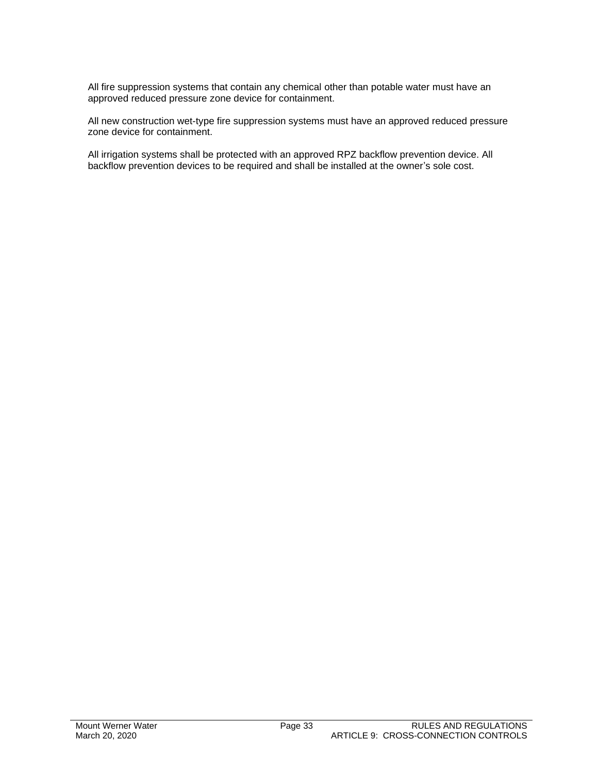All fire suppression systems that contain any chemical other than potable water must have an approved reduced pressure zone device for containment.

All new construction wet-type fire suppression systems must have an approved reduced pressure zone device for containment.

All irrigation systems shall be protected with an approved RPZ backflow prevention device. All backflow prevention devices to be required and shall be installed at the owner's sole cost.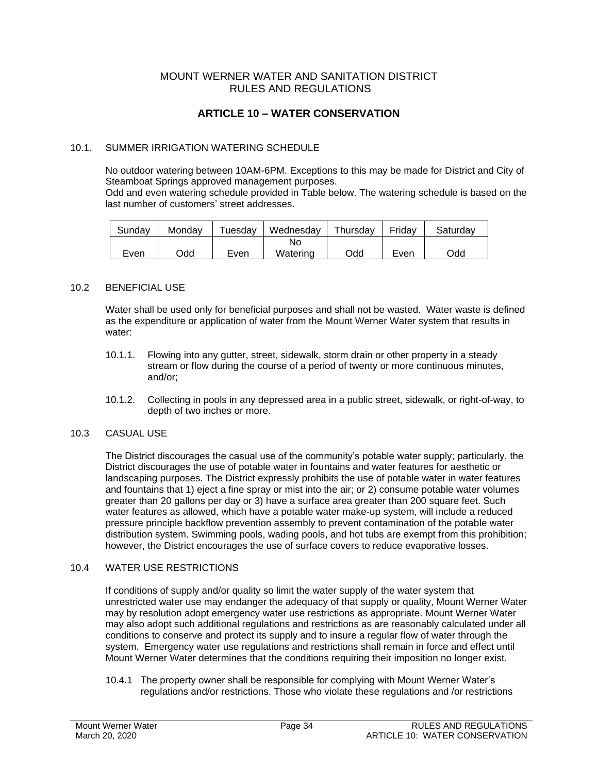#### MOUNT WERNER WATER AND SANITATION DISTRICT RULES AND REGULATIONS

### **ARTICLE 10 – WATER CONSERVATION**

#### 10.1. SUMMER IRRIGATION WATERING SCHEDULE

No outdoor watering between 10AM-6PM. Exceptions to this may be made for District and City of Steamboat Springs approved management purposes.

Odd and even watering schedule provided in Table below. The watering schedule is based on the last number of customers' street addresses.

| Sundav | Mondav | ⊺uesday | Wednesday | Thursday | Fridav | Saturdav |
|--------|--------|---------|-----------|----------|--------|----------|
|        |        |         | No        |          |        |          |
| Even   | Odd    | Even    | Watering  | Odd      | Even   | Odd      |

#### 10.2 BENEFICIAL USE

Water shall be used only for beneficial purposes and shall not be wasted. Water waste is defined as the expenditure or application of water from the Mount Werner Water system that results in water:

- 10.1.1. Flowing into any gutter, street, sidewalk, storm drain or other property in a steady stream or flow during the course of a period of twenty or more continuous minutes, and/or;
- 10.1.2. Collecting in pools in any depressed area in a public street, sidewalk, or right-of-way, to depth of two inches or more.

#### 10.3 CASUAL USE

The District discourages the casual use of the community's potable water supply; particularly, the District discourages the use of potable water in fountains and water features for aesthetic or landscaping purposes. The District expressly prohibits the use of potable water in water features and fountains that 1) eject a fine spray or mist into the air; or 2) consume potable water volumes greater than 20 gallons per day or 3) have a surface area greater than 200 square feet. Such water features as allowed, which have a potable water make-up system, will include a reduced pressure principle backflow prevention assembly to prevent contamination of the potable water distribution system. Swimming pools, wading pools, and hot tubs are exempt from this prohibition; however, the District encourages the use of surface covers to reduce evaporative losses.

#### 10.4 WATER USE RESTRICTIONS

If conditions of supply and/or quality so limit the water supply of the water system that unrestricted water use may endanger the adequacy of that supply or quality, Mount Werner Water may by resolution adopt emergency water use restrictions as appropriate. Mount Werner Water may also adopt such additional regulations and restrictions as are reasonably calculated under all conditions to conserve and protect its supply and to insure a regular flow of water through the system. Emergency water use regulations and restrictions shall remain in force and effect until Mount Werner Water determines that the conditions requiring their imposition no longer exist.

10.4.1 The property owner shall be responsible for complying with Mount Werner Water's regulations and/or restrictions. Those who violate these regulations and /or restrictions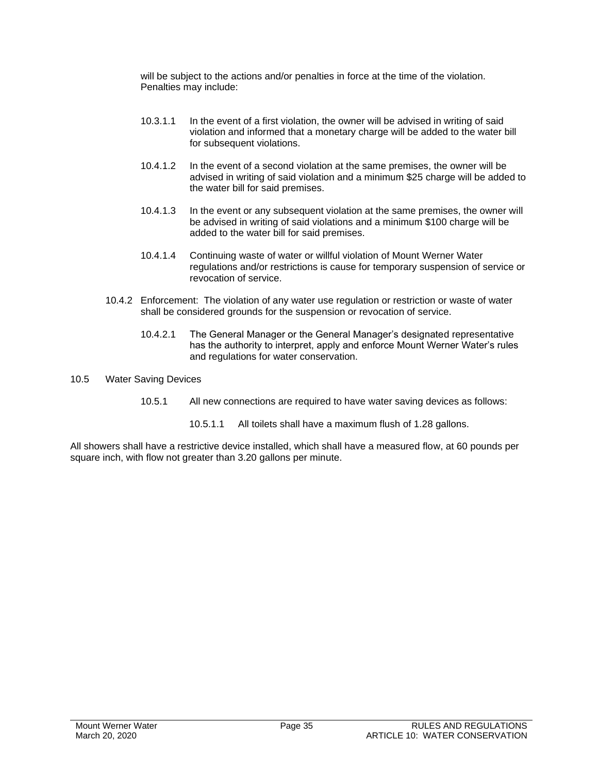will be subject to the actions and/or penalties in force at the time of the violation. Penalties may include:

- 10.3.1.1 In the event of a first violation, the owner will be advised in writing of said violation and informed that a monetary charge will be added to the water bill for subsequent violations.
- 10.4.1.2 In the event of a second violation at the same premises, the owner will be advised in writing of said violation and a minimum \$25 charge will be added to the water bill for said premises.
- 10.4.1.3 In the event or any subsequent violation at the same premises, the owner will be advised in writing of said violations and a minimum \$100 charge will be added to the water bill for said premises.
- 10.4.1.4 Continuing waste of water or willful violation of Mount Werner Water regulations and/or restrictions is cause for temporary suspension of service or revocation of service.
- 10.4.2 Enforcement: The violation of any water use regulation or restriction or waste of water shall be considered grounds for the suspension or revocation of service.
	- 10.4.2.1 The General Manager or the General Manager's designated representative has the authority to interpret, apply and enforce Mount Werner Water's rules and regulations for water conservation.
- 10.5 Water Saving Devices
	- 10.5.1 All new connections are required to have water saving devices as follows:
		- 10.5.1.1 All toilets shall have a maximum flush of 1.28 gallons.

All showers shall have a restrictive device installed, which shall have a measured flow, at 60 pounds per square inch, with flow not greater than 3.20 gallons per minute.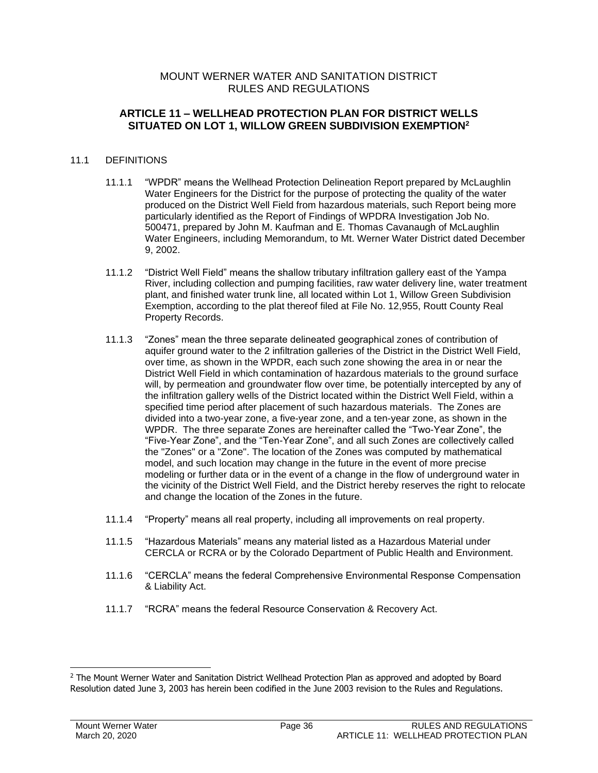#### MOUNT WERNER WATER AND SANITATION DISTRICT RULES AND REGULATIONS

#### **ARTICLE 11 – WELLHEAD PROTECTION PLAN FOR DISTRICT WELLS SITUATED ON LOT 1, WILLOW GREEN SUBDIVISION EXEMPTION<sup>2</sup>**

#### 11.1 DEFINITIONS

- 11.1.1 "WPDR" means the Wellhead Protection Delineation Report prepared by McLaughlin Water Engineers for the District for the purpose of protecting the quality of the water produced on the District Well Field from hazardous materials, such Report being more particularly identified as the Report of Findings of WPDRA Investigation Job No. 500471, prepared by John M. Kaufman and E. Thomas Cavanaugh of McLaughlin Water Engineers, including Memorandum, to Mt. Werner Water District dated December 9, 2002.
- 11.1.2 "District Well Field" means the shallow tributary infiltration gallery east of the Yampa River, including collection and pumping facilities, raw water delivery line, water treatment plant, and finished water trunk line, all located within Lot 1, Willow Green Subdivision Exemption, according to the plat thereof filed at File No. 12,955, Routt County Real Property Records.
- 11.1.3 "Zones" mean the three separate delineated geographical zones of contribution of aquifer ground water to the 2 infiltration galleries of the District in the District Well Field, over time, as shown in the WPDR, each such zone showing the area in or near the District Well Field in which contamination of hazardous materials to the ground surface will, by permeation and groundwater flow over time, be potentially intercepted by any of the infiltration gallery wells of the District located within the District Well Field, within a specified time period after placement of such hazardous materials. The Zones are divided into a two-year zone, a five-year zone, and a ten-year zone, as shown in the WPDR. The three separate Zones are hereinafter called the "Two-Year Zone", the "Five-Year Zone", and the "Ten-Year Zone", and all such Zones are collectively called the "Zones" or a "Zone". The location of the Zones was computed by mathematical model, and such location may change in the future in the event of more precise modeling or further data or in the event of a change in the flow of underground water in the vicinity of the District Well Field, and the District hereby reserves the right to relocate and change the location of the Zones in the future.
- 11.1.4 "Property" means all real property, including all improvements on real property.
- 11.1.5 "Hazardous Materials" means any material listed as a Hazardous Material under CERCLA or RCRA or by the Colorado Department of Public Health and Environment.
- 11.1.6 "CERCLA" means the federal Comprehensive Environmental Response Compensation & Liability Act.
- 11.1.7 "RCRA" means the federal Resource Conservation & Recovery Act.

<sup>&</sup>lt;sup>2</sup> The Mount Werner Water and Sanitation District Wellhead Protection Plan as approved and adopted by Board Resolution dated June 3, 2003 has herein been codified in the June 2003 revision to the Rules and Regulations.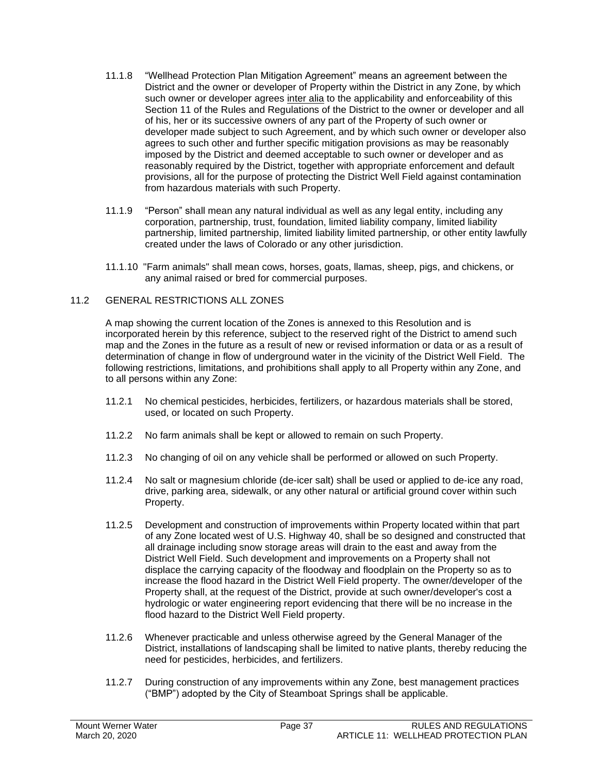- 11.1.8 "Wellhead Protection Plan Mitigation Agreement" means an agreement between the District and the owner or developer of Property within the District in any Zone, by which such owner or developer agrees inter alia to the applicability and enforceability of this Section 11 of the Rules and Regulations of the District to the owner or developer and all of his, her or its successive owners of any part of the Property of such owner or developer made subject to such Agreement, and by which such owner or developer also agrees to such other and further specific mitigation provisions as may be reasonably imposed by the District and deemed acceptable to such owner or developer and as reasonably required by the District, together with appropriate enforcement and default provisions, all for the purpose of protecting the District Well Field against contamination from hazardous materials with such Property.
- 11.1.9 "Person" shall mean any natural individual as well as any legal entity, including any corporation, partnership, trust, foundation, limited liability company, limited liability partnership, limited partnership, limited liability limited partnership, or other entity lawfully created under the laws of Colorado or any other jurisdiction.
- 11.1.10 "Farm animals" shall mean cows, horses, goats, llamas, sheep, pigs, and chickens, or any animal raised or bred for commercial purposes.

#### 11.2 GENERAL RESTRICTIONS ALL ZONES

A map showing the current location of the Zones is annexed to this Resolution and is incorporated herein by this reference, subject to the reserved right of the District to amend such map and the Zones in the future as a result of new or revised information or data or as a result of determination of change in flow of underground water in the vicinity of the District Well Field. The following restrictions, limitations, and prohibitions shall apply to all Property within any Zone, and to all persons within any Zone:

- 11.2.1 No chemical pesticides, herbicides, fertilizers, or hazardous materials shall be stored, used, or located on such Property.
- 11.2.2 No farm animals shall be kept or allowed to remain on such Property.
- 11.2.3 No changing of oil on any vehicle shall be performed or allowed on such Property.
- 11.2.4 No salt or magnesium chloride (de-icer salt) shall be used or applied to de-ice any road, drive, parking area, sidewalk, or any other natural or artificial ground cover within such Property.
- 11.2.5 Development and construction of improvements within Property located within that part of any Zone located west of U.S. Highway 40, shall be so designed and constructed that all drainage including snow storage areas will drain to the east and away from the District Well Field. Such development and improvements on a Property shall not displace the carrying capacity of the floodway and floodplain on the Property so as to increase the flood hazard in the District Well Field property. The owner/developer of the Property shall, at the request of the District, provide at such owner/developer's cost a hydrologic or water engineering report evidencing that there will be no increase in the flood hazard to the District Well Field property.
- 11.2.6 Whenever practicable and unless otherwise agreed by the General Manager of the District, installations of landscaping shall be limited to native plants, thereby reducing the need for pesticides, herbicides, and fertilizers.
- 11.2.7 During construction of any improvements within any Zone, best management practices ("BMP") adopted by the City of Steamboat Springs shall be applicable.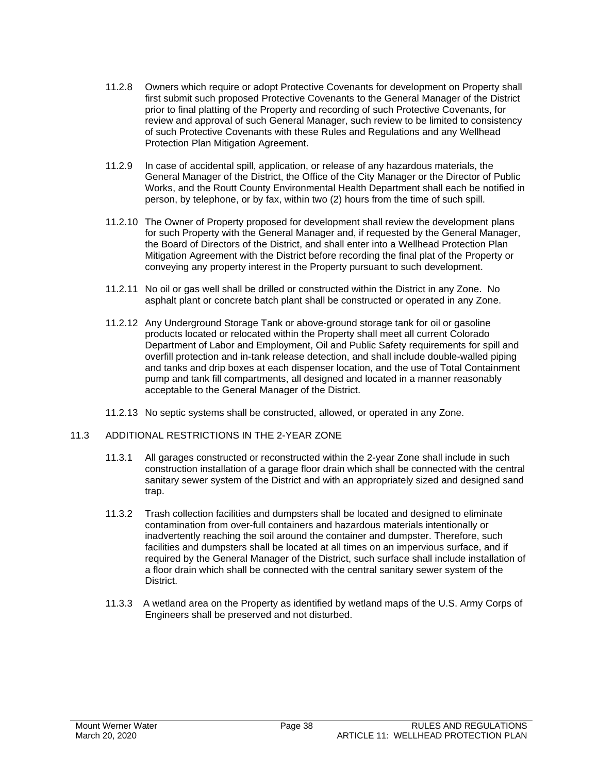- 11.2.8 Owners which require or adopt Protective Covenants for development on Property shall first submit such proposed Protective Covenants to the General Manager of the District prior to final platting of the Property and recording of such Protective Covenants, for review and approval of such General Manager, such review to be limited to consistency of such Protective Covenants with these Rules and Regulations and any Wellhead Protection Plan Mitigation Agreement.
- 11.2.9 In case of accidental spill, application, or release of any hazardous materials, the General Manager of the District, the Office of the City Manager or the Director of Public Works, and the Routt County Environmental Health Department shall each be notified in person, by telephone, or by fax, within two (2) hours from the time of such spill.
- 11.2.10 The Owner of Property proposed for development shall review the development plans for such Property with the General Manager and, if requested by the General Manager, the Board of Directors of the District, and shall enter into a Wellhead Protection Plan Mitigation Agreement with the District before recording the final plat of the Property or conveying any property interest in the Property pursuant to such development.
- 11.2.11 No oil or gas well shall be drilled or constructed within the District in any Zone. No asphalt plant or concrete batch plant shall be constructed or operated in any Zone.
- 11.2.12 Any Underground Storage Tank or above-ground storage tank for oil or gasoline products located or relocated within the Property shall meet all current Colorado Department of Labor and Employment, Oil and Public Safety requirements for spill and overfill protection and in-tank release detection, and shall include double-walled piping and tanks and drip boxes at each dispenser location, and the use of Total Containment pump and tank fill compartments, all designed and located in a manner reasonably acceptable to the General Manager of the District.
- 11.2.13 No septic systems shall be constructed, allowed, or operated in any Zone.

#### 11.3 ADDITIONAL RESTRICTIONS IN THE 2-YEAR ZONE

- 11.3.1 All garages constructed or reconstructed within the 2-year Zone shall include in such construction installation of a garage floor drain which shall be connected with the central sanitary sewer system of the District and with an appropriately sized and designed sand trap.
- 11.3.2 Trash collection facilities and dumpsters shall be located and designed to eliminate contamination from over-full containers and hazardous materials intentionally or inadvertently reaching the soil around the container and dumpster. Therefore, such facilities and dumpsters shall be located at all times on an impervious surface, and if required by the General Manager of the District, such surface shall include installation of a floor drain which shall be connected with the central sanitary sewer system of the District.
- 11.3.3 A wetland area on the Property as identified by wetland maps of the U.S. Army Corps of Engineers shall be preserved and not disturbed.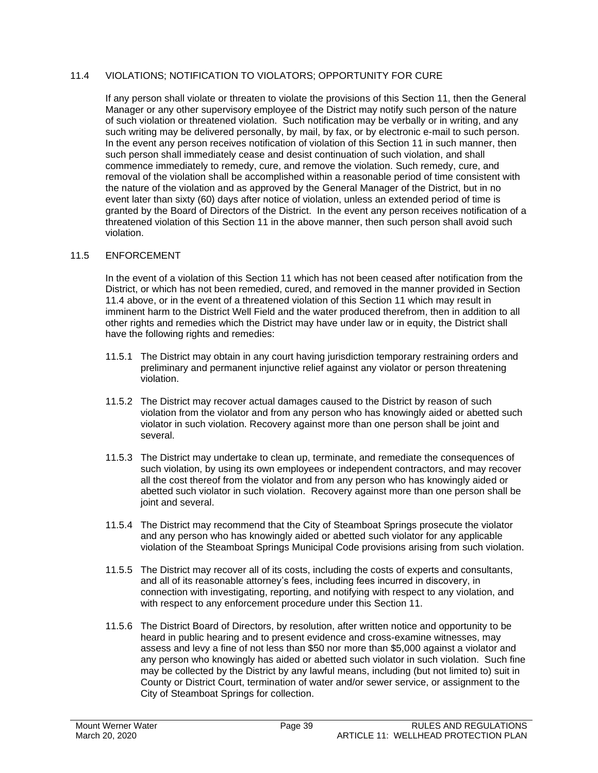#### 11.4 VIOLATIONS; NOTIFICATION TO VIOLATORS; OPPORTUNITY FOR CURE

If any person shall violate or threaten to violate the provisions of this Section 11, then the General Manager or any other supervisory employee of the District may notify such person of the nature of such violation or threatened violation. Such notification may be verbally or in writing, and any such writing may be delivered personally, by mail, by fax, or by electronic e-mail to such person. In the event any person receives notification of violation of this Section 11 in such manner, then such person shall immediately cease and desist continuation of such violation, and shall commence immediately to remedy, cure, and remove the violation. Such remedy, cure, and removal of the violation shall be accomplished within a reasonable period of time consistent with the nature of the violation and as approved by the General Manager of the District, but in no event later than sixty (60) days after notice of violation, unless an extended period of time is granted by the Board of Directors of the District. In the event any person receives notification of a threatened violation of this Section 11 in the above manner, then such person shall avoid such violation.

#### 11.5 ENFORCEMENT

In the event of a violation of this Section 11 which has not been ceased after notification from the District, or which has not been remedied, cured, and removed in the manner provided in Section 11.4 above, or in the event of a threatened violation of this Section 11 which may result in imminent harm to the District Well Field and the water produced therefrom, then in addition to all other rights and remedies which the District may have under law or in equity, the District shall have the following rights and remedies:

- 11.5.1 The District may obtain in any court having jurisdiction temporary restraining orders and preliminary and permanent injunctive relief against any violator or person threatening violation.
- 11.5.2 The District may recover actual damages caused to the District by reason of such violation from the violator and from any person who has knowingly aided or abetted such violator in such violation. Recovery against more than one person shall be joint and several.
- 11.5.3 The District may undertake to clean up, terminate, and remediate the consequences of such violation, by using its own employees or independent contractors, and may recover all the cost thereof from the violator and from any person who has knowingly aided or abetted such violator in such violation. Recovery against more than one person shall be joint and several.
- 11.5.4 The District may recommend that the City of Steamboat Springs prosecute the violator and any person who has knowingly aided or abetted such violator for any applicable violation of the Steamboat Springs Municipal Code provisions arising from such violation.
- 11.5.5 The District may recover all of its costs, including the costs of experts and consultants, and all of its reasonable attorney's fees, including fees incurred in discovery, in connection with investigating, reporting, and notifying with respect to any violation, and with respect to any enforcement procedure under this Section 11.
- 11.5.6 The District Board of Directors, by resolution, after written notice and opportunity to be heard in public hearing and to present evidence and cross-examine witnesses, may assess and levy a fine of not less than \$50 nor more than \$5,000 against a violator and any person who knowingly has aided or abetted such violator in such violation. Such fine may be collected by the District by any lawful means, including (but not limited to) suit in County or District Court, termination of water and/or sewer service, or assignment to the City of Steamboat Springs for collection.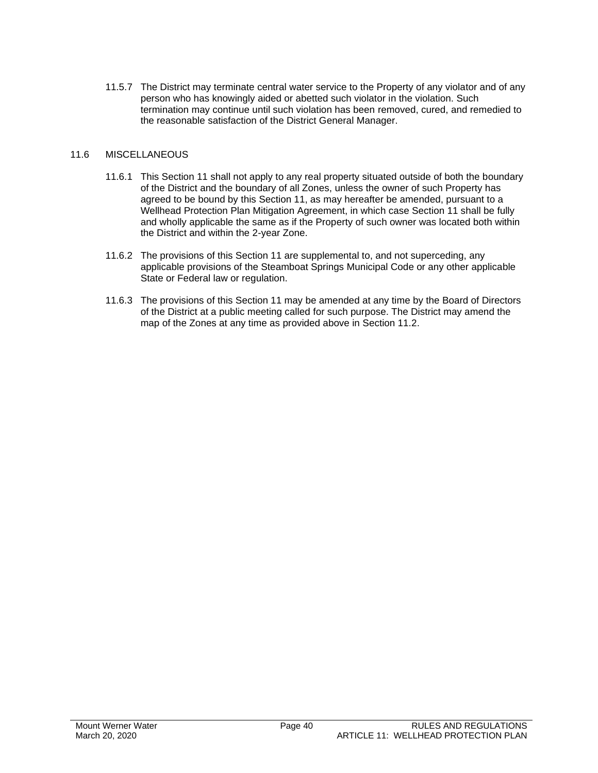11.5.7 The District may terminate central water service to the Property of any violator and of any person who has knowingly aided or abetted such violator in the violation. Such termination may continue until such violation has been removed, cured, and remedied to the reasonable satisfaction of the District General Manager.

#### 11.6 MISCELLANEOUS

- 11.6.1 This Section 11 shall not apply to any real property situated outside of both the boundary of the District and the boundary of all Zones, unless the owner of such Property has agreed to be bound by this Section 11, as may hereafter be amended, pursuant to a Wellhead Protection Plan Mitigation Agreement, in which case Section 11 shall be fully and wholly applicable the same as if the Property of such owner was located both within the District and within the 2-year Zone.
- 11.6.2 The provisions of this Section 11 are supplemental to, and not superceding, any applicable provisions of the Steamboat Springs Municipal Code or any other applicable State or Federal law or regulation.
- 11.6.3 The provisions of this Section 11 may be amended at any time by the Board of Directors of the District at a public meeting called for such purpose. The District may amend the map of the Zones at any time as provided above in Section 11.2.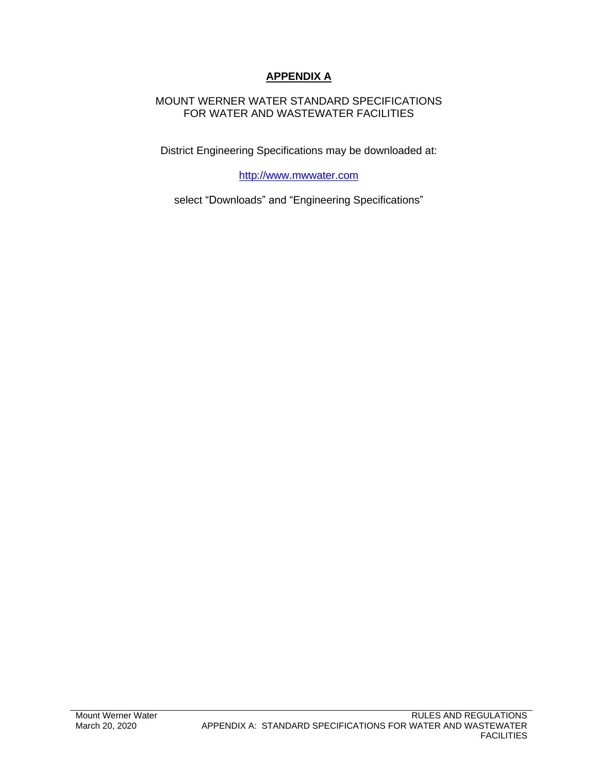### **APPENDIX A**

### MOUNT WERNER WATER STANDARD SPECIFICATIONS FOR WATER AND WASTEWATER FACILITIES

District Engineering Specifications may be downloaded at:

[http://www.mwwater.com](http://www.mwwater.com/)

select "Downloads" and "Engineering Specifications"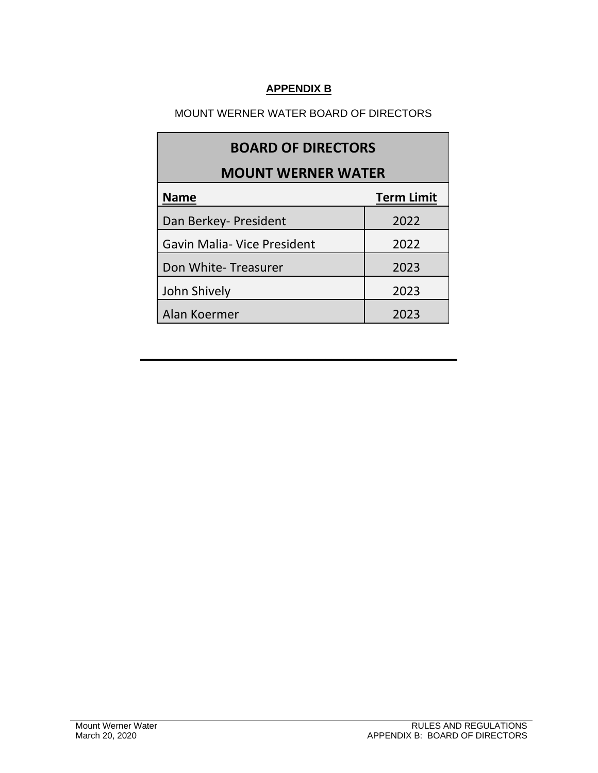### **APPENDIX B**

### MOUNT WERNER WATER BOARD OF DIRECTORS

| <b>BOARD OF DIRECTORS</b>          |                   |  |  |  |
|------------------------------------|-------------------|--|--|--|
| <b>MOUNT WERNER WATER</b>          |                   |  |  |  |
| <b>Name</b>                        | <b>Term Limit</b> |  |  |  |
| Dan Berkey- President              | 2022              |  |  |  |
| <b>Gavin Malia- Vice President</b> | 2022              |  |  |  |
| Don White-Treasurer                | 2023              |  |  |  |
| John Shively                       | 2023              |  |  |  |
| Alan Koermer                       | 2023              |  |  |  |

**\_\_\_\_\_\_\_\_\_\_\_\_\_\_\_\_\_\_\_\_\_\_\_\_\_\_\_\_\_\_\_\_\_\_\_\_\_\_\_\_\_\_\_\_\_\_\_\_\_\_\_\_\_**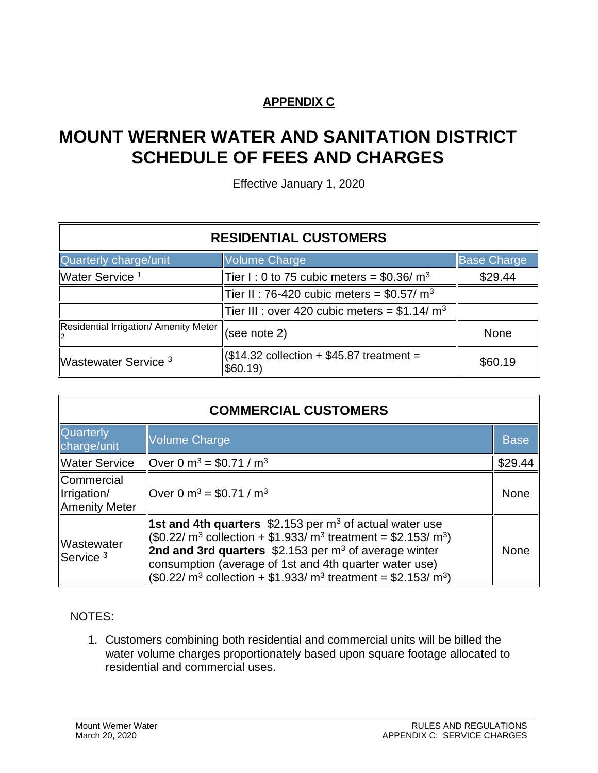## **APPENDIX C**

# **MOUNT WERNER WATER AND SANITATION DISTRICT SCHEDULE OF FEES AND CHARGES**

Effective January 1, 2020

| <b>RESIDENTIAL CUSTOMERS</b>          |                                                                  |                    |  |  |
|---------------------------------------|------------------------------------------------------------------|--------------------|--|--|
| Quarterly charge/unit                 | <b>Volume Charge</b>                                             | <b>Base Charge</b> |  |  |
| Water Service <sup>1</sup>            | Tier I: 0 to 75 cubic meters = \$0.36/ $m3$                      | \$29.44            |  |  |
|                                       | Tier II: 76-420 cubic meters = \$0.57/ m <sup>3</sup>            |                    |  |  |
|                                       | Tier III : over 420 cubic meters = \$1.14/ $m3$                  |                    |  |  |
| Residential Irrigation/ Amenity Meter | $\vert$ (see note 2)                                             | <b>None</b>        |  |  |
| Wastewater Service <sup>3</sup>       | $\parallel$ (\$14.32 collection + \$45.87 treatment =<br>\$60.19 | \$60.19            |  |  |

| <b>COMMERCIAL CUSTOMERS</b>                       |                                                                                                                                                                                                                                                                                                                                                                                                    |             |  |  |
|---------------------------------------------------|----------------------------------------------------------------------------------------------------------------------------------------------------------------------------------------------------------------------------------------------------------------------------------------------------------------------------------------------------------------------------------------------------|-------------|--|--|
| <b>Quarterly</b><br>charge/unit                   | <b>Volume Charge</b>                                                                                                                                                                                                                                                                                                                                                                               | <b>Base</b> |  |  |
| Water Service                                     | Over 0 $m^3$ = \$0.71 / $m^3$                                                                                                                                                                                                                                                                                                                                                                      | \$29.44     |  |  |
| <b>Commercial</b><br>Irrigation/<br>Amenity Meter | Over 0 m <sup>3</sup> = \$0.71 / m <sup>3</sup>                                                                                                                                                                                                                                                                                                                                                    | None        |  |  |
| Wastewater<br>$S$ ervice $3$                      | <b>1st and 4th quarters</b> \$2.153 per $m3$ of actual water use<br>$($0.22/m^3$$ collection + \$1.933/ m <sup>3</sup> treatment = \$2.153/ m <sup>3</sup> )<br>2nd and 3rd quarters $$2.153$ per m <sup>3</sup> of average winter<br>consumption (average of 1st and 4th quarter water use)<br>(\$0.22/ m <sup>3</sup> collection + \$1.933/ m <sup>3</sup> treatment = \$2.153/ m <sup>3</sup> ) | <b>None</b> |  |  |

### NOTES:

1. Customers combining both residential and commercial units will be billed the water volume charges proportionately based upon square footage allocated to residential and commercial uses.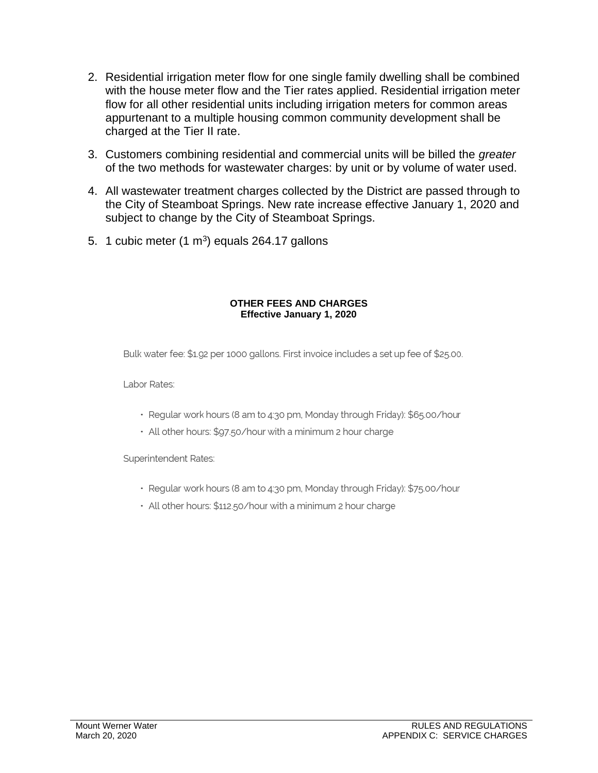- 2. Residential irrigation meter flow for one single family dwelling shall be combined with the house meter flow and the Tier rates applied. Residential irrigation meter flow for all other residential units including irrigation meters for common areas appurtenant to a multiple housing common community development shall be charged at the Tier II rate.
- 3. Customers combining residential and commercial units will be billed the *greater* of the two methods for wastewater charges: by unit or by volume of water used.
- 4. All wastewater treatment charges collected by the District are passed through to the City of Steamboat Springs. New rate increase effective January 1, 2020 and subject to change by the City of Steamboat Springs.
- 5. 1 cubic meter  $(1 \text{ m}^3)$  equals 264.17 gallons

#### **OTHER FEES AND CHARGES Effective January 1, 2020**

Bulk water fee: \$1.92 per 1000 gallons. First invoice includes a set up fee of \$25.00.

Labor Rates:

- · Regular work hours (8 am to 4:30 pm, Monday through Friday): \$65.00/hour
- All other hours: \$97.50/hour with a minimum 2 hour charge

Superintendent Rates:

- · Regular work hours (8 am to 4:30 pm, Monday through Friday): \$75.00/hour
- All other hours: \$112.50/hour with a minimum 2 hour charge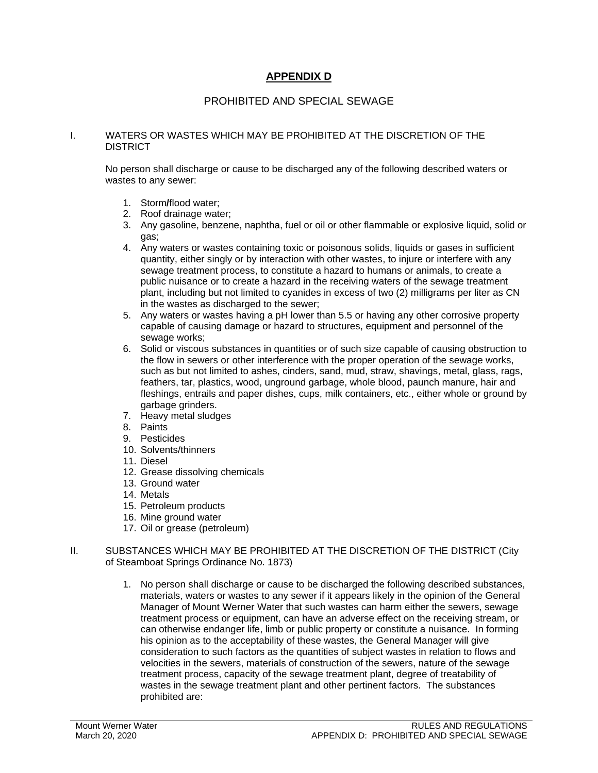### **APPENDIX D**

#### PROHIBITED AND SPECIAL SEWAGE

#### I. WATERS OR WASTES WHICH MAY BE PROHIBITED AT THE DISCRETION OF THE **DISTRICT**

No person shall discharge or cause to be discharged any of the following described waters or wastes to any sewer:

- 1. Storm**/**flood water;
- 2. Roof drainage water;
- 3. Any gasoline, benzene, naphtha, fuel or oil or other flammable or explosive liquid, solid or gas;
- 4. Any waters or wastes containing toxic or poisonous solids, liquids or gases in sufficient quantity, either singly or by interaction with other wastes, to injure or interfere with any sewage treatment process, to constitute a hazard to humans or animals, to create a public nuisance or to create a hazard in the receiving waters of the sewage treatment plant, including but not limited to cyanides in excess of two (2) milligrams per liter as CN in the wastes as discharged to the sewer;
- 5. Any waters or wastes having a pH lower than 5.5 or having any other corrosive property capable of causing damage or hazard to structures, equipment and personnel of the sewage works:
- 6. Solid or viscous substances in quantities or of such size capable of causing obstruction to the flow in sewers or other interference with the proper operation of the sewage works, such as but not limited to ashes, cinders, sand, mud, straw, shavings, metal, glass, rags, feathers, tar, plastics, wood, unground garbage, whole blood, paunch manure, hair and fleshings, entrails and paper dishes, cups, milk containers, etc., either whole or ground by garbage grinders.
- 7. Heavy metal sludges
- 8. Paints
- 9. Pesticides
- 10. Solvents/thinners
- 11. Diesel
- 12. Grease dissolving chemicals
- 13. Ground water
- 14. Metals
- 15. Petroleum products
- 16. Mine ground water
- 17. Oil or grease (petroleum)
- II. SUBSTANCES WHICH MAY BE PROHIBITED AT THE DISCRETION OF THE DISTRICT (City of Steamboat Springs Ordinance No. 1873)
	- 1. No person shall discharge or cause to be discharged the following described substances, materials, waters or wastes to any sewer if it appears likely in the opinion of the General Manager of Mount Werner Water that such wastes can harm either the sewers, sewage treatment process or equipment, can have an adverse effect on the receiving stream, or can otherwise endanger life, limb or public property or constitute a nuisance. In forming his opinion as to the acceptability of these wastes, the General Manager will give consideration to such factors as the quantities of subject wastes in relation to flows and velocities in the sewers, materials of construction of the sewers, nature of the sewage treatment process, capacity of the sewage treatment plant, degree of treatability of wastes in the sewage treatment plant and other pertinent factors. The substances prohibited are: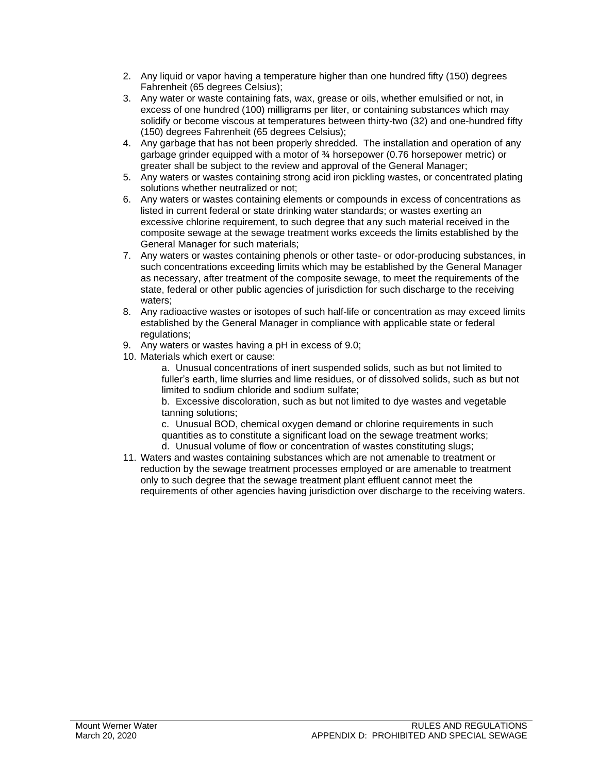- 2. Any liquid or vapor having a temperature higher than one hundred fifty (150) degrees Fahrenheit (65 degrees Celsius);
- 3. Any water or waste containing fats, wax, grease or oils, whether emulsified or not, in excess of one hundred (100) milligrams per liter, or containing substances which may solidify or become viscous at temperatures between thirty-two (32) and one-hundred fifty (150) degrees Fahrenheit (65 degrees Celsius);
- 4. Any garbage that has not been properly shredded. The installation and operation of any garbage grinder equipped with a motor of  $\frac{3}{4}$  horsepower (0.76 horsepower metric) or greater shall be subject to the review and approval of the General Manager;
- 5. Any waters or wastes containing strong acid iron pickling wastes, or concentrated plating solutions whether neutralized or not;
- 6. Any waters or wastes containing elements or compounds in excess of concentrations as listed in current federal or state drinking water standards; or wastes exerting an excessive chlorine requirement, to such degree that any such material received in the composite sewage at the sewage treatment works exceeds the limits established by the General Manager for such materials;
- 7. Any waters or wastes containing phenols or other taste- or odor-producing substances, in such concentrations exceeding limits which may be established by the General Manager as necessary, after treatment of the composite sewage, to meet the requirements of the state, federal or other public agencies of jurisdiction for such discharge to the receiving waters;
- 8. Any radioactive wastes or isotopes of such half-life or concentration as may exceed limits established by the General Manager in compliance with applicable state or federal regulations;
- 9. Any waters or wastes having a pH in excess of 9.0;
- 10. Materials which exert or cause:

a. Unusual concentrations of inert suspended solids, such as but not limited to fuller's earth, lime slurries and lime residues, or of dissolved solids, such as but not limited to sodium chloride and sodium sulfate;

b. Excessive discoloration, such as but not limited to dye wastes and vegetable tanning solutions;

c. Unusual BOD, chemical oxygen demand or chlorine requirements in such quantities as to constitute a significant load on the sewage treatment works; d. Unusual volume of flow or concentration of wastes constituting slugs;

11. Waters and wastes containing substances which are not amenable to treatment or reduction by the sewage treatment processes employed or are amenable to treatment only to such degree that the sewage treatment plant effluent cannot meet the requirements of other agencies having jurisdiction over discharge to the receiving waters.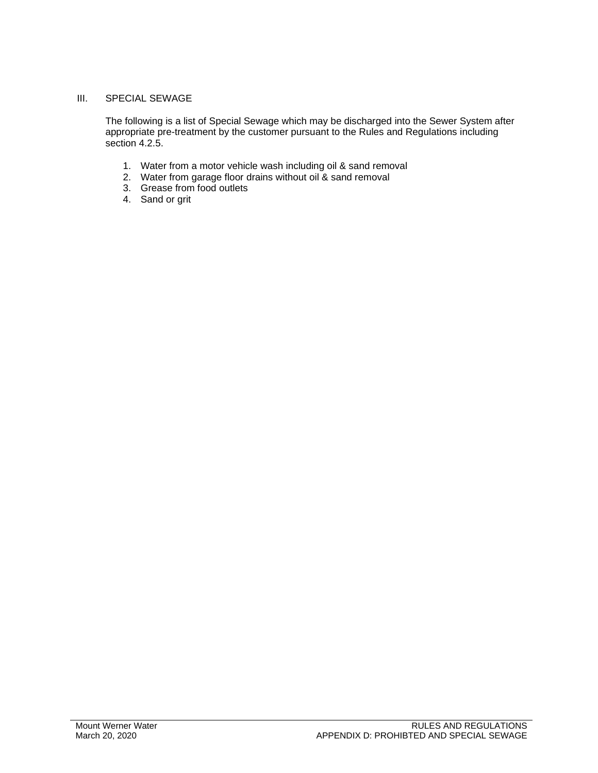#### III. SPECIAL SEWAGE

The following is a list of Special Sewage which may be discharged into the Sewer System after appropriate pre-treatment by the customer pursuant to the Rules and Regulations including section 4.2.5.

- 1. Water from a motor vehicle wash including oil & sand removal
- 2. Water from garage floor drains without oil & sand removal
- 3. Grease from food outlets
- 4. Sand or grit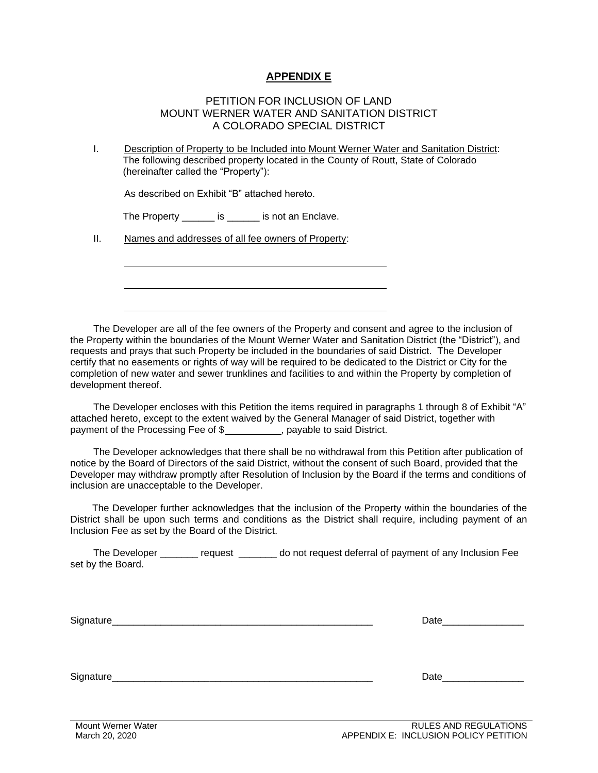### **APPENDIX E**

#### PETITION FOR INCLUSION OF LAND MOUNT WERNER WATER AND SANITATION DISTRICT A COLORADO SPECIAL DISTRICT

I. Description of Property to be Included into Mount Werner Water and Sanitation District: The following described property located in the County of Routt, State of Colorado (hereinafter called the "Property"):

As described on Exhibit "B" attached hereto.

The Property **is** is not an Enclave.

II. Names and addresses of all fee owners of Property:

The Developer are all of the fee owners of the Property and consent and agree to the inclusion of the Property within the boundaries of the Mount Werner Water and Sanitation District (the "District"), and requests and prays that such Property be included in the boundaries of said District. The Developer certify that no easements or rights of way will be required to be dedicated to the District or City for the completion of new water and sewer trunklines and facilities to and within the Property by completion of development thereof.

The Developer encloses with this Petition the items required in paragraphs 1 through 8 of Exhibit "A" attached hereto, except to the extent waived by the General Manager of said District, together with payment of the Processing Fee of \$, payable to said District.

The Developer acknowledges that there shall be no withdrawal from this Petition after publication of notice by the Board of Directors of the said District, without the consent of such Board, provided that the Developer may withdraw promptly after Resolution of Inclusion by the Board if the terms and conditions of inclusion are unacceptable to the Developer.

The Developer further acknowledges that the inclusion of the Property within the boundaries of the District shall be upon such terms and conditions as the District shall require, including payment of an Inclusion Fee as set by the Board of the District.

The Developer \_\_\_\_\_\_\_ request \_\_\_\_\_\_\_ do not request deferral of payment of any Inclusion Fee set by the Board.

| ∼ |  |
|---|--|
|   |  |
|   |  |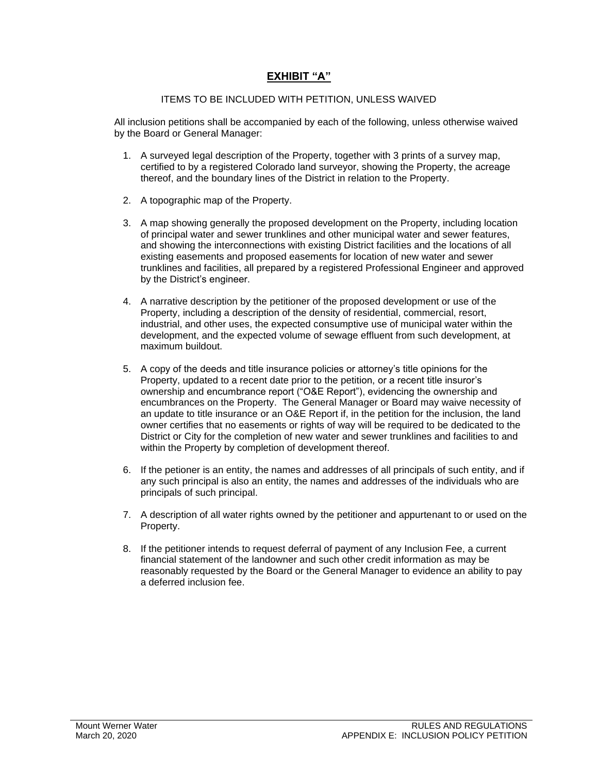### **EXHIBIT "A"**

#### ITEMS TO BE INCLUDED WITH PETITION, UNLESS WAIVED

All inclusion petitions shall be accompanied by each of the following, unless otherwise waived by the Board or General Manager:

- 1. A surveyed legal description of the Property, together with 3 prints of a survey map, certified to by a registered Colorado land surveyor, showing the Property, the acreage thereof, and the boundary lines of the District in relation to the Property.
- 2. A topographic map of the Property.
- 3. A map showing generally the proposed development on the Property, including location of principal water and sewer trunklines and other municipal water and sewer features, and showing the interconnections with existing District facilities and the locations of all existing easements and proposed easements for location of new water and sewer trunklines and facilities, all prepared by a registered Professional Engineer and approved by the District's engineer.
- 4. A narrative description by the petitioner of the proposed development or use of the Property, including a description of the density of residential, commercial, resort, industrial, and other uses, the expected consumptive use of municipal water within the development, and the expected volume of sewage effluent from such development, at maximum buildout.
- 5. A copy of the deeds and title insurance policies or attorney's title opinions for the Property, updated to a recent date prior to the petition, or a recent title insuror's ownership and encumbrance report ("O&E Report"), evidencing the ownership and encumbrances on the Property. The General Manager or Board may waive necessity of an update to title insurance or an O&E Report if, in the petition for the inclusion, the land owner certifies that no easements or rights of way will be required to be dedicated to the District or City for the completion of new water and sewer trunklines and facilities to and within the Property by completion of development thereof.
- 6. If the petioner is an entity, the names and addresses of all principals of such entity, and if any such principal is also an entity, the names and addresses of the individuals who are principals of such principal.
- 7. A description of all water rights owned by the petitioner and appurtenant to or used on the Property.
- 8. If the petitioner intends to request deferral of payment of any Inclusion Fee, a current financial statement of the landowner and such other credit information as may be reasonably requested by the Board or the General Manager to evidence an ability to pay a deferred inclusion fee.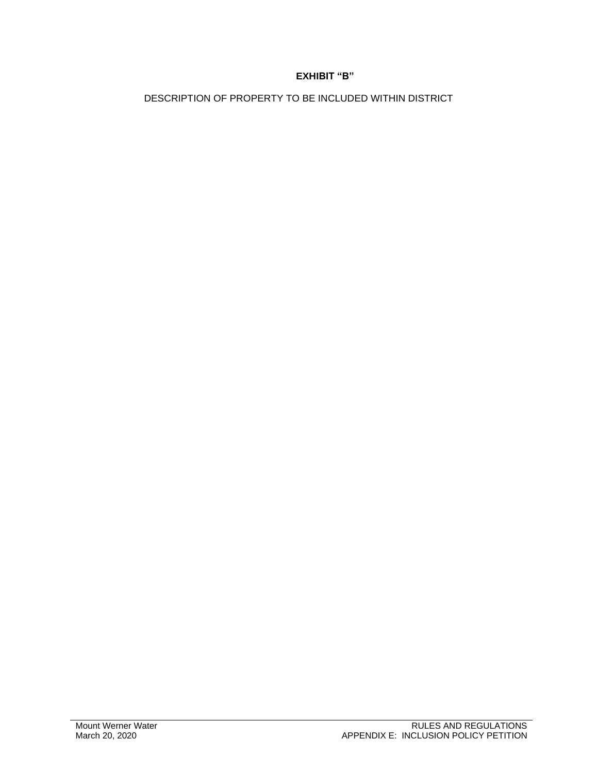### **EXHIBIT "B"**

DESCRIPTION OF PROPERTY TO BE INCLUDED WITHIN DISTRICT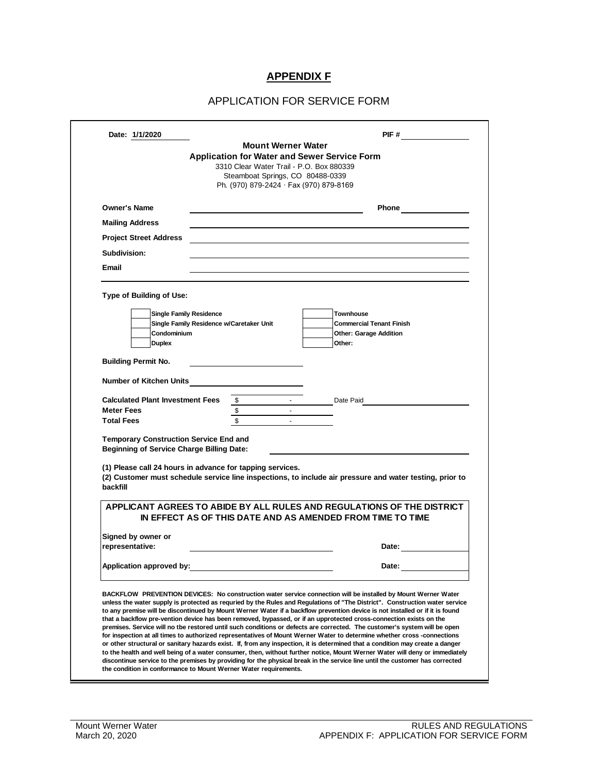### **APPENDIX F**

#### APPLICATION FOR SERVICE FORM

| Date: 1/1/2020                                                                                                          |                                          | <b>Mount Werner Water</b>                | PIF#                                                                                                                                                                                                                                                                                                                                                                                                                                                                                                                                                                                                                            |
|-------------------------------------------------------------------------------------------------------------------------|------------------------------------------|------------------------------------------|---------------------------------------------------------------------------------------------------------------------------------------------------------------------------------------------------------------------------------------------------------------------------------------------------------------------------------------------------------------------------------------------------------------------------------------------------------------------------------------------------------------------------------------------------------------------------------------------------------------------------------|
|                                                                                                                         |                                          |                                          | Application for Water and Sewer Service Form                                                                                                                                                                                                                                                                                                                                                                                                                                                                                                                                                                                    |
|                                                                                                                         |                                          | 3310 Clear Water Trail - P.O. Box 880339 |                                                                                                                                                                                                                                                                                                                                                                                                                                                                                                                                                                                                                                 |
|                                                                                                                         |                                          | Steamboat Springs, CO 80488-0339         |                                                                                                                                                                                                                                                                                                                                                                                                                                                                                                                                                                                                                                 |
|                                                                                                                         |                                          | Ph. (970) 879-2424 · Fax (970) 879-8169  |                                                                                                                                                                                                                                                                                                                                                                                                                                                                                                                                                                                                                                 |
| <b>Owner's Name</b>                                                                                                     |                                          |                                          | Phone <u>___________</u>                                                                                                                                                                                                                                                                                                                                                                                                                                                                                                                                                                                                        |
| <b>Mailing Address</b>                                                                                                  |                                          |                                          |                                                                                                                                                                                                                                                                                                                                                                                                                                                                                                                                                                                                                                 |
| <b>Project Street Address</b>                                                                                           |                                          |                                          |                                                                                                                                                                                                                                                                                                                                                                                                                                                                                                                                                                                                                                 |
| Subdivision:                                                                                                            |                                          |                                          |                                                                                                                                                                                                                                                                                                                                                                                                                                                                                                                                                                                                                                 |
| Email                                                                                                                   |                                          |                                          |                                                                                                                                                                                                                                                                                                                                                                                                                                                                                                                                                                                                                                 |
|                                                                                                                         |                                          |                                          |                                                                                                                                                                                                                                                                                                                                                                                                                                                                                                                                                                                                                                 |
| Type of Building of Use:                                                                                                |                                          |                                          |                                                                                                                                                                                                                                                                                                                                                                                                                                                                                                                                                                                                                                 |
|                                                                                                                         | <b>Single Family Residence</b>           |                                          | <b>Townhouse</b>                                                                                                                                                                                                                                                                                                                                                                                                                                                                                                                                                                                                                |
|                                                                                                                         | Single Family Residence w/Caretaker Unit |                                          | <b>Commercial Tenant Finish</b>                                                                                                                                                                                                                                                                                                                                                                                                                                                                                                                                                                                                 |
| Condominium<br><b>Duplex</b>                                                                                            |                                          |                                          | <b>Other: Garage Addition</b><br>Other:                                                                                                                                                                                                                                                                                                                                                                                                                                                                                                                                                                                         |
|                                                                                                                         |                                          |                                          |                                                                                                                                                                                                                                                                                                                                                                                                                                                                                                                                                                                                                                 |
| <b>Building Permit No.</b>                                                                                              |                                          |                                          |                                                                                                                                                                                                                                                                                                                                                                                                                                                                                                                                                                                                                                 |
| <b>Number of Kitchen Units</b>                                                                                          |                                          |                                          |                                                                                                                                                                                                                                                                                                                                                                                                                                                                                                                                                                                                                                 |
| <b>Calculated Plant Investment Fees</b>                                                                                 | $\mathfrak s$                            |                                          | Date Paid                                                                                                                                                                                                                                                                                                                                                                                                                                                                                                                                                                                                                       |
| <b>Meter Fees</b>                                                                                                       | \$                                       |                                          |                                                                                                                                                                                                                                                                                                                                                                                                                                                                                                                                                                                                                                 |
| <b>Total Fees</b>                                                                                                       | $\overline{\mathbb{S}}$                  |                                          |                                                                                                                                                                                                                                                                                                                                                                                                                                                                                                                                                                                                                                 |
| <b>Temporary Construction Service End and</b>                                                                           |                                          |                                          |                                                                                                                                                                                                                                                                                                                                                                                                                                                                                                                                                                                                                                 |
| <b>Beginning of Service Charge Billing Date:</b>                                                                        |                                          |                                          |                                                                                                                                                                                                                                                                                                                                                                                                                                                                                                                                                                                                                                 |
| (1) Please call 24 hours in advance for tapping services.                                                               |                                          |                                          |                                                                                                                                                                                                                                                                                                                                                                                                                                                                                                                                                                                                                                 |
|                                                                                                                         |                                          |                                          | (2) Customer must schedule service line inspections, to include air pressure and water testing, prior to                                                                                                                                                                                                                                                                                                                                                                                                                                                                                                                        |
| backfill                                                                                                                |                                          |                                          |                                                                                                                                                                                                                                                                                                                                                                                                                                                                                                                                                                                                                                 |
|                                                                                                                         |                                          |                                          | APPLICANT AGREES TO ABIDE BY ALL RULES AND REGULATIONS OF THE DISTRICT                                                                                                                                                                                                                                                                                                                                                                                                                                                                                                                                                          |
|                                                                                                                         |                                          |                                          | IN EFFECT AS OF THIS DATE AND AS AMENDED FROM TIME TO TIME                                                                                                                                                                                                                                                                                                                                                                                                                                                                                                                                                                      |
| Signed by owner or<br>representative:                                                                                   |                                          |                                          | Date:                                                                                                                                                                                                                                                                                                                                                                                                                                                                                                                                                                                                                           |
|                                                                                                                         |                                          |                                          |                                                                                                                                                                                                                                                                                                                                                                                                                                                                                                                                                                                                                                 |
| Application approved by:                                                                                                |                                          |                                          | Date:                                                                                                                                                                                                                                                                                                                                                                                                                                                                                                                                                                                                                           |
| for inspection at all times to authorized representatives of Mount Werner Water to determine whether cross -connections |                                          |                                          | BACKFLOW PREVENTION DEVICES: No construction water service connection will be installed by Mount Werner Water<br>unless the water supply is protected as requried by the Rules and Regulations of "The District". Construction water service<br>to any premise will be discontinued by Mount Werner Water if a backflow prevention device is not installed or if it is found<br>that a backflow pre-vention device has been removed, bypassed, or if an upprotected cross-connection exists on the<br>premises. Service will no tbe restored until such conditions or defects are corrected. The customer's system will be open |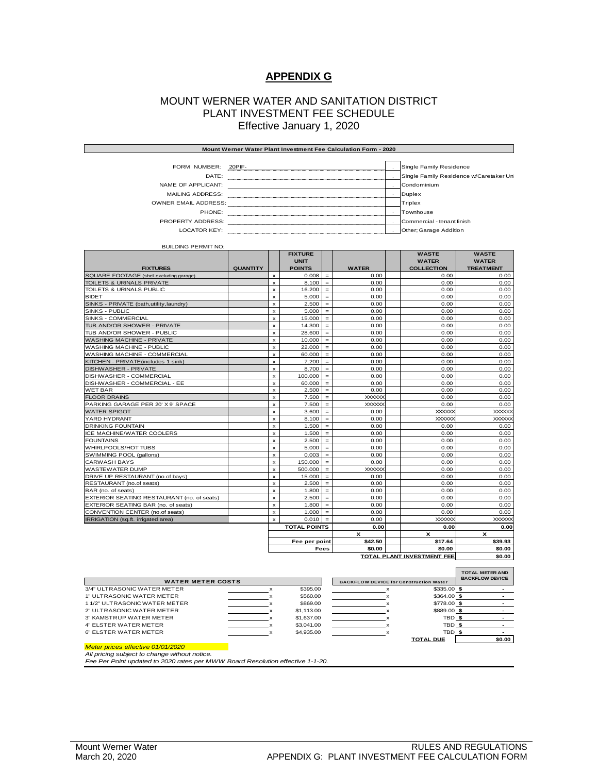#### **APPENDIX G**

#### MOUNT WERNER WATER AND SANITATION DISTRICT PLANT INVESTMENT FEE SCHEDULE Effective January 1, 2020

| Mount Werner Water Plant Investment Fee Calculation Form - 2020 |        |  |                                         |  |
|-----------------------------------------------------------------|--------|--|-----------------------------------------|--|
|                                                                 |        |  |                                         |  |
| FORM NUMBER:                                                    | 20PIF- |  | Single Family Residence                 |  |
| DATE:                                                           |        |  | Single Family Residence w/Caretaker Uni |  |
| NAME OF APPLICANT:                                              |        |  | Condominium                             |  |
| <b>MAILING ADDRESS:</b>                                         |        |  | Duplex                                  |  |
| <b>OWNER EMAIL ADDRESS:</b>                                     |        |  | Triplex                                 |  |
| PHONE:                                                          |        |  | Townhouse                               |  |
| <b>PROPERTY ADDRESS:</b>                                        |        |  | Commercial - tenant finish              |  |
| LOCATOR KEY:                                                    |        |  | Other; Garage Addition                  |  |

BUILDING PERMIT NO:

|                                            |                 |                | <b>FIXTURE</b><br><b>UNIT</b> |             |               | <b>WASTE</b><br><b>WATER</b> | <b>WASTE</b><br><b>WATER</b> |
|--------------------------------------------|-----------------|----------------|-------------------------------|-------------|---------------|------------------------------|------------------------------|
| <b>FIXTURES</b>                            | <b>QUANTITY</b> |                | <b>POINTS</b>                 |             | <b>WATER</b>  | <b>COLLECTION</b>            | <b>TREATMENT</b>             |
| SQUARE FOOTAGE (shell excluding garage)    |                 | x              | 0.008                         | $=$         | 0.00          | 0.00                         | 0.00                         |
| TOILETS & URINALS PRIVATE                  |                 | $\mathsf{x}$   | 8.100                         | $=$         | 0.00          | 0.00                         | 0.00                         |
| TOILETS & URINALS PUBLIC                   |                 | $\pmb{\times}$ | 16.200                        | $=$         | 0.00          | 0.00                         | 0.00                         |
| <b>BIDET</b>                               |                 | x              | 5.000                         | $=$         | 0.00          | 0.00                         | 0.00                         |
| SINKS - PRIVATE (bath, utility, laundry)   |                 | $\pmb{\times}$ | 2.500                         | $=$         | 0.00          | 0.00                         | 0.00                         |
| SINKS - PUBLIC                             |                 | x              | 5.000                         | $=$         | 0.00          | 0.00                         | 0.00                         |
| SINKS - COMMERCIAL                         |                 | $\mathbf{x}$   | 15,000                        | $=$         | 0.00          | 0.00                         | 0.00                         |
| TUB AND/OR SHOWER - PRIVATE                |                 | $\mathsf{x}$   | 14.300                        | $=$         | 0.00          | 0.00                         | 0.00                         |
| TUB AND/OR SHOWER - PUBLIC                 |                 | $\mathsf{x}$   | 28.600                        | $=$         | 0.00          | 0.00                         | 0.00                         |
| <b>WASHING MACHINE - PRIVATE</b>           |                 | x              | 10.000                        | $=$         | 0.00          | 0.00                         | 0.00                         |
| <b>WASHING MACHINE - PUBLIC</b>            |                 | $\mathsf{x}$   | 22.000                        | $=$         | 0.00          | 0.00                         | 0.00                         |
| WASHING MACHINE - COMMERCIAL               |                 | $\mathsf{x}$   | 60,000                        | $=$         | 0.00          | 0.00                         | 0.00                         |
| KITCHEN - PRIVATE (includes 1 sink)        |                 | $\mathbf{x}$   | 7.200                         | $=$         | 0.00          | 0.00                         | 0.00                         |
| <b>DISHWASHER - PRIVATE</b>                |                 | $\mathsf{x}$   | 8.700                         | $=$         | 0.00          | 0.00                         | 0.00                         |
| DISHWASHER - COMMERCIAL                    |                 | $\mathsf{x}$   | 100.000                       | $=$         | 0.00          | 0.00                         | 0.00                         |
| DISHWASHER - COMMERCIAL - EE               |                 | $\mathsf{x}$   | 60.000                        | $=$         | 0.00          | 0.00                         | 0.00                         |
| <b>WET BAR</b>                             |                 | x              | 2.500                         | $=$         | 0.00          | 0.00                         | 0.00                         |
| <b>FLOOR DRAINS</b>                        |                 | $\mathsf{x}$   | 7.500                         | $=$         | <b>XXXXXX</b> | 0.00                         | 0.00                         |
| PARKING GARAGE PER 20' X 9' SPACE          |                 | $\mathsf{x}$   | 7.500                         | $=$         | <b>XXXXXX</b> | 0.00                         | 0.00                         |
| <b>WATER SPIGOT</b>                        |                 | $\mathbf{x}$   | 3.600                         | $=$         | 0.00          | <b>XXXXXXX</b>               | <b>XXXXXX</b>                |
| YARD HYDRANT                               |                 | $\mathbf{x}$   | 8.100                         | $=$         | 0.00          | <b>XXXXXXX</b>               | <b>XXXXXX</b>                |
| <b>DRINKING FOUNTAIN</b>                   |                 | $\mathsf{x}$   | 1.500                         | $=$         | 0.00          | 0.00                         | 0.00                         |
| ICE MACHINE/WATER COOLERS                  |                 | $\mathsf{x}$   | 1.500                         | $=$         | 0.00          | 0.00                         | 0.00                         |
| <b>FOUNTAINS</b>                           |                 | x              | 2.500                         | $=$         | 0.00          | 0.00                         | 0.00                         |
| WHIRLPOOLS/HOT TUBS                        |                 | $\mathsf{x}$   | 5.000                         | $=$         | 0.00          | 0.00                         | 0.00                         |
| SWIMMING POOL (gallons)                    |                 | $\mathbf{x}$   | 0.003                         | $\equiv$    | 0.00          | 0.00                         | 0.00                         |
| <b>CARWASH BAYS</b>                        |                 | $\mathbf{x}$   | 150,000                       | $=$         | 0.00          | 0.00                         | 0.00                         |
| <b>WASTEWATER DUMP</b>                     |                 | $\mathbf{x}$   | 500.000                       | $=$         | <b>XXXXXX</b> | 0.00                         | 0.00                         |
| DRIVE UP RESTAURANT (no.of bays)           |                 | $\mathsf{x}$   | 15,000                        | $=$         | 0.00          | 0.00                         | 0.00                         |
| RESTAURANT (no.of seats)                   |                 | $\mathbf{x}$   | 2.500                         | $\equiv$    | 0.00          | 0.00                         | 0.00                         |
| BAR (no, of seats)                         |                 | $\mathsf{x}$   | 1.800                         | $=$         | 0.00          | 0.00                         | 0.00                         |
| EXTERIOR SEATING RESTAURANT (no. of seats) |                 | $\mathbf{x}$   | 2.500                         | $=$         | 0.00          | 0.00                         | 0.00                         |
| EXTERIOR SEATING BAR (no. of seats)        |                 | $\mathbf{x}$   | 1.800                         | $=$         | 0.00          | 0.00                         | 0.00                         |
| CONVENTION CENTER (no.of seats)            |                 | $\mathsf{x}$   | 1.000                         | $=$         | 0.00          | 0.00                         | 0.00                         |
| IRRIGATION (sq.ft. irrigated area)         |                 | $\mathsf{x}$   | 0.010                         | $=$         | 0.00          | <b>XXXXXX</b>                | <b>XXXXXX</b>                |
|                                            |                 |                | <b>TOTAL POINTS</b>           |             | 0.00          | 0.00                         | 0.00                         |
|                                            |                 |                |                               |             | x             | x                            | x                            |
|                                            |                 |                | Fee per point                 |             | \$42.50       | \$17.64                      | \$39.93                      |
|                                            |                 |                |                               | <b>Fees</b> | \$0.00        | \$0.00                       | \$0.00                       |

|                              |   | Fee per point | \$42.50 | \$17.64                                       | \$39.93                |
|------------------------------|---|---------------|---------|-----------------------------------------------|------------------------|
|                              |   | <b>Fees</b>   | \$0.00  | \$0.00                                        | \$0.00                 |
|                              |   |               |         | <b>TOTAL PLANT INVESTMENT FEE</b>             | \$0.00                 |
|                              |   |               |         |                                               |                        |
|                              |   |               |         |                                               | <b>TOTAL METER AND</b> |
| <b>WATER METER COSTS</b>     |   |               |         | <b>BACKFLOW DEVICE for Construction Water</b> | <b>BACKFLOW DEVICE</b> |
| 3/4" ULTRASONIC WATER METER  |   | \$395.00      |         | $$335.00$ \$                                  |                        |
| 1" ULTRASONIC WATER METER    |   | \$560.00      |         | $$364.00$ \$                                  |                        |
| 11/2" ULTRASONIC WATER METER |   | \$869.00      |         | \$778.00 \$                                   |                        |
| 2" ULTRASONIC WATER METER    |   | \$1,113.00    |         | \$889.00 \$                                   |                        |
| 3" KAMSTRUP WATER METER      |   | \$1,637.00    |         | TBD \$<br>×                                   |                        |
| 4" ELSTER WATER METER        |   | \$3,041.00    |         | TBD \$                                        |                        |
| 6" ELSTER WATER METER        | x | \$4,935,00    |         | TBD <sub>\$</sub><br>x                        |                        |
|                              |   |               |         | <b>TOTAL DUE</b>                              | \$0.00                 |

*Meter prices effective 01/01/2020*

*All pricing subject to change without notice. Fee Per Point updated to 2020 rates per MWW Board Resolution effective 1-1-20.*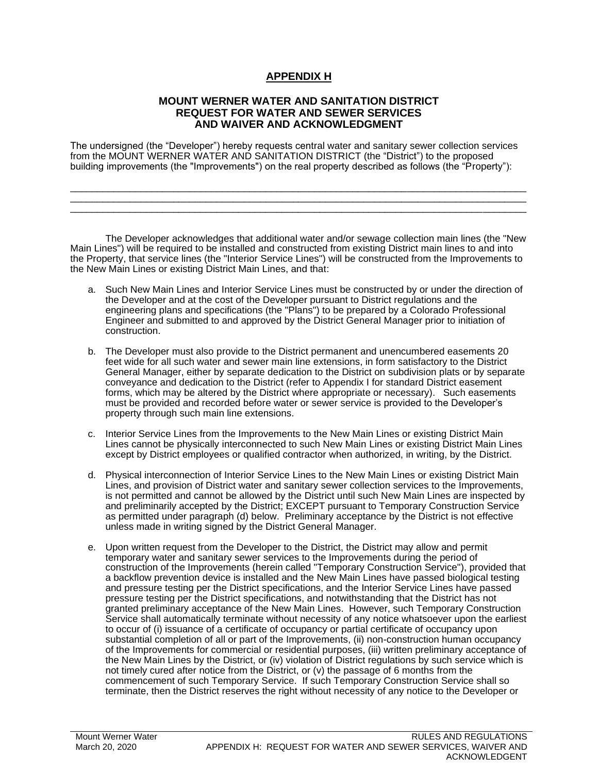### **APPENDIX H**

#### **MOUNT WERNER WATER AND SANITATION DISTRICT REQUEST FOR WATER AND SEWER SERVICES AND WAIVER AND ACKNOWLEDGMENT**

The undersigned (the "Developer") hereby requests central water and sanitary sewer collection services from the MOUNT WERNER WATER AND SANITATION DISTRICT (the "District") to the proposed building improvements (the "Improvements") on the real property described as follows (the "Property"):

\_\_\_\_\_\_\_\_\_\_\_\_\_\_\_\_\_\_\_\_\_\_\_\_\_\_\_\_\_\_\_\_\_\_\_\_\_\_\_\_\_\_\_\_\_\_\_\_\_\_\_\_\_\_\_\_\_\_\_\_\_\_\_\_\_\_\_\_\_\_\_\_\_\_\_\_\_\_\_\_\_\_\_\_ \_\_\_\_\_\_\_\_\_\_\_\_\_\_\_\_\_\_\_\_\_\_\_\_\_\_\_\_\_\_\_\_\_\_\_\_\_\_\_\_\_\_\_\_\_\_\_\_\_\_\_\_\_\_\_\_\_\_\_\_\_\_\_\_\_\_\_\_\_\_\_\_\_\_\_\_\_\_\_\_\_\_\_\_ \_\_\_\_\_\_\_\_\_\_\_\_\_\_\_\_\_\_\_\_\_\_\_\_\_\_\_\_\_\_\_\_\_\_\_\_\_\_\_\_\_\_\_\_\_\_\_\_\_\_\_\_\_\_\_\_\_\_\_\_\_\_\_\_\_\_\_\_\_\_\_\_\_\_\_\_\_\_\_\_\_\_\_\_

The Developer acknowledges that additional water and/or sewage collection main lines (the "New Main Lines") will be required to be installed and constructed from existing District main lines to and into the Property, that service lines (the "Interior Service Lines") will be constructed from the Improvements to the New Main Lines or existing District Main Lines, and that:

- a. Such New Main Lines and Interior Service Lines must be constructed by or under the direction of the Developer and at the cost of the Developer pursuant to District regulations and the engineering plans and specifications (the "Plans") to be prepared by a Colorado Professional Engineer and submitted to and approved by the District General Manager prior to initiation of construction.
- b. The Developer must also provide to the District permanent and unencumbered easements 20 feet wide for all such water and sewer main line extensions, in form satisfactory to the District General Manager, either by separate dedication to the District on subdivision plats or by separate conveyance and dedication to the District (refer to Appendix I for standard District easement forms, which may be altered by the District where appropriate or necessary). Such easements must be provided and recorded before water or sewer service is provided to the Developer's property through such main line extensions.
- c. Interior Service Lines from the Improvements to the New Main Lines or existing District Main Lines cannot be physically interconnected to such New Main Lines or existing District Main Lines except by District employees or qualified contractor when authorized, in writing, by the District.
- d. Physical interconnection of Interior Service Lines to the New Main Lines or existing District Main Lines, and provision of District water and sanitary sewer collection services to the Improvements, is not permitted and cannot be allowed by the District until such New Main Lines are inspected by and preliminarily accepted by the District; EXCEPT pursuant to Temporary Construction Service as permitted under paragraph (d) below. Preliminary acceptance by the District is not effective unless made in writing signed by the District General Manager.
- e. Upon written request from the Developer to the District, the District may allow and permit temporary water and sanitary sewer services to the Improvements during the period of construction of the Improvements (herein called "Temporary Construction Service"), provided that a backflow prevention device is installed and the New Main Lines have passed biological testing and pressure testing per the District specifications, and the Interior Service Lines have passed pressure testing per the District specifications, and notwithstanding that the District has not granted preliminary acceptance of the New Main Lines. However, such Temporary Construction Service shall automatically terminate without necessity of any notice whatsoever upon the earliest to occur of (i) issuance of a certificate of occupancy or partial certificate of occupancy upon substantial completion of all or part of the Improvements, (ii) non-construction human occupancy of the Improvements for commercial or residential purposes, (iii) written preliminary acceptance of the New Main Lines by the District, or (iv) violation of District regulations by such service which is not timely cured after notice from the District, or (v) the passage of 6 months from the commencement of such Temporary Service. If such Temporary Construction Service shall so terminate, then the District reserves the right without necessity of any notice to the Developer or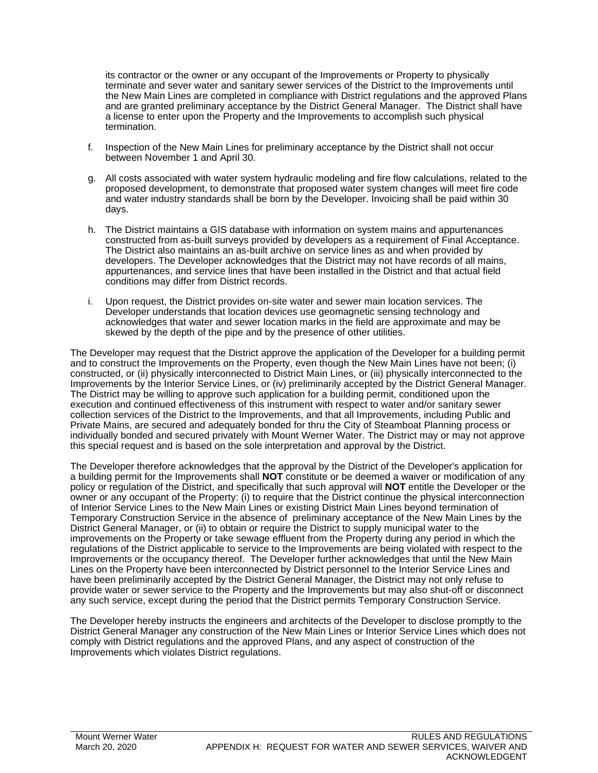its contractor or the owner or any occupant of the Improvements or Property to physically terminate and sever water and sanitary sewer services of the District to the Improvements until the New Main Lines are completed in compliance with District regulations and the approved Plans and are granted preliminary acceptance by the District General Manager. The District shall have a license to enter upon the Property and the Improvements to accomplish such physical termination.

- f. Inspection of the New Main Lines for preliminary acceptance by the District shall not occur between November 1 and April 30.
- g. All costs associated with water system hydraulic modeling and fire flow calculations, related to the proposed development, to demonstrate that proposed water system changes will meet fire code and water industry standards shall be born by the Developer. Invoicing shall be paid within 30 days.
- h. The District maintains a GIS database with information on system mains and appurtenances constructed from as-built surveys provided by developers as a requirement of Final Acceptance. The District also maintains an as-built archive on service lines as and when provided by developers. The Developer acknowledges that the District may not have records of all mains, appurtenances, and service lines that have been installed in the District and that actual field conditions may differ from District records.
- i. Upon request, the District provides on-site water and sewer main location services. The Developer understands that location devices use geomagnetic sensing technology and acknowledges that water and sewer location marks in the field are approximate and may be skewed by the depth of the pipe and by the presence of other utilities.

The Developer may request that the District approve the application of the Developer for a building permit and to construct the Improvements on the Property, even though the New Main Lines have not been; (i) constructed, or (ii) physically interconnected to District Main Lines, or (iii) physically interconnected to the Improvements by the Interior Service Lines, or (iv) preliminarily accepted by the District General Manager. The District may be willing to approve such application for a building permit, conditioned upon the execution and continued effectiveness of this instrument with respect to water and/or sanitary sewer collection services of the District to the Improvements, and that all Improvements, including Public and Private Mains, are secured and adequately bonded for thru the City of Steamboat Planning process or individually bonded and secured privately with Mount Werner Water. The District may or may not approve this special request and is based on the sole interpretation and approval by the District.

The Developer therefore acknowledges that the approval by the District of the Developer's application for a building permit for the Improvements shall **NOT** constitute or be deemed a waiver or modification of any policy or regulation of the District, and specifically that such approval will **NOT** entitle the Developer or the owner or any occupant of the Property: (i) to require that the District continue the physical interconnection of Interior Service Lines to the New Main Lines or existing District Main Lines beyond termination of Temporary Construction Service in the absence of preliminary acceptance of the New Main Lines by the District General Manager, or (ii) to obtain or require the District to supply municipal water to the improvements on the Property or take sewage effluent from the Property during any period in which the regulations of the District applicable to service to the Improvements are being violated with respect to the Improvements or the occupancy thereof. The Developer further acknowledges that until the New Main Lines on the Property have been interconnected by District personnel to the Interior Service Lines and have been preliminarily accepted by the District General Manager, the District may not only refuse to provide water or sewer service to the Property and the Improvements but may also shut-off or disconnect any such service, except during the period that the District permits Temporary Construction Service.

The Developer hereby instructs the engineers and architects of the Developer to disclose promptly to the District General Manager any construction of the New Main Lines or Interior Service Lines which does not comply with District regulations and the approved Plans, and any aspect of construction of the Improvements which violates District regulations.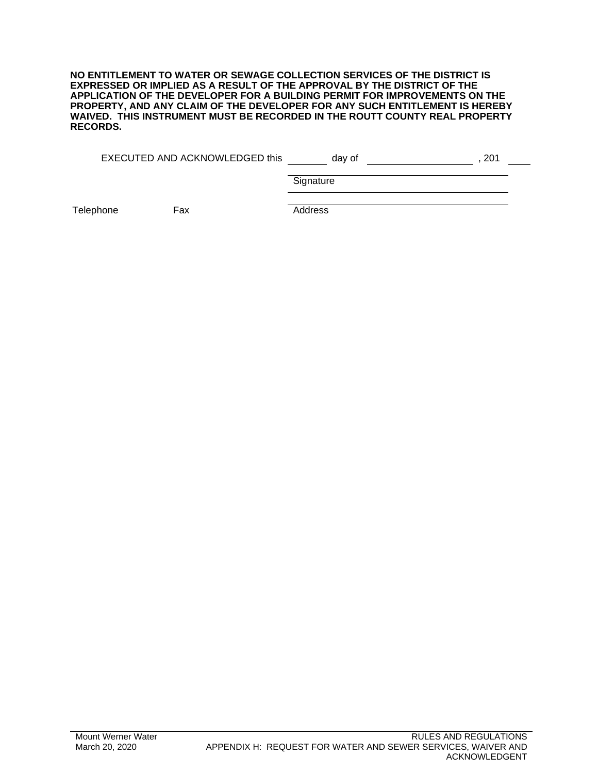**NO ENTITLEMENT TO WATER OR SEWAGE COLLECTION SERVICES OF THE DISTRICT IS EXPRESSED OR IMPLIED AS A RESULT OF THE APPROVAL BY THE DISTRICT OF THE APPLICATION OF THE DEVELOPER FOR A BUILDING PERMIT FOR IMPROVEMENTS ON THE PROPERTY, AND ANY CLAIM OF THE DEVELOPER FOR ANY SUCH ENTITLEMENT IS HEREBY WAIVED. THIS INSTRUMENT MUST BE RECORDED IN THE ROUTT COUNTY REAL PROPERTY RECORDS.**

| EXECUTED AND ACKNOWLEDGED this | dav of |  |
|--------------------------------|--------|--|
|                                |        |  |

**Signature** 

Telephone Fax **Address**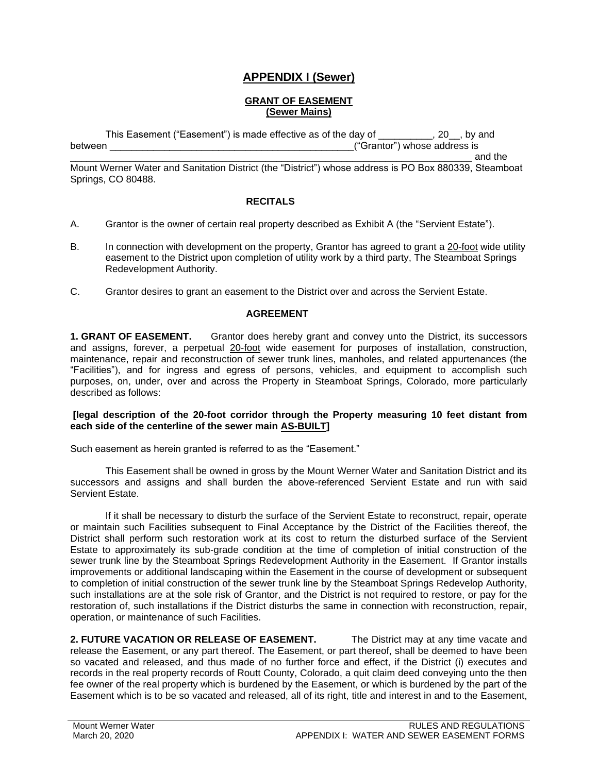### **APPENDIX I (Sewer)**

#### **GRANT OF EASEMENT (Sewer Mains)**

This Easement ("Easement") is made effective as of the day of \_\_\_\_\_\_\_\_\_\_, 20\_\_, by and between \_\_\_\_\_\_\_\_\_\_\_\_\_\_\_\_\_\_\_\_\_\_\_\_\_\_\_\_\_\_\_\_\_\_\_\_\_\_\_\_\_\_\_\_\_("Grantor") whose address is

\_\_\_\_\_\_\_\_\_\_\_\_\_\_\_\_\_\_\_\_\_\_\_\_\_\_\_\_\_\_\_\_\_\_\_\_\_\_\_\_\_\_\_\_\_\_\_\_\_\_\_\_\_\_\_\_\_\_\_\_\_\_\_\_\_\_\_\_\_\_\_\_\_\_ and the

Mount Werner Water and Sanitation District (the "District") whose address is PO Box 880339, Steamboat Springs, CO 80488.

#### **RECITALS**

- A. Grantor is the owner of certain real property described as Exhibit A (the "Servient Estate").
- B. In connection with development on the property, Grantor has agreed to grant a 20-foot wide utility easement to the District upon completion of utility work by a third party, The Steamboat Springs Redevelopment Authority.
- C. Grantor desires to grant an easement to the District over and across the Servient Estate.

#### **AGREEMENT**

**1. GRANT OF EASEMENT.** Grantor does hereby grant and convey unto the District, its successors and assigns, forever, a perpetual 20-foot wide easement for purposes of installation, construction, maintenance, repair and reconstruction of sewer trunk lines, manholes, and related appurtenances (the "Facilities"), and for ingress and egress of persons, vehicles, and equipment to accomplish such purposes, on, under, over and across the Property in Steamboat Springs, Colorado, more particularly described as follows:

#### **[legal description of the 20-foot corridor through the Property measuring 10 feet distant from each side of the centerline of the sewer main AS-BUILT]**

Such easement as herein granted is referred to as the "Easement."

This Easement shall be owned in gross by the Mount Werner Water and Sanitation District and its successors and assigns and shall burden the above-referenced Servient Estate and run with said Servient Estate.

If it shall be necessary to disturb the surface of the Servient Estate to reconstruct, repair, operate or maintain such Facilities subsequent to Final Acceptance by the District of the Facilities thereof, the District shall perform such restoration work at its cost to return the disturbed surface of the Servient Estate to approximately its sub-grade condition at the time of completion of initial construction of the sewer trunk line by the Steamboat Springs Redevelopment Authority in the Easement. If Grantor installs improvements or additional landscaping within the Easement in the course of development or subsequent to completion of initial construction of the sewer trunk line by the Steamboat Springs Redevelop Authority, such installations are at the sole risk of Grantor, and the District is not required to restore, or pay for the restoration of, such installations if the District disturbs the same in connection with reconstruction, repair, operation, or maintenance of such Facilities.

**2. FUTURE VACATION OR RELEASE OF EASEMENT.** The District may at any time vacate and release the Easement, or any part thereof. The Easement, or part thereof, shall be deemed to have been so vacated and released, and thus made of no further force and effect, if the District (i) executes and records in the real property records of Routt County, Colorado, a quit claim deed conveying unto the then fee owner of the real property which is burdened by the Easement, or which is burdened by the part of the Easement which is to be so vacated and released, all of its right, title and interest in and to the Easement,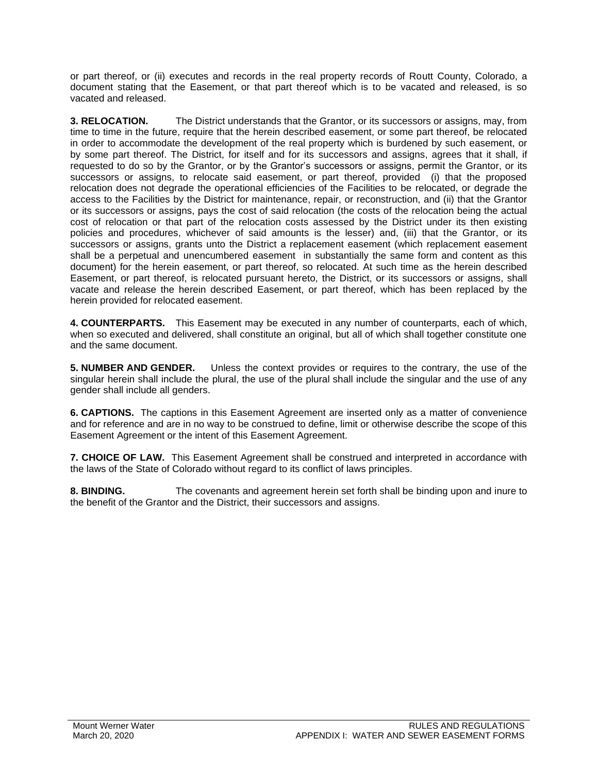or part thereof, or (ii) executes and records in the real property records of Routt County, Colorado, a document stating that the Easement, or that part thereof which is to be vacated and released, is so vacated and released.

**3. RELOCATION.** The District understands that the Grantor, or its successors or assigns, may, from time to time in the future, require that the herein described easement, or some part thereof, be relocated in order to accommodate the development of the real property which is burdened by such easement, or by some part thereof. The District, for itself and for its successors and assigns, agrees that it shall, if requested to do so by the Grantor, or by the Grantor's successors or assigns, permit the Grantor, or its successors or assigns, to relocate said easement, or part thereof, provided (i) that the proposed relocation does not degrade the operational efficiencies of the Facilities to be relocated, or degrade the access to the Facilities by the District for maintenance, repair, or reconstruction, and (ii) that the Grantor or its successors or assigns, pays the cost of said relocation (the costs of the relocation being the actual cost of relocation or that part of the relocation costs assessed by the District under its then existing policies and procedures, whichever of said amounts is the lesser) and, (iii) that the Grantor, or its successors or assigns, grants unto the District a replacement easement (which replacement easement shall be a perpetual and unencumbered easement in substantially the same form and content as this document) for the herein easement, or part thereof, so relocated. At such time as the herein described Easement, or part thereof, is relocated pursuant hereto, the District, or its successors or assigns, shall vacate and release the herein described Easement, or part thereof, which has been replaced by the herein provided for relocated easement.

**4. COUNTERPARTS.** This Easement may be executed in any number of counterparts, each of which, when so executed and delivered, shall constitute an original, but all of which shall together constitute one and the same document.

**5. NUMBER AND GENDER.** Unless the context provides or requires to the contrary, the use of the singular herein shall include the plural, the use of the plural shall include the singular and the use of any gender shall include all genders.

**6. CAPTIONS.** The captions in this Easement Agreement are inserted only as a matter of convenience and for reference and are in no way to be construed to define, limit or otherwise describe the scope of this Easement Agreement or the intent of this Easement Agreement.

**7. CHOICE OF LAW.** This Easement Agreement shall be construed and interpreted in accordance with the laws of the State of Colorado without regard to its conflict of laws principles.

**8. BINDING.** The covenants and agreement herein set forth shall be binding upon and inure to the benefit of the Grantor and the District, their successors and assigns.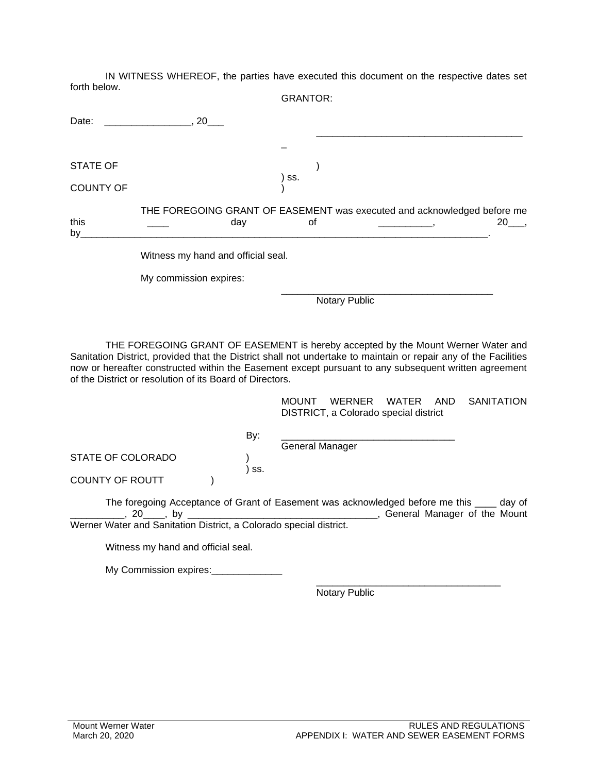IN WITNESS WHEREOF, the parties have executed this document on the respective dates set forth below. CRANTOR:

|                  | URANTUR.                                                                                       |
|------------------|------------------------------------------------------------------------------------------------|
| Date:            | 20                                                                                             |
|                  |                                                                                                |
| <b>STATE OF</b>  |                                                                                                |
| <b>COUNTY OF</b> | SS.                                                                                            |
| this<br>by_      | THE FOREGOING GRANT OF EASEMENT was executed and acknowledged before me<br>$20$ ,<br>οf<br>day |
|                  | Witness my hand and official seal.                                                             |
|                  | My commission expires:                                                                         |
|                  | <b>Notary Public</b>                                                                           |

THE FOREGOING GRANT OF EASEMENT is hereby accepted by the Mount Werner Water and Sanitation District, provided that the District shall not undertake to maintain or repair any of the Facilities now or hereafter constructed within the Easement except pursuant to any subsequent written agreement of the District or resolution of its Board of Directors.

> MOUNT WERNER WATER AND SANITATION DISTRICT, a Colorado special district

By: \_\_\_\_\_\_\_\_\_\_\_\_\_\_\_\_\_\_\_\_\_\_\_\_\_\_\_\_\_\_\_\_

) ss.

STATE OF COLORADO )

General Manager

COUNTY OF ROUTT (1)

The foregoing Acceptance of Grant of Easement was acknowledged before me this day of \_\_\_\_\_\_\_\_\_\_, 20\_\_\_\_, by \_\_\_\_\_\_\_\_\_\_\_\_\_\_\_\_\_\_\_\_\_\_\_\_\_\_\_\_\_\_\_\_\_\_\_, General Manager of the Mount Werner Water and Sanitation District, a Colorado special district.

Witness my hand and official seal.

My Commission expires:

\_\_\_\_\_\_\_\_\_\_\_\_\_\_\_\_\_\_\_\_\_\_\_\_\_\_\_\_\_\_\_\_\_\_ Notary Public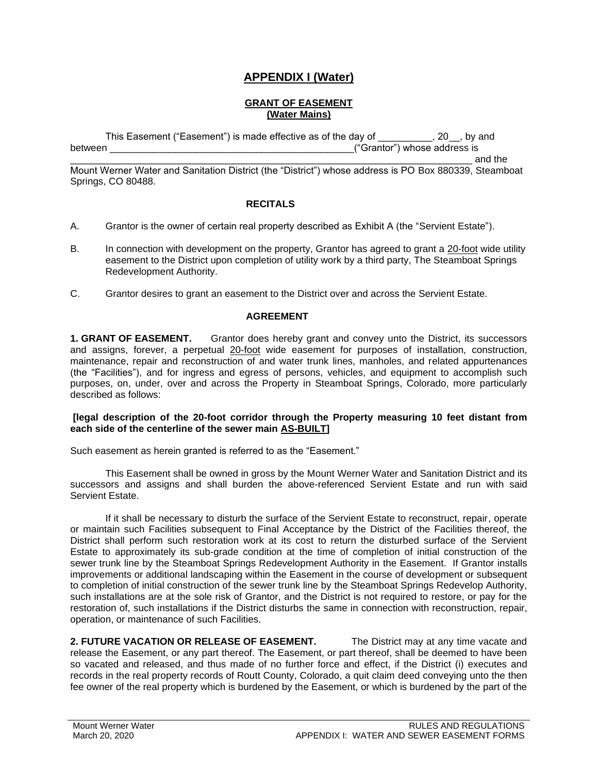### **APPENDIX I (Water)**

#### **GRANT OF EASEMENT (Water Mains)**

This Easement ("Easement") is made effective as of the day of \_\_\_\_\_\_\_\_\_, 20<sub>\_\_</sub>, by and between \_\_\_\_\_\_\_\_\_\_\_\_\_\_\_\_\_\_\_\_\_\_\_\_\_\_\_\_\_\_\_\_\_\_\_\_\_\_\_\_\_\_\_\_\_("Grantor") whose address is

\_\_\_\_\_\_\_\_\_\_\_\_\_\_\_\_\_\_\_\_\_\_\_\_\_\_\_\_\_\_\_\_\_\_\_\_\_\_\_\_\_\_\_\_\_\_\_\_\_\_\_\_\_\_\_\_\_\_\_\_\_\_\_\_\_\_\_\_\_\_\_\_\_\_ and the

Mount Werner Water and Sanitation District (the "District") whose address is PO Box 880339, Steamboat Springs, CO 80488.

#### **RECITALS**

- A. Grantor is the owner of certain real property described as Exhibit A (the "Servient Estate").
- B. In connection with development on the property, Grantor has agreed to grant a 20-foot wide utility easement to the District upon completion of utility work by a third party, The Steamboat Springs Redevelopment Authority.
- C. Grantor desires to grant an easement to the District over and across the Servient Estate.

#### **AGREEMENT**

**1. GRANT OF EASEMENT.** Grantor does hereby grant and convey unto the District, its successors and assigns, forever, a perpetual 20-foot wide easement for purposes of installation, construction, maintenance, repair and reconstruction of and water trunk lines, manholes, and related appurtenances (the "Facilities"), and for ingress and egress of persons, vehicles, and equipment to accomplish such purposes, on, under, over and across the Property in Steamboat Springs, Colorado, more particularly described as follows:

#### **[legal description of the 20-foot corridor through the Property measuring 10 feet distant from each side of the centerline of the sewer main AS-BUILT]**

Such easement as herein granted is referred to as the "Easement."

This Easement shall be owned in gross by the Mount Werner Water and Sanitation District and its successors and assigns and shall burden the above-referenced Servient Estate and run with said Servient Estate.

If it shall be necessary to disturb the surface of the Servient Estate to reconstruct, repair, operate or maintain such Facilities subsequent to Final Acceptance by the District of the Facilities thereof, the District shall perform such restoration work at its cost to return the disturbed surface of the Servient Estate to approximately its sub-grade condition at the time of completion of initial construction of the sewer trunk line by the Steamboat Springs Redevelopment Authority in the Easement. If Grantor installs improvements or additional landscaping within the Easement in the course of development or subsequent to completion of initial construction of the sewer trunk line by the Steamboat Springs Redevelop Authority, such installations are at the sole risk of Grantor, and the District is not required to restore, or pay for the restoration of, such installations if the District disturbs the same in connection with reconstruction, repair, operation, or maintenance of such Facilities.

**2. FUTURE VACATION OR RELEASE OF EASEMENT.** The District may at any time vacate and release the Easement, or any part thereof. The Easement, or part thereof, shall be deemed to have been so vacated and released, and thus made of no further force and effect, if the District (i) executes and records in the real property records of Routt County, Colorado, a quit claim deed conveying unto the then fee owner of the real property which is burdened by the Easement, or which is burdened by the part of the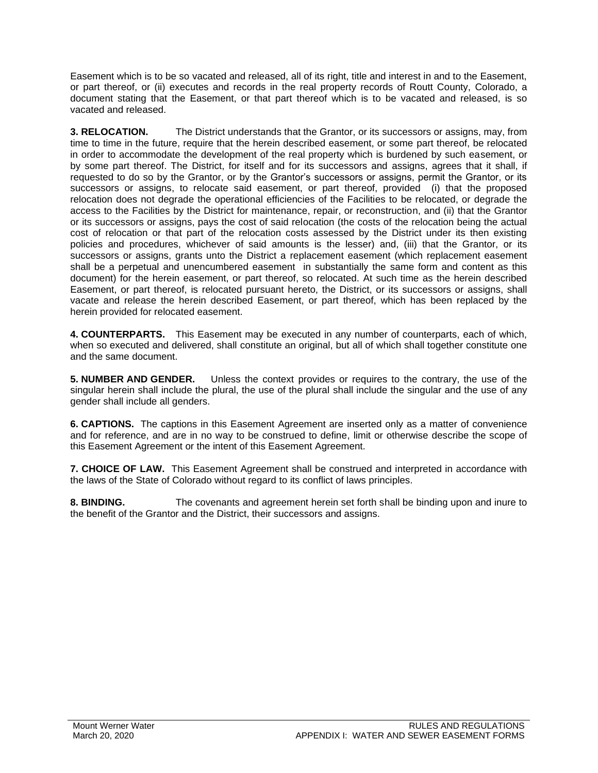Easement which is to be so vacated and released, all of its right, title and interest in and to the Easement, or part thereof, or (ii) executes and records in the real property records of Routt County, Colorado, a document stating that the Easement, or that part thereof which is to be vacated and released, is so vacated and released.

**3. RELOCATION.** The District understands that the Grantor, or its successors or assigns, may, from time to time in the future, require that the herein described easement, or some part thereof, be relocated in order to accommodate the development of the real property which is burdened by such easement, or by some part thereof. The District, for itself and for its successors and assigns, agrees that it shall, if requested to do so by the Grantor, or by the Grantor's successors or assigns, permit the Grantor, or its successors or assigns, to relocate said easement, or part thereof, provided (i) that the proposed relocation does not degrade the operational efficiencies of the Facilities to be relocated, or degrade the access to the Facilities by the District for maintenance, repair, or reconstruction, and (ii) that the Grantor or its successors or assigns, pays the cost of said relocation (the costs of the relocation being the actual cost of relocation or that part of the relocation costs assessed by the District under its then existing policies and procedures, whichever of said amounts is the lesser) and, (iii) that the Grantor, or its successors or assigns, grants unto the District a replacement easement (which replacement easement shall be a perpetual and unencumbered easement in substantially the same form and content as this document) for the herein easement, or part thereof, so relocated. At such time as the herein described Easement, or part thereof, is relocated pursuant hereto, the District, or its successors or assigns, shall vacate and release the herein described Easement, or part thereof, which has been replaced by the herein provided for relocated easement.

**4. COUNTERPARTS.** This Easement may be executed in any number of counterparts, each of which, when so executed and delivered, shall constitute an original, but all of which shall together constitute one and the same document.

**5. NUMBER AND GENDER.** Unless the context provides or requires to the contrary, the use of the singular herein shall include the plural, the use of the plural shall include the singular and the use of any gender shall include all genders.

**6. CAPTIONS.** The captions in this Easement Agreement are inserted only as a matter of convenience and for reference, and are in no way to be construed to define, limit or otherwise describe the scope of this Easement Agreement or the intent of this Easement Agreement.

**7. CHOICE OF LAW.** This Easement Agreement shall be construed and interpreted in accordance with the laws of the State of Colorado without regard to its conflict of laws principles.

**8. BINDING.** The covenants and agreement herein set forth shall be binding upon and inure to the benefit of the Grantor and the District, their successors and assigns.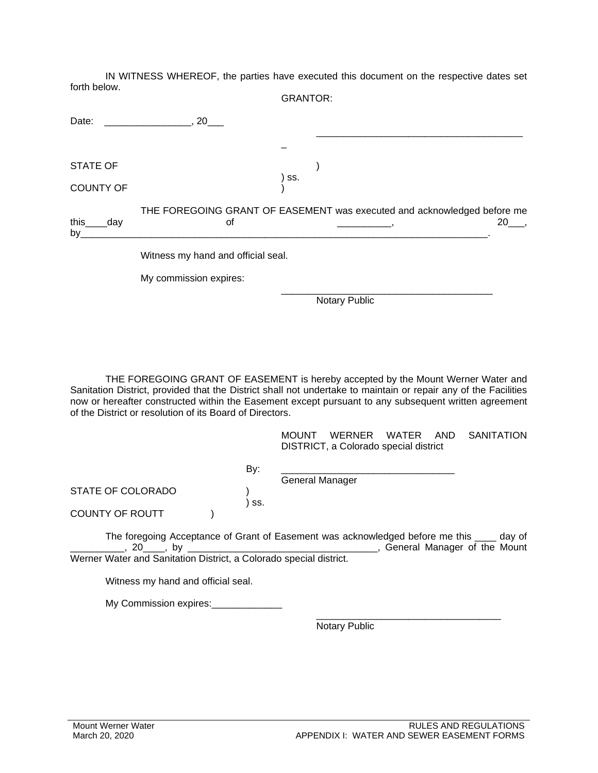IN WITNESS WHEREOF, the parties have executed this document on the respective dates set forth below. GRANTOR:

|                     | טוירוטורט.                                                                              |
|---------------------|-----------------------------------------------------------------------------------------|
| Date:               | 20                                                                                      |
|                     |                                                                                         |
| <b>STATE OF</b>     |                                                                                         |
| <b>COUNTY OF</b>    | SS.                                                                                     |
| this<br>day_<br>by_ | THE FOREGOING GRANT OF EASEMENT was executed and acknowledged before me<br>$20$ ,<br>οf |
|                     | Witness my hand and official seal.                                                      |
|                     | My commission expires:                                                                  |
|                     | <b>Notary Public</b>                                                                    |

THE FOREGOING GRANT OF EASEMENT is hereby accepted by the Mount Werner Water and Sanitation District, provided that the District shall not undertake to maintain or repair any of the Facilities now or hereafter constructed within the Easement except pursuant to any subsequent written agreement of the District or resolution of its Board of Directors.

> MOUNT WERNER WATER AND SANITATION DISTRICT, a Colorado special district

|                   | By:   |                        |  |
|-------------------|-------|------------------------|--|
|                   |       | <b>General Manager</b> |  |
| STATE OF COLORADO |       |                        |  |
|                   | ' SS. |                        |  |
| COUNTY OF ROUTT   |       |                        |  |

The foregoing Acceptance of Grant of Easement was acknowledged before me this \_\_\_\_ day of \_\_\_\_\_\_\_\_\_\_, 20\_\_\_\_, by \_\_\_\_\_\_\_\_\_\_\_\_\_\_\_\_\_\_\_\_\_\_\_\_\_\_\_\_\_\_\_\_\_\_\_, General Manager of the Mount Werner Water and Sanitation District, a Colorado special district.

Witness my hand and official seal.

My Commission expires:

Notary Public

\_\_\_\_\_\_\_\_\_\_\_\_\_\_\_\_\_\_\_\_\_\_\_\_\_\_\_\_\_\_\_\_\_\_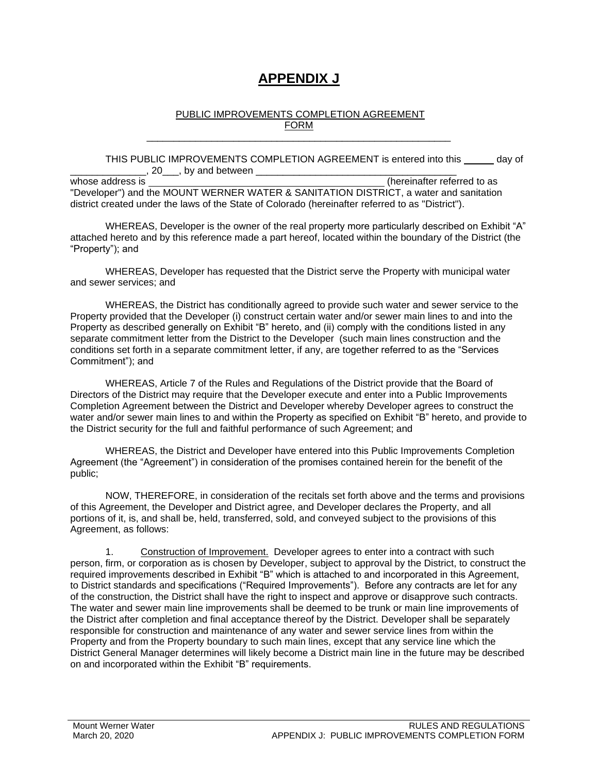# **APPENDIX J**

#### PUBLIC IMPROVEMENTS COMPLETION AGREEMENT FORM

\_\_\_\_\_\_\_\_\_\_\_\_\_\_\_\_\_\_\_\_\_\_\_\_\_\_\_\_\_\_\_\_\_\_\_\_\_\_\_\_\_\_\_\_\_\_\_\_\_\_\_\_\_\_\_\_

THIS PUBLIC IMPROVEMENTS COMPLETION AGREEMENT is entered into this day of  $\Box$ , 20 $\Box$ , by and between  $\Box$ 

whose address is **and a set of the interval of the interval of the interval of the interval of the interval of the interval of the interval of the interval of the interval of the interval of the interval of the interval of** "Developer") and the MOUNT WERNER WATER & SANITATION DISTRICT, a water and sanitation district created under the laws of the State of Colorado (hereinafter referred to as "District").

WHEREAS, Developer is the owner of the real property more particularly described on Exhibit "A" attached hereto and by this reference made a part hereof, located within the boundary of the District (the "Property"); and

WHEREAS, Developer has requested that the District serve the Property with municipal water and sewer services; and

WHEREAS, the District has conditionally agreed to provide such water and sewer service to the Property provided that the Developer (i) construct certain water and/or sewer main lines to and into the Property as described generally on Exhibit "B" hereto, and (ii) comply with the conditions listed in any separate commitment letter from the District to the Developer (such main lines construction and the conditions set forth in a separate commitment letter, if any, are together referred to as the "Services Commitment"); and

WHEREAS, Article 7 of the Rules and Regulations of the District provide that the Board of Directors of the District may require that the Developer execute and enter into a Public Improvements Completion Agreement between the District and Developer whereby Developer agrees to construct the water and/or sewer main lines to and within the Property as specified on Exhibit "B" hereto, and provide to the District security for the full and faithful performance of such Agreement; and

WHEREAS, the District and Developer have entered into this Public Improvements Completion Agreement (the "Agreement") in consideration of the promises contained herein for the benefit of the public;

NOW, THEREFORE, in consideration of the recitals set forth above and the terms and provisions of this Agreement, the Developer and District agree, and Developer declares the Property, and all portions of it, is, and shall be, held, transferred, sold, and conveyed subject to the provisions of this Agreement, as follows:

1. Construction of Improvement. Developer agrees to enter into a contract with such person, firm, or corporation as is chosen by Developer, subject to approval by the District, to construct the required improvements described in Exhibit "B" which is attached to and incorporated in this Agreement, to District standards and specifications ("Required Improvements"). Before any contracts are let for any of the construction, the District shall have the right to inspect and approve or disapprove such contracts. The water and sewer main line improvements shall be deemed to be trunk or main line improvements of the District after completion and final acceptance thereof by the District. Developer shall be separately responsible for construction and maintenance of any water and sewer service lines from within the Property and from the Property boundary to such main lines, except that any service line which the District General Manager determines will likely become a District main line in the future may be described on and incorporated within the Exhibit "B" requirements.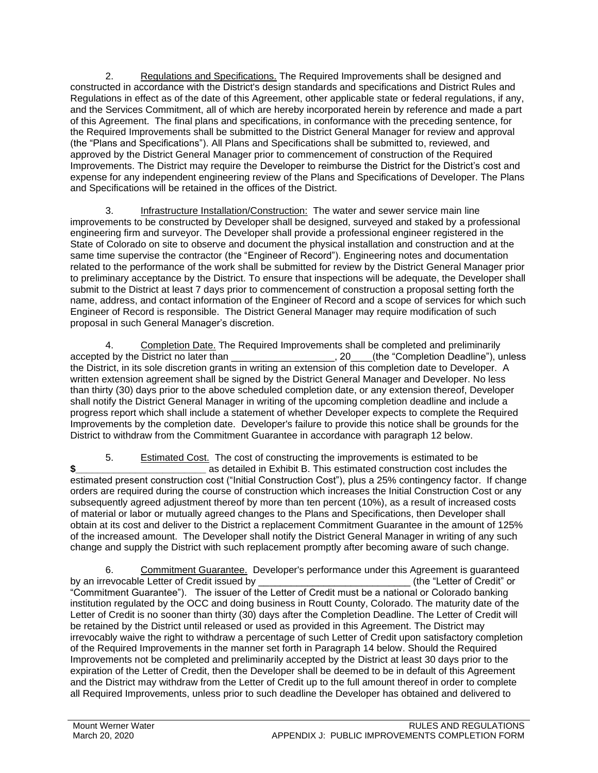2. Regulations and Specifications. The Required Improvements shall be designed and constructed in accordance with the District's design standards and specifications and District Rules and Regulations in effect as of the date of this Agreement, other applicable state or federal regulations, if any, and the Services Commitment, all of which are hereby incorporated herein by reference and made a part of this Agreement. The final plans and specifications, in conformance with the preceding sentence, for the Required Improvements shall be submitted to the District General Manager for review and approval (the "Plans and Specifications"). All Plans and Specifications shall be submitted to, reviewed, and approved by the District General Manager prior to commencement of construction of the Required Improvements. The District may require the Developer to reimburse the District for the District's cost and expense for any independent engineering review of the Plans and Specifications of Developer. The Plans and Specifications will be retained in the offices of the District.

3. Infrastructure Installation/Construction: The water and sewer service main line improvements to be constructed by Developer shall be designed, surveyed and staked by a professional engineering firm and surveyor. The Developer shall provide a professional engineer registered in the State of Colorado on site to observe and document the physical installation and construction and at the same time supervise the contractor (the "Engineer of Record"). Engineering notes and documentation related to the performance of the work shall be submitted for review by the District General Manager prior to preliminary acceptance by the District. To ensure that inspections will be adequate, the Developer shall submit to the District at least 7 days prior to commencement of construction a proposal setting forth the name, address, and contact information of the Engineer of Record and a scope of services for which such Engineer of Record is responsible. The District General Manager may require modification of such proposal in such General Manager's discretion.

4. Completion Date. The Required Improvements shall be completed and preliminarily accepted by the District no later than \_\_\_\_\_\_\_\_\_\_\_\_\_\_\_\_\_\_\_, 20\_\_\_\_(the "Completion Deadline"), unless the District, in its sole discretion grants in writing an extension of this completion date to Developer. A written extension agreement shall be signed by the District General Manager and Developer. No less than thirty (30) days prior to the above scheduled completion date, or any extension thereof, Developer shall notify the District General Manager in writing of the upcoming completion deadline and include a progress report which shall include a statement of whether Developer expects to complete the Required Improvements by the completion date. Developer's failure to provide this notice shall be grounds for the District to withdraw from the Commitment Guarantee in accordance with paragraph 12 below.

5. Estimated Cost. The cost of constructing the improvements is estimated to be **\$ \$ Exhibit B.** This estimated construction cost includes the estimated present construction cost ("Initial Construction Cost"), plus a 25% contingency factor. If change orders are required during the course of construction which increases the Initial Construction Cost or any subsequently agreed adjustment thereof by more than ten percent (10%), as a result of increased costs of material or labor or mutually agreed changes to the Plans and Specifications, then Developer shall obtain at its cost and deliver to the District a replacement Commitment Guarantee in the amount of 125% of the increased amount. The Developer shall notify the District General Manager in writing of any such change and supply the District with such replacement promptly after becoming aware of such change.

6. Commitment Guarantee. Developer's performance under this Agreement is guaranteed by an irrevocable Letter of Credit issued by **EXACT 2008** (the "Letter of Credit" or "Commitment Guarantee"). The issuer of the Letter of Credit must be a national or Colorado banking institution regulated by the OCC and doing business in Routt County, Colorado. The maturity date of the Letter of Credit is no sooner than thirty (30) days after the Completion Deadline. The Letter of Credit will be retained by the District until released or used as provided in this Agreement. The District may irrevocably waive the right to withdraw a percentage of such Letter of Credit upon satisfactory completion of the Required Improvements in the manner set forth in Paragraph 14 below. Should the Required Improvements not be completed and preliminarily accepted by the District at least 30 days prior to the expiration of the Letter of Credit, then the Developer shall be deemed to be in default of this Agreement and the District may withdraw from the Letter of Credit up to the full amount thereof in order to complete all Required Improvements, unless prior to such deadline the Developer has obtained and delivered to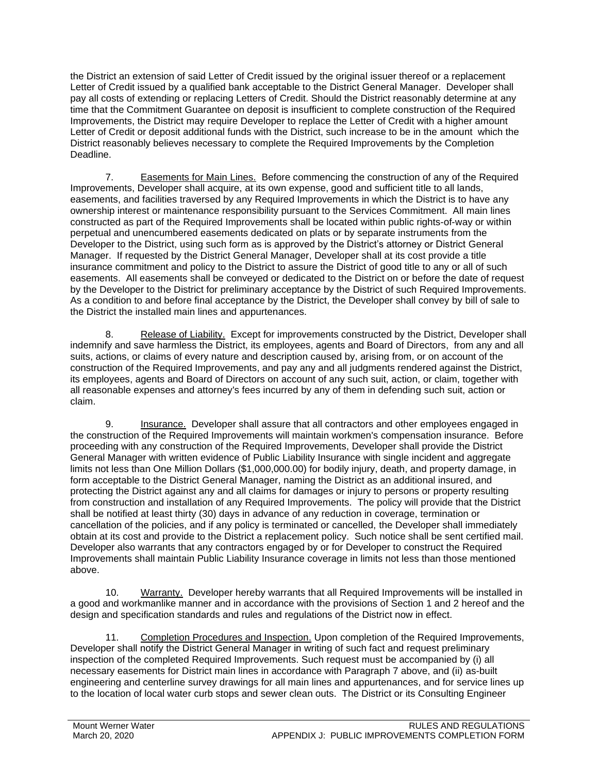the District an extension of said Letter of Credit issued by the original issuer thereof or a replacement Letter of Credit issued by a qualified bank acceptable to the District General Manager. Developer shall pay all costs of extending or replacing Letters of Credit. Should the District reasonably determine at any time that the Commitment Guarantee on deposit is insufficient to complete construction of the Required Improvements, the District may require Developer to replace the Letter of Credit with a higher amount Letter of Credit or deposit additional funds with the District, such increase to be in the amount which the District reasonably believes necessary to complete the Required Improvements by the Completion Deadline.

7. Easements for Main Lines. Before commencing the construction of any of the Required Improvements, Developer shall acquire, at its own expense, good and sufficient title to all lands, easements, and facilities traversed by any Required Improvements in which the District is to have any ownership interest or maintenance responsibility pursuant to the Services Commitment. All main lines constructed as part of the Required Improvements shall be located within public rights-of-way or within perpetual and unencumbered easements dedicated on plats or by separate instruments from the Developer to the District, using such form as is approved by the District's attorney or District General Manager. If requested by the District General Manager, Developer shall at its cost provide a title insurance commitment and policy to the District to assure the District of good title to any or all of such easements. All easements shall be conveyed or dedicated to the District on or before the date of request by the Developer to the District for preliminary acceptance by the District of such Required Improvements. As a condition to and before final acceptance by the District, the Developer shall convey by bill of sale to the District the installed main lines and appurtenances.

8. Release of Liability. Except for improvements constructed by the District, Developer shall indemnify and save harmless the District, its employees, agents and Board of Directors, from any and all suits, actions, or claims of every nature and description caused by, arising from, or on account of the construction of the Required Improvements, and pay any and all judgments rendered against the District, its employees, agents and Board of Directors on account of any such suit, action, or claim, together with all reasonable expenses and attorney's fees incurred by any of them in defending such suit, action or claim.

9. Insurance. Developer shall assure that all contractors and other employees engaged in the construction of the Required Improvements will maintain workmen's compensation insurance. Before proceeding with any construction of the Required Improvements, Developer shall provide the District General Manager with written evidence of Public Liability Insurance with single incident and aggregate limits not less than One Million Dollars (\$1,000,000.00) for bodily injury, death, and property damage, in form acceptable to the District General Manager, naming the District as an additional insured, and protecting the District against any and all claims for damages or injury to persons or property resulting from construction and installation of any Required Improvements. The policy will provide that the District shall be notified at least thirty (30) days in advance of any reduction in coverage, termination or cancellation of the policies, and if any policy is terminated or cancelled, the Developer shall immediately obtain at its cost and provide to the District a replacement policy. Such notice shall be sent certified mail. Developer also warrants that any contractors engaged by or for Developer to construct the Required Improvements shall maintain Public Liability Insurance coverage in limits not less than those mentioned above.

10. Warranty. Developer hereby warrants that all Required Improvements will be installed in a good and workmanlike manner and in accordance with the provisions of Section 1 and 2 hereof and the design and specification standards and rules and regulations of the District now in effect.

11. Completion Procedures and Inspection. Upon completion of the Required Improvements, Developer shall notify the District General Manager in writing of such fact and request preliminary inspection of the completed Required Improvements. Such request must be accompanied by (i) all necessary easements for District main lines in accordance with Paragraph 7 above, and (ii) as-built engineering and centerline survey drawings for all main lines and appurtenances, and for service lines up to the location of local water curb stops and sewer clean outs. The District or its Consulting Engineer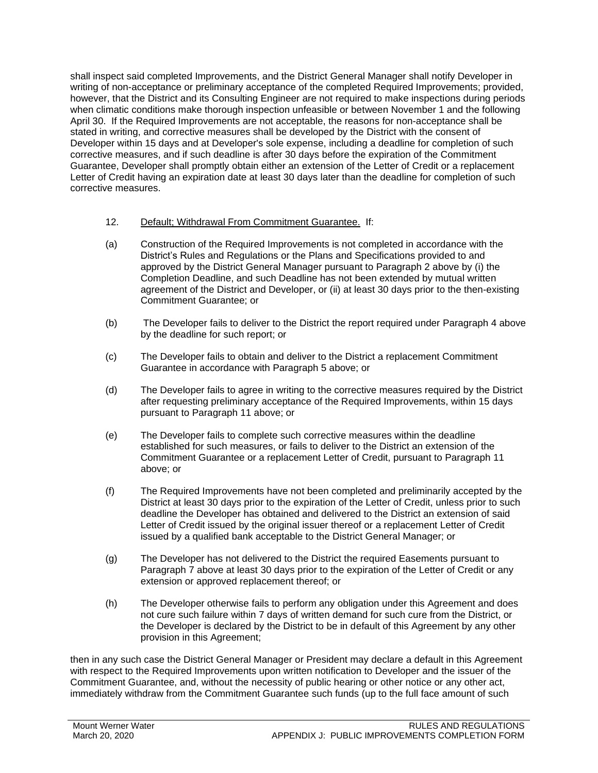shall inspect said completed Improvements, and the District General Manager shall notify Developer in writing of non-acceptance or preliminary acceptance of the completed Required Improvements; provided, however, that the District and its Consulting Engineer are not required to make inspections during periods when climatic conditions make thorough inspection unfeasible or between November 1 and the following April 30. If the Required Improvements are not acceptable, the reasons for non-acceptance shall be stated in writing, and corrective measures shall be developed by the District with the consent of Developer within 15 days and at Developer's sole expense, including a deadline for completion of such corrective measures, and if such deadline is after 30 days before the expiration of the Commitment Guarantee, Developer shall promptly obtain either an extension of the Letter of Credit or a replacement Letter of Credit having an expiration date at least 30 days later than the deadline for completion of such corrective measures.

- 12. Default; Withdrawal From Commitment Guarantee. If:
- (a) Construction of the Required Improvements is not completed in accordance with the District's Rules and Regulations or the Plans and Specifications provided to and approved by the District General Manager pursuant to Paragraph 2 above by (i) the Completion Deadline, and such Deadline has not been extended by mutual written agreement of the District and Developer, or (ii) at least 30 days prior to the then-existing Commitment Guarantee; or
- (b) The Developer fails to deliver to the District the report required under Paragraph 4 above by the deadline for such report; or
- (c) The Developer fails to obtain and deliver to the District a replacement Commitment Guarantee in accordance with Paragraph 5 above; or
- (d) The Developer fails to agree in writing to the corrective measures required by the District after requesting preliminary acceptance of the Required Improvements, within 15 days pursuant to Paragraph 11 above; or
- (e) The Developer fails to complete such corrective measures within the deadline established for such measures, or fails to deliver to the District an extension of the Commitment Guarantee or a replacement Letter of Credit, pursuant to Paragraph 11 above; or
- (f) The Required Improvements have not been completed and preliminarily accepted by the District at least 30 days prior to the expiration of the Letter of Credit, unless prior to such deadline the Developer has obtained and delivered to the District an extension of said Letter of Credit issued by the original issuer thereof or a replacement Letter of Credit issued by a qualified bank acceptable to the District General Manager; or
- (g) The Developer has not delivered to the District the required Easements pursuant to Paragraph 7 above at least 30 days prior to the expiration of the Letter of Credit or any extension or approved replacement thereof; or
- (h) The Developer otherwise fails to perform any obligation under this Agreement and does not cure such failure within 7 days of written demand for such cure from the District, or the Developer is declared by the District to be in default of this Agreement by any other provision in this Agreement;

then in any such case the District General Manager or President may declare a default in this Agreement with respect to the Required Improvements upon written notification to Developer and the issuer of the Commitment Guarantee, and, without the necessity of public hearing or other notice or any other act, immediately withdraw from the Commitment Guarantee such funds (up to the full face amount of such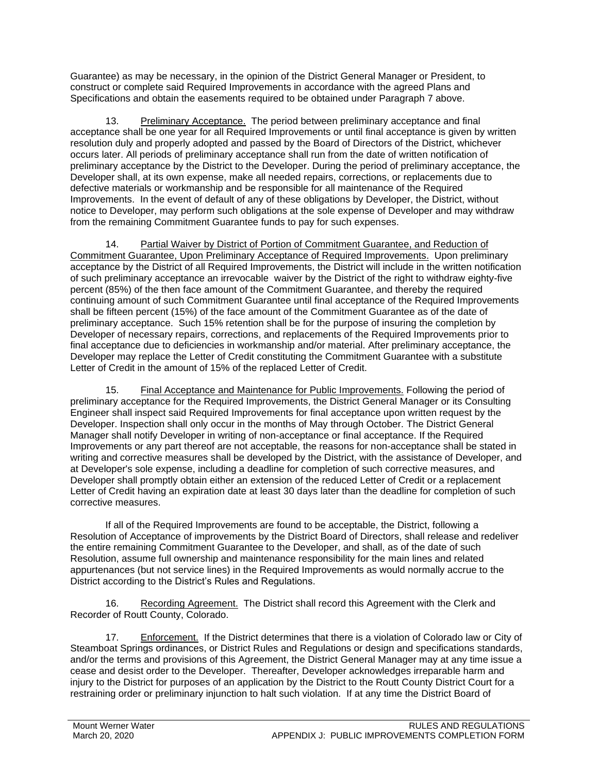Guarantee) as may be necessary, in the opinion of the District General Manager or President, to construct or complete said Required Improvements in accordance with the agreed Plans and Specifications and obtain the easements required to be obtained under Paragraph 7 above.

13. Preliminary Acceptance. The period between preliminary acceptance and final acceptance shall be one year for all Required Improvements or until final acceptance is given by written resolution duly and properly adopted and passed by the Board of Directors of the District, whichever occurs later. All periods of preliminary acceptance shall run from the date of written notification of preliminary acceptance by the District to the Developer. During the period of preliminary acceptance, the Developer shall, at its own expense, make all needed repairs, corrections, or replacements due to defective materials or workmanship and be responsible for all maintenance of the Required Improvements. In the event of default of any of these obligations by Developer, the District, without notice to Developer, may perform such obligations at the sole expense of Developer and may withdraw from the remaining Commitment Guarantee funds to pay for such expenses.

14. Partial Waiver by District of Portion of Commitment Guarantee, and Reduction of Commitment Guarantee, Upon Preliminary Acceptance of Required Improvements. Upon preliminary acceptance by the District of all Required Improvements, the District will include in the written notification of such preliminary acceptance an irrevocable waiver by the District of the right to withdraw eighty-five percent (85%) of the then face amount of the Commitment Guarantee, and thereby the required continuing amount of such Commitment Guarantee until final acceptance of the Required Improvements shall be fifteen percent (15%) of the face amount of the Commitment Guarantee as of the date of preliminary acceptance. Such 15% retention shall be for the purpose of insuring the completion by Developer of necessary repairs, corrections, and replacements of the Required Improvements prior to final acceptance due to deficiencies in workmanship and/or material. After preliminary acceptance, the Developer may replace the Letter of Credit constituting the Commitment Guarantee with a substitute Letter of Credit in the amount of 15% of the replaced Letter of Credit.

15. Final Acceptance and Maintenance for Public Improvements. Following the period of preliminary acceptance for the Required Improvements, the District General Manager or its Consulting Engineer shall inspect said Required Improvements for final acceptance upon written request by the Developer. Inspection shall only occur in the months of May through October. The District General Manager shall notify Developer in writing of non-acceptance or final acceptance. If the Required Improvements or any part thereof are not acceptable, the reasons for non-acceptance shall be stated in writing and corrective measures shall be developed by the District, with the assistance of Developer, and at Developer's sole expense, including a deadline for completion of such corrective measures, and Developer shall promptly obtain either an extension of the reduced Letter of Credit or a replacement Letter of Credit having an expiration date at least 30 days later than the deadline for completion of such corrective measures.

If all of the Required Improvements are found to be acceptable, the District, following a Resolution of Acceptance of improvements by the District Board of Directors, shall release and redeliver the entire remaining Commitment Guarantee to the Developer, and shall, as of the date of such Resolution, assume full ownership and maintenance responsibility for the main lines and related appurtenances (but not service lines) in the Required Improvements as would normally accrue to the District according to the District's Rules and Regulations.

16. Recording Agreement. The District shall record this Agreement with the Clerk and Recorder of Routt County, Colorado.

17. Enforcement. If the District determines that there is a violation of Colorado law or City of Steamboat Springs ordinances, or District Rules and Regulations or design and specifications standards, and/or the terms and provisions of this Agreement, the District General Manager may at any time issue a cease and desist order to the Developer. Thereafter, Developer acknowledges irreparable harm and injury to the District for purposes of an application by the District to the Routt County District Court for a restraining order or preliminary injunction to halt such violation. If at any time the District Board of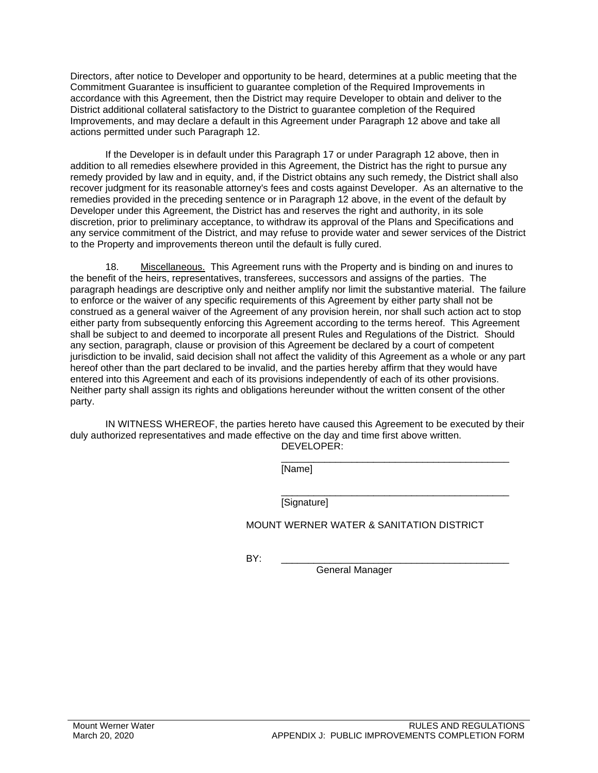Directors, after notice to Developer and opportunity to be heard, determines at a public meeting that the Commitment Guarantee is insufficient to guarantee completion of the Required Improvements in accordance with this Agreement, then the District may require Developer to obtain and deliver to the District additional collateral satisfactory to the District to guarantee completion of the Required Improvements, and may declare a default in this Agreement under Paragraph 12 above and take all actions permitted under such Paragraph 12.

If the Developer is in default under this Paragraph 17 or under Paragraph 12 above, then in addition to all remedies elsewhere provided in this Agreement, the District has the right to pursue any remedy provided by law and in equity, and, if the District obtains any such remedy, the District shall also recover judgment for its reasonable attorney's fees and costs against Developer. As an alternative to the remedies provided in the preceding sentence or in Paragraph 12 above, in the event of the default by Developer under this Agreement, the District has and reserves the right and authority, in its sole discretion, prior to preliminary acceptance, to withdraw its approval of the Plans and Specifications and any service commitment of the District, and may refuse to provide water and sewer services of the District to the Property and improvements thereon until the default is fully cured.

18. Miscellaneous. This Agreement runs with the Property and is binding on and inures to the benefit of the heirs, representatives, transferees, successors and assigns of the parties. The paragraph headings are descriptive only and neither amplify nor limit the substantive material. The failure to enforce or the waiver of any specific requirements of this Agreement by either party shall not be construed as a general waiver of the Agreement of any provision herein, nor shall such action act to stop either party from subsequently enforcing this Agreement according to the terms hereof. This Agreement shall be subject to and deemed to incorporate all present Rules and Regulations of the District. Should any section, paragraph, clause or provision of this Agreement be declared by a court of competent jurisdiction to be invalid, said decision shall not affect the validity of this Agreement as a whole or any part hereof other than the part declared to be invalid, and the parties hereby affirm that they would have entered into this Agreement and each of its provisions independently of each of its other provisions. Neither party shall assign its rights and obligations hereunder without the written consent of the other party.

IN WITNESS WHEREOF, the parties hereto have caused this Agreement to be executed by their duly authorized representatives and made effective on the day and time first above written. DEVELOPER:

> \_\_\_\_\_\_\_\_\_\_\_\_\_\_\_\_\_\_\_\_\_\_\_\_\_\_\_\_\_\_\_\_\_\_\_\_\_\_\_\_\_\_ [Name]

> \_\_\_\_\_\_\_\_\_\_\_\_\_\_\_\_\_\_\_\_\_\_\_\_\_\_\_\_\_\_\_\_\_\_\_\_\_\_\_\_\_\_ [Signature]

MOUNT WERNER WATER & SANITATION DISTRICT

BY: \_\_\_\_\_\_\_\_\_\_\_\_\_\_\_\_\_\_\_\_\_\_\_\_\_\_\_\_\_\_\_\_\_\_\_\_\_\_\_\_\_\_

General Manager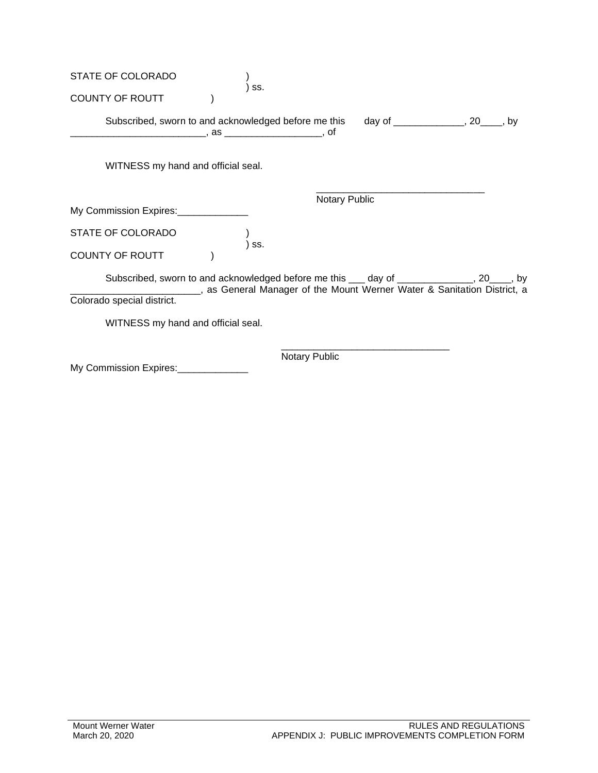| STATE OF COLORADO                                                                          |                                                                                       |                      |  |  |
|--------------------------------------------------------------------------------------------|---------------------------------------------------------------------------------------|----------------------|--|--|
| <b>COUNTY OF ROUTT</b>                                                                     | SS.                                                                                   |                      |  |  |
| Subscribed, sworn to and acknowledged before me this day of ____________, 20____, by       |                                                                                       |                      |  |  |
| WITNESS my hand and official seal.                                                         |                                                                                       |                      |  |  |
|                                                                                            |                                                                                       | <b>Notary Public</b> |  |  |
| My Commission Expires: ______________                                                      |                                                                                       |                      |  |  |
| STATE OF COLORADO                                                                          | SS.                                                                                   |                      |  |  |
| <b>COUNTY OF ROUTT</b>                                                                     |                                                                                       |                      |  |  |
| Subscribed, sworn to and acknowledged before me this ___ day of ______________, 20____, by | ______________, as General Manager of the Mount Werner Water & Sanitation District, a |                      |  |  |
| Colorado special district.                                                                 |                                                                                       |                      |  |  |
| WITNESS my hand and official seal.                                                         |                                                                                       |                      |  |  |
|                                                                                            |                                                                                       | <b>Notary Public</b> |  |  |
| My Commission Expires:                                                                     |                                                                                       |                      |  |  |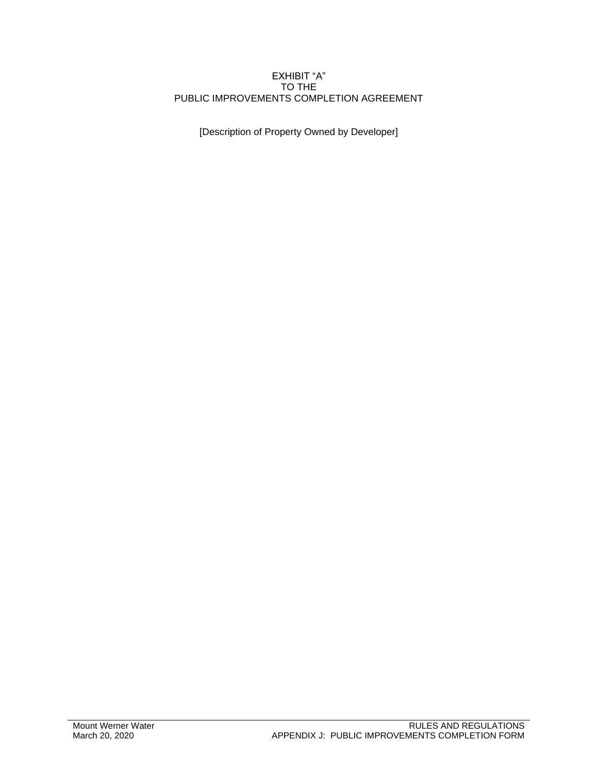## EXHIBIT "A" TO THE PUBLIC IMPROVEMENTS COMPLETION AGREEMENT

[Description of Property Owned by Developer]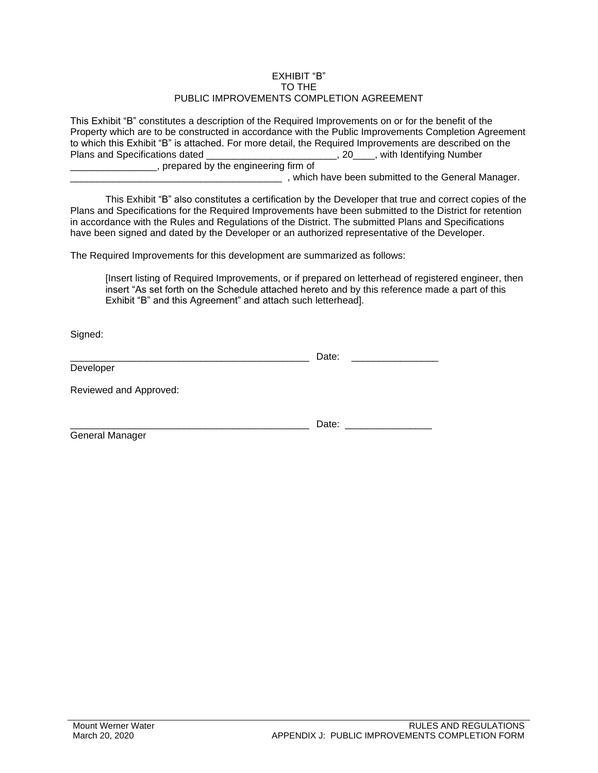## EXHIBIT "B" TO THE PUBLIC IMPROVEMENTS COMPLETION AGREEMENT

This Exhibit "B" constitutes a description of the Required Improvements on or for the benefit of the Property which are to be constructed in accordance with the Public Improvements Completion Agreement to which this Exhibit "B" is attached. For more detail, the Required Improvements are described on the Plans and Specifications dated \_\_\_\_\_\_\_\_\_\_\_\_\_\_\_\_\_\_\_\_\_\_\_\_\_\_\_\_\_\_\_, 20\_\_\_\_, with Identifying Number \_\_\_\_\_\_\_\_\_\_\_\_\_\_\_\_, prepared by the engineering firm of \_\_\_\_\_\_\_\_, which have been submitted to the General Manager.

This Exhibit "B" also constitutes a certification by the Developer that true and correct copies of the Plans and Specifications for the Required Improvements have been submitted to the District for retention in accordance with the Rules and Regulations of the District. The submitted Plans and Specifications have been signed and dated by the Developer or an authorized representative of the Developer.

The Required Improvements for this development are summarized as follows:

[Insert listing of Required Improvements, or if prepared on letterhead of registered engineer, then insert "As set forth on the Schedule attached hereto and by this reference made a part of this Exhibit "B" and this Agreement" and attach such letterhead].

 $\Box$  Date:

Signed:

|           | Date: |  |
|-----------|-------|--|
| Developer |       |  |
|           |       |  |

Reviewed and Approved:

General Manager